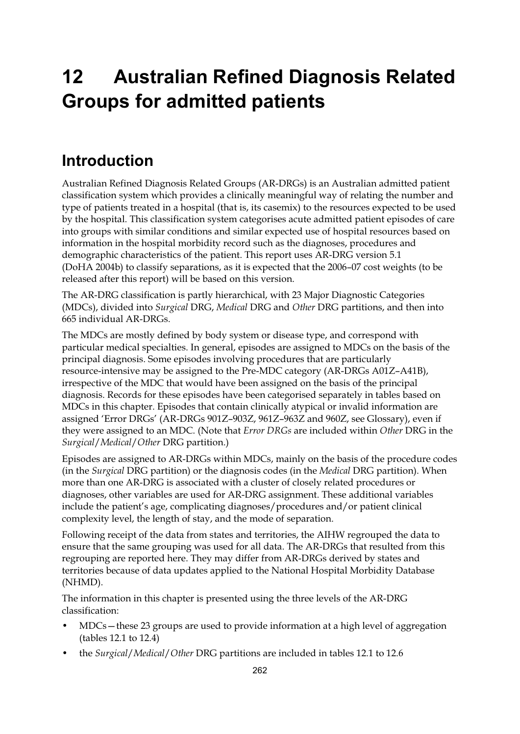# **12 Australian Refined Diagnosis Related Groups for admitted patients**

## **Introduction**

Australian Refined Diagnosis Related Groups (AR-DRGs) is an Australian admitted patient classification system which provides a clinically meaningful way of relating the number and type of patients treated in a hospital (that is, its casemix) to the resources expected to be used by the hospital. This classification system categorises acute admitted patient episodes of care into groups with similar conditions and similar expected use of hospital resources based on information in the hospital morbidity record such as the diagnoses, procedures and demographic characteristics of the patient. This report uses AR-DRG version 5.1 (DoHA 2004b) to classify separations, as it is expected that the 2006–07 cost weights (to be released after this report) will be based on this version.

The AR-DRG classification is partly hierarchical, with 23 Major Diagnostic Categories (MDCs), divided into *Surgical* DRG, *Medical* DRG and *Other* DRG partitions, and then into 665 individual AR-DRGs.

The MDCs are mostly defined by body system or disease type, and correspond with particular medical specialties. In general, episodes are assigned to MDCs on the basis of the principal diagnosis. Some episodes involving procedures that are particularly resource-intensive may be assigned to the Pre-MDC category (AR-DRGs A01Z–A41B), irrespective of the MDC that would have been assigned on the basis of the principal diagnosis. Records for these episodes have been categorised separately in tables based on MDCs in this chapter. Episodes that contain clinically atypical or invalid information are assigned 'Error DRGs' (AR-DRGs 901Z–903Z, 961Z–963Z and 960Z, see Glossary), even if they were assigned to an MDC. (Note that *Error DRGs* are included within *Other* DRG in the *Surgical*/*Medical*/*Other* DRG partition.)

Episodes are assigned to AR-DRGs within MDCs, mainly on the basis of the procedure codes (in the *Surgical* DRG partition) or the diagnosis codes (in the *Medical* DRG partition). When more than one AR-DRG is associated with a cluster of closely related procedures or diagnoses, other variables are used for AR-DRG assignment. These additional variables include the patient's age, complicating diagnoses/procedures and/or patient clinical complexity level, the length of stay, and the mode of separation.

Following receipt of the data from states and territories, the AIHW regrouped the data to ensure that the same grouping was used for all data. The AR-DRGs that resulted from this regrouping are reported here. They may differ from AR-DRGs derived by states and territories because of data updates applied to the National Hospital Morbidity Database (NHMD).

The information in this chapter is presented using the three levels of the AR-DRG classification:

- MDCs—these 23 groups are used to provide information at a high level of aggregation (tables 12.1 to 12.4)
- the *Surgical*/*Medical*/*Other* DRG partitions are included in tables 12.1 to 12.6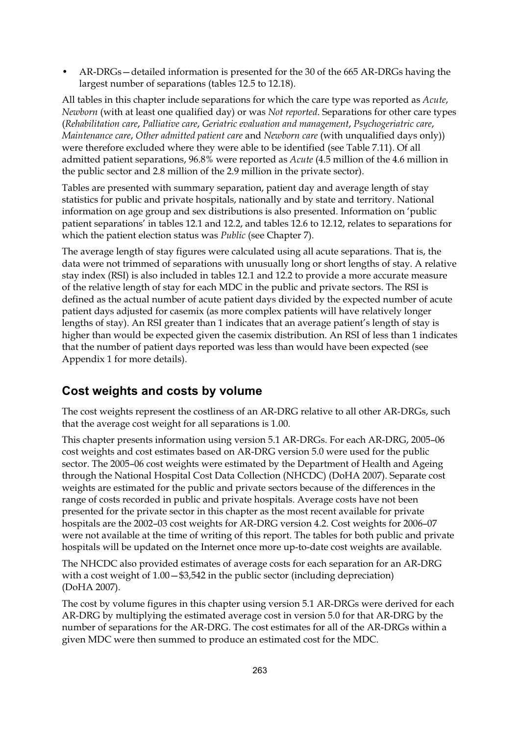• AR-DRGs—detailed information is presented for the 30 of the 665 AR-DRGs having the largest number of separations (tables 12.5 to 12.18).

All tables in this chapter include separations for which the care type was reported as *Acute*, *Newborn* (with at least one qualified day) or was *Not reported*. Separations for other care types (*Rehabilitation care*, *Palliative care*, *Geriatric evaluation and management*, *Psychogeriatric care*, *Maintenance care*, *Other admitted patient care* and *Newborn care* (with unqualified days only)) were therefore excluded where they were able to be identified (see Table 7.11). Of all admitted patient separations, 96.8% were reported as *Acute* (4.5 million of the 4.6 million in the public sector and 2.8 million of the 2.9 million in the private sector).

Tables are presented with summary separation, patient day and average length of stay statistics for public and private hospitals, nationally and by state and territory. National information on age group and sex distributions is also presented. Information on 'public patient separations' in tables 12.1 and 12.2, and tables 12.6 to 12.12, relates to separations for which the patient election status was *Public* (see Chapter 7).

The average length of stay figures were calculated using all acute separations. That is, the data were not trimmed of separations with unusually long or short lengths of stay. A relative stay index (RSI) is also included in tables 12.1 and 12.2 to provide a more accurate measure of the relative length of stay for each MDC in the public and private sectors. The RSI is defined as the actual number of acute patient days divided by the expected number of acute patient days adjusted for casemix (as more complex patients will have relatively longer lengths of stay). An RSI greater than 1 indicates that an average patient's length of stay is higher than would be expected given the casemix distribution. An RSI of less than 1 indicates that the number of patient days reported was less than would have been expected (see Appendix 1 for more details).

#### **Cost weights and costs by volume**

The cost weights represent the costliness of an AR-DRG relative to all other AR-DRGs, such that the average cost weight for all separations is 1.00.

This chapter presents information using version 5.1 AR-DRGs. For each AR-DRG, 2005–06 cost weights and cost estimates based on AR-DRG version 5.0 were used for the public sector. The 2005–06 cost weights were estimated by the Department of Health and Ageing through the National Hospital Cost Data Collection (NHCDC) (DoHA 2007). Separate cost weights are estimated for the public and private sectors because of the differences in the range of costs recorded in public and private hospitals. Average costs have not been presented for the private sector in this chapter as the most recent available for private hospitals are the 2002–03 cost weights for AR-DRG version 4.2. Cost weights for 2006–07 were not available at the time of writing of this report. The tables for both public and private hospitals will be updated on the Internet once more up-to-date cost weights are available.

The NHCDC also provided estimates of average costs for each separation for an AR-DRG with a cost weight of  $1.00 - $3,542$  in the public sector (including depreciation) (DoHA 2007).

The cost by volume figures in this chapter using version 5.1 AR-DRGs were derived for each AR-DRG by multiplying the estimated average cost in version 5.0 for that AR-DRG by the number of separations for the AR-DRG. The cost estimates for all of the AR-DRGs within a given MDC were then summed to produce an estimated cost for the MDC.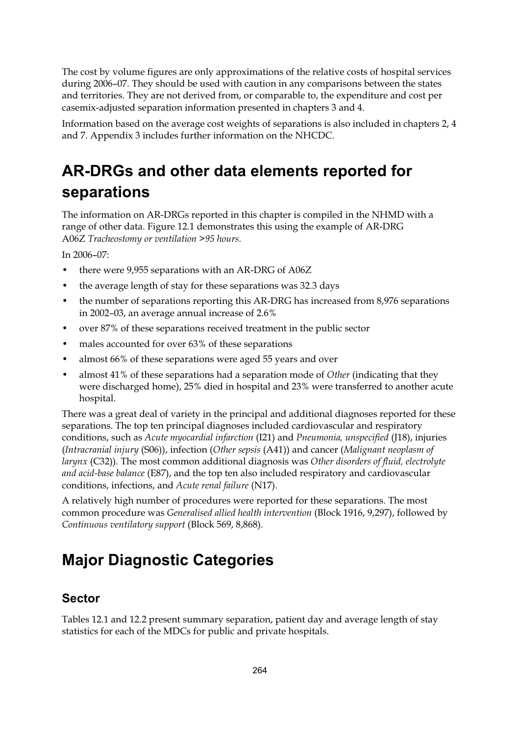The cost by volume figures are only approximations of the relative costs of hospital services during 2006–07. They should be used with caution in any comparisons between the states and territories. They are not derived from, or comparable to, the expenditure and cost per casemix-adjusted separation information presented in chapters 3 and 4.

Information based on the average cost weights of separations is also included in chapters 2, 4 and 7. Appendix 3 includes further information on the NHCDC.

# **AR-DRGs and other data elements reported for separations**

The information on AR-DRGs reported in this chapter is compiled in the NHMD with a range of other data. Figure 12.1 demonstrates this using the example of AR-DRG A06Z *Tracheostomy or ventilation >95 hours*.

In 2006–07:

- there were 9,955 separations with an AR-DRG of A06Z
- the average length of stay for these separations was 32.3 days
- the number of separations reporting this AR-DRG has increased from 8,976 separations in 2002–03, an average annual increase of 2.6%
- over 87% of these separations received treatment in the public sector
- males accounted for over 63% of these separations
- almost 66% of these separations were aged 55 years and over
- almost 41% of these separations had a separation mode of *Other* (indicating that they were discharged home), 25% died in hospital and 23% were transferred to another acute hospital.

There was a great deal of variety in the principal and additional diagnoses reported for these separations. The top ten principal diagnoses included cardiovascular and respiratory conditions, such as *Acute myocardial infarction* (I21) and *Pneumonia, unspecified* (J18), injuries (*Intracranial injury* (S06)), infection (*Other sepsis* (A41)) and cancer (*Malignant neoplasm of larynx* (C32)). The most common additional diagnosis was *Other disorders of fluid, electrolyte and acid-base balance* (E87), and the top ten also included respiratory and cardiovascular conditions, infections, and *Acute renal failure* (N17).

A relatively high number of procedures were reported for these separations. The most common procedure was *Generalised allied health intervention* (Block 1916, 9,297), followed by *Continuous ventilatory support* (Block 569, 8,868).

# **Major Diagnostic Categories**

#### **Sector**

Tables 12.1 and 12.2 present summary separation, patient day and average length of stay statistics for each of the MDCs for public and private hospitals.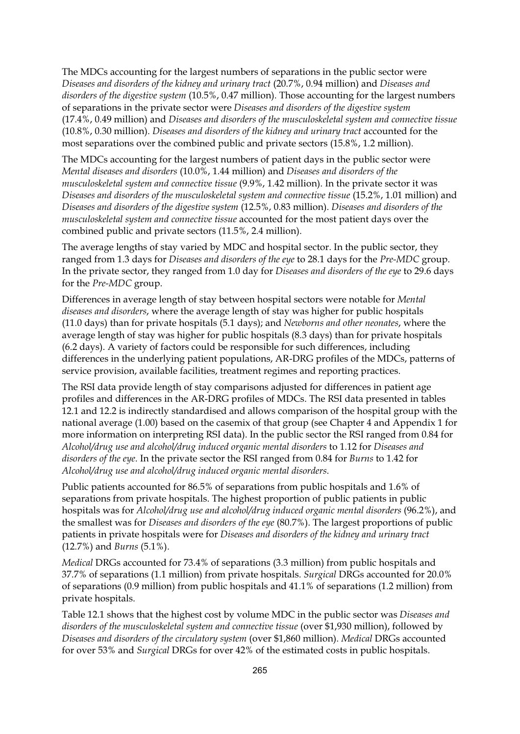The MDCs accounting for the largest numbers of separations in the public sector were *Diseases and disorders of the kidney and urinary tract* (20.7%, 0.94 million) and *Diseases and disorders of the digestive system* (10.5%, 0.47 million). Those accounting for the largest numbers of separations in the private sector were *Diseases and disorders of the digestive system* (17.4%, 0.49 million) and *Diseases and disorders of the musculoskeletal system and connective tissue* (10.8%, 0.30 million). *Diseases and disorders of the kidney and urinary tract* accounted for the most separations over the combined public and private sectors (15.8%, 1.2 million).

The MDCs accounting for the largest numbers of patient days in the public sector were *Mental diseases and disorders* (10.0%, 1.44 million) and *Diseases and disorders of the musculoskeletal system and connective tissue* (9.9%, 1.42 million). In the private sector it was *Diseases and disorders of the musculoskeletal system and connective tissue* (15.2%, 1.01 million) and *Diseases and disorders of the digestive system* (12.5%, 0.83 million). *Diseases and disorders of the musculoskeletal system and connective tissue* accounted for the most patient days over the combined public and private sectors (11.5%, 2.4 million).

The average lengths of stay varied by MDC and hospital sector. In the public sector, they ranged from 1.3 days for *Diseases and disorders of the eye* to 28.1 days for the *Pre-MDC* group. In the private sector, they ranged from 1.0 day for *Diseases and disorders of the eye* to 29.6 days for the *Pre-MDC* group.

Differences in average length of stay between hospital sectors were notable for *Mental diseases and disorders*, where the average length of stay was higher for public hospitals (11.0 days) than for private hospitals (5.1 days); and *Newborns and other neonates*, where the average length of stay was higher for public hospitals (8.3 days) than for private hospitals (6.2 days). A variety of factors could be responsible for such differences, including differences in the underlying patient populations, AR-DRG profiles of the MDCs, patterns of service provision, available facilities, treatment regimes and reporting practices.

The RSI data provide length of stay comparisons adjusted for differences in patient age profiles and differences in the AR-DRG profiles of MDCs. The RSI data presented in tables 12.1 and 12.2 is indirectly standardised and allows comparison of the hospital group with the national average (1.00) based on the casemix of that group (see Chapter 4 and Appendix 1 for more information on interpreting RSI data). In the public sector the RSI ranged from 0.84 for *Alcohol/drug use and alcohol/drug induced organic mental disorders* to 1.12 for *Diseases and disorders of the eye*. In the private sector the RSI ranged from 0.84 for *Burns* to 1.42 for *Alcohol/drug use and alcohol/drug induced organic mental disorders*.

Public patients accounted for 86.5% of separations from public hospitals and 1.6% of separations from private hospitals. The highest proportion of public patients in public hospitals was for *Alcohol/drug use and alcohol/drug induced organic mental disorders* (96.2%), and the smallest was for *Diseases and disorders of the eye* (80.7%). The largest proportions of public patients in private hospitals were for *Diseases and disorders of the kidney and urinary tract* (12.7%) and *Burns* (5.1%).

*Medical* DRGs accounted for 73.4% of separations (3.3 million) from public hospitals and 37.7% of separations (1.1 million) from private hospitals. *Surgical* DRGs accounted for 20.0% of separations (0.9 million) from public hospitals and 41.1% of separations (1.2 million) from private hospitals.

Table 12.1 shows that the highest cost by volume MDC in the public sector was *Diseases and disorders of the musculoskeletal system and connective tissue* (over \$1,930 million), followed by *Diseases and disorders of the circulatory system* (over \$1,860 million). *Medical* DRGs accounted for over 53% and *Surgical* DRGs for over 42% of the estimated costs in public hospitals.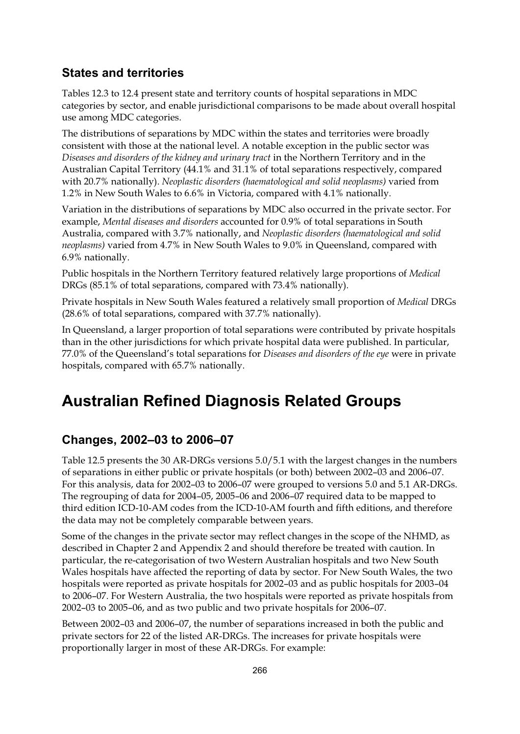#### **States and territories**

Tables 12.3 to 12.4 present state and territory counts of hospital separations in MDC categories by sector, and enable jurisdictional comparisons to be made about overall hospital use among MDC categories.

The distributions of separations by MDC within the states and territories were broadly consistent with those at the national level. A notable exception in the public sector was *Diseases and disorders of the kidney and urinary tract* in the Northern Territory and in the Australian Capital Territory (44.1% and 31.1% of total separations respectively, compared with 20.7% nationally). *Neoplastic disorders (haematological and solid neoplasms)* varied from 1.2% in New South Wales to 6.6% in Victoria, compared with 4.1% nationally.

Variation in the distributions of separations by MDC also occurred in the private sector. For example, *Mental diseases and disorders* accounted for 0.9% of total separations in South Australia, compared with 3.7% nationally, and *Neoplastic disorders (haematological and solid neoplasms)* varied from 4.7% in New South Wales to 9.0% in Queensland, compared with 6.9% nationally.

Public hospitals in the Northern Territory featured relatively large proportions of *Medical* DRGs (85.1% of total separations, compared with 73.4% nationally).

Private hospitals in New South Wales featured a relatively small proportion of *Medical* DRGs (28.6% of total separations, compared with 37.7% nationally).

In Queensland, a larger proportion of total separations were contributed by private hospitals than in the other jurisdictions for which private hospital data were published. In particular, 77.0% of the Queensland's total separations for *Diseases and disorders of the eye* were in private hospitals, compared with 65.7% nationally.

## **Australian Refined Diagnosis Related Groups**

### **Changes, 2002–03 to 2006–07**

Table 12.5 presents the 30 AR-DRGs versions 5.0/5.1 with the largest changes in the numbers of separations in either public or private hospitals (or both) between 2002–03 and 2006–07. For this analysis, data for 2002–03 to 2006–07 were grouped to versions 5.0 and 5.1 AR-DRGs. The regrouping of data for 2004–05, 2005–06 and 2006–07 required data to be mapped to third edition ICD-10-AM codes from the ICD-10-AM fourth and fifth editions, and therefore the data may not be completely comparable between years.

Some of the changes in the private sector may reflect changes in the scope of the NHMD, as described in Chapter 2 and Appendix 2 and should therefore be treated with caution. In particular, the re-categorisation of two Western Australian hospitals and two New South Wales hospitals have affected the reporting of data by sector. For New South Wales, the two hospitals were reported as private hospitals for 2002–03 and as public hospitals for 2003–04 to 2006–07. For Western Australia, the two hospitals were reported as private hospitals from 2002–03 to 2005–06, and as two public and two private hospitals for 2006–07.

Between 2002–03 and 2006–07, the number of separations increased in both the public and private sectors for 22 of the listed AR-DRGs. The increases for private hospitals were proportionally larger in most of these AR-DRGs. For example: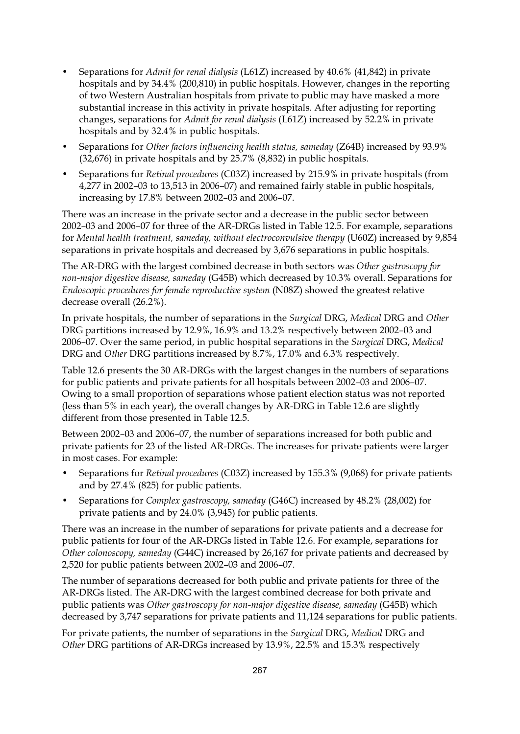- Separations for *Admit for renal dialysis* (L61Z) increased by 40.6% (41,842) in private hospitals and by 34.4% (200,810) in public hospitals. However, changes in the reporting of two Western Australian hospitals from private to public may have masked a more substantial increase in this activity in private hospitals. After adjusting for reporting changes, separations for *Admit for renal dialysis* (L61Z) increased by 52.2% in private hospitals and by 32.4% in public hospitals.
- Separations for *Other factors influencing health status, sameday* (Z64B) increased by 93.9% (32,676) in private hospitals and by 25.7% (8,832) in public hospitals.
- Separations for *Retinal procedures* (C03Z) increased by 215.9% in private hospitals (from 4,277 in 2002–03 to 13,513 in 2006–07) and remained fairly stable in public hospitals, increasing by 17.8% between 2002–03 and 2006–07.

There was an increase in the private sector and a decrease in the public sector between 2002–03 and 2006–07 for three of the AR-DRGs listed in Table 12.5. For example, separations for *Mental health treatment, sameday, without electroconvulsive therapy* (U60Z) increased by 9,854 separations in private hospitals and decreased by 3,676 separations in public hospitals.

The AR-DRG with the largest combined decrease in both sectors was *Other gastroscopy for non-major digestive disease, sameday* (G45B) which decreased by 10.3% overall. Separations for *Endoscopic procedures for female reproductive system* (N08Z) showed the greatest relative decrease overall (26.2%).

In private hospitals, the number of separations in the *Surgical* DRG, *Medical* DRG and *Other* DRG partitions increased by 12.9%, 16.9% and 13.2% respectively between 2002–03 and 2006–07. Over the same period, in public hospital separations in the *Surgical* DRG, *Medical* DRG and *Other* DRG partitions increased by 8.7%, 17.0% and 6.3% respectively.

Table 12.6 presents the 30 AR-DRGs with the largest changes in the numbers of separations for public patients and private patients for all hospitals between 2002–03 and 2006–07. Owing to a small proportion of separations whose patient election status was not reported (less than 5% in each year), the overall changes by AR-DRG in Table 12.6 are slightly different from those presented in Table 12.5.

Between 2002–03 and 2006–07, the number of separations increased for both public and private patients for 23 of the listed AR-DRGs. The increases for private patients were larger in most cases. For example:

- Separations for *Retinal procedures* (C03Z) increased by 155.3% (9,068) for private patients and by 27.4% (825) for public patients.
- Separations for *Complex gastroscopy, sameday* (G46C) increased by 48.2% (28,002) for private patients and by 24.0% (3,945) for public patients.

There was an increase in the number of separations for private patients and a decrease for public patients for four of the AR-DRGs listed in Table 12.6. For example, separations for *Other colonoscopy, sameday* (G44C) increased by 26,167 for private patients and decreased by 2,520 for public patients between 2002–03 and 2006–07.

The number of separations decreased for both public and private patients for three of the AR-DRGs listed. The AR-DRG with the largest combined decrease for both private and public patients was *Other gastroscopy for non-major digestive disease, sameday* (G45B) which decreased by 3,747 separations for private patients and 11,124 separations for public patients.

For private patients, the number of separations in the *Surgical* DRG, *Medical* DRG and *Other* DRG partitions of AR-DRGs increased by 13.9%, 22.5% and 15.3% respectively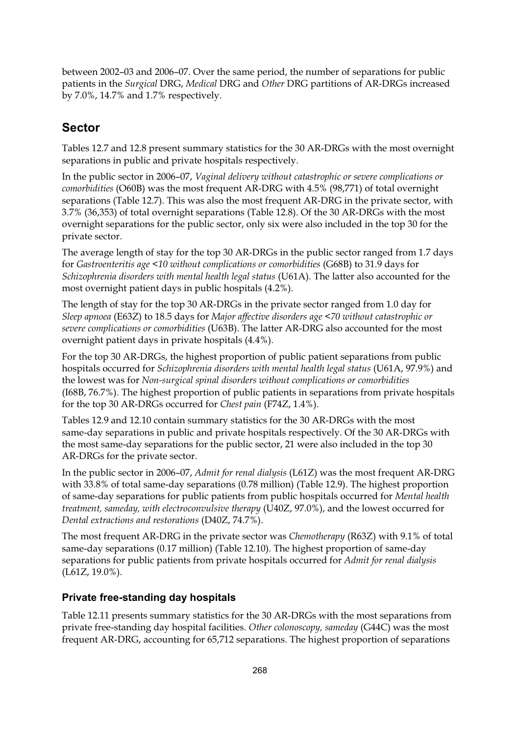between 2002–03 and 2006–07. Over the same period, the number of separations for public patients in the *Surgical* DRG, *Medical* DRG and *Other* DRG partitions of AR-DRGs increased by 7.0%, 14.7% and 1.7% respectively.

### **Sector**

Tables 12.7 and 12.8 present summary statistics for the 30 AR-DRGs with the most overnight separations in public and private hospitals respectively.

In the public sector in 2006–07, *Vaginal delivery without catastrophic or severe complications or comorbidities* (O60B) was the most frequent AR-DRG with 4.5% (98,771) of total overnight separations (Table 12.7). This was also the most frequent AR-DRG in the private sector, with 3.7% (36,353) of total overnight separations (Table 12.8). Of the 30 AR-DRGs with the most overnight separations for the public sector, only six were also included in the top 30 for the private sector.

The average length of stay for the top 30 AR-DRGs in the public sector ranged from 1.7 days for *Gastroenteritis age <10 without complications or comorbidities* (G68B) to 31.9 days for *Schizophrenia disorders with mental health legal status* (U61A). The latter also accounted for the most overnight patient days in public hospitals (4.2%).

The length of stay for the top 30 AR-DRGs in the private sector ranged from 1.0 day for *Sleep apnoea* (E63Z) to 18.5 days for *Major affective disorders age <70 without catastrophic or severe complications or comorbidities* (U63B). The latter AR-DRG also accounted for the most overnight patient days in private hospitals (4.4%).

For the top 30 AR-DRGs, the highest proportion of public patient separations from public hospitals occurred for *Schizophrenia disorders with mental health legal status* (U61A, 97.9%) and the lowest was for *Non-surgical spinal disorders without complications or comorbidities* (I68B, 76.7%). The highest proportion of public patients in separations from private hospitals for the top 30 AR-DRGs occurred for *Chest pain* (F74Z, 1.4%).

Tables 12.9 and 12.10 contain summary statistics for the 30 AR-DRGs with the most same-day separations in public and private hospitals respectively. Of the 30 AR-DRGs with the most same-day separations for the public sector, 21 were also included in the top 30 AR-DRGs for the private sector.

In the public sector in 2006–07, *Admit for renal dialysis* (L61Z) was the most frequent AR-DRG with 33.8% of total same-day separations (0.78 million) (Table 12.9). The highest proportion of same-day separations for public patients from public hospitals occurred for *Mental health treatment, sameday, with electroconvulsive therapy* (U40Z, 97.0%), and the lowest occurred for *Dental extractions and restorations* (D40Z, 74.7%).

The most frequent AR-DRG in the private sector was *Chemotherapy* (R63Z) with 9.1% of total same-day separations (0.17 million) (Table 12.10). The highest proportion of same-day separations for public patients from private hospitals occurred for *Admit for renal dialysis* (L61Z, 19.0%).

#### **Private free-standing day hospitals**

Table 12.11 presents summary statistics for the 30 AR-DRGs with the most separations from private free-standing day hospital facilities. *Other colonoscopy, sameday* (G44C) was the most frequent AR-DRG, accounting for 65,712 separations. The highest proportion of separations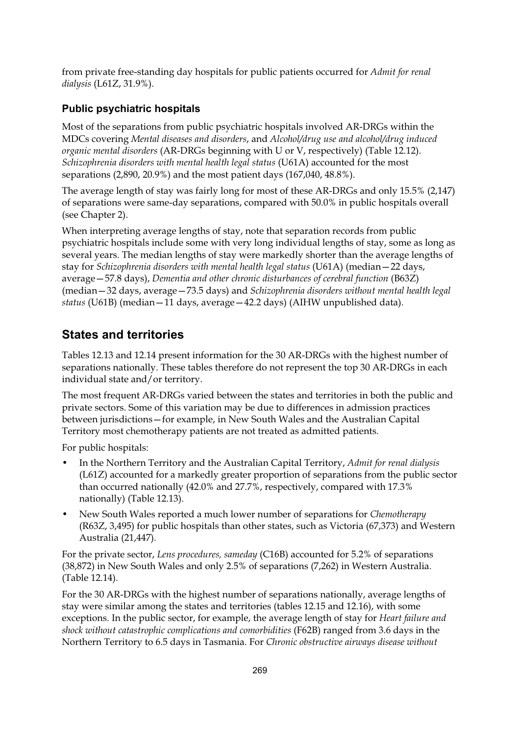from private free-standing day hospitals for public patients occurred for *Admit for renal dialysis* (L61Z, 31.9%).

#### **Public psychiatric hospitals**

Most of the separations from public psychiatric hospitals involved AR-DRGs within the MDCs covering *Mental diseases and disorders*, and *Alcohol/drug use and alcohol/drug induced organic mental disorders* (AR-DRGs beginning with U or V, respectively) (Table 12.12). *Schizophrenia disorders with mental health legal status* (U61A) accounted for the most separations (2,890, 20.9%) and the most patient days (167,040, 48.8%).

The average length of stay was fairly long for most of these AR-DRGs and only 15.5% (2,147) of separations were same-day separations, compared with 50.0% in public hospitals overall (see Chapter 2).

When interpreting average lengths of stay, note that separation records from public psychiatric hospitals include some with very long individual lengths of stay, some as long as several years. The median lengths of stay were markedly shorter than the average lengths of stay for *Schizophrenia disorders with mental health legal status* (U61A) (median—22 days, average—57.8 days), *Dementia and other chronic disturbances of cerebral function* (B63Z) (median—32 days, average—73.5 days) and *Schizophrenia disorders without mental health legal status* (U61B) (median—11 days, average—42.2 days) (AIHW unpublished data).

### **States and territories**

Tables 12.13 and 12.14 present information for the 30 AR-DRGs with the highest number of separations nationally. These tables therefore do not represent the top 30 AR-DRGs in each individual state and/or territory.

The most frequent AR-DRGs varied between the states and territories in both the public and private sectors. Some of this variation may be due to differences in admission practices between jurisdictions—for example, in New South Wales and the Australian Capital Territory most chemotherapy patients are not treated as admitted patients.

For public hospitals:

- In the Northern Territory and the Australian Capital Territory, *Admit for renal dialysis* (L61Z) accounted for a markedly greater proportion of separations from the public sector than occurred nationally (42.0% and 27.7%, respectively, compared with 17.3% nationally) (Table 12.13).
- New South Wales reported a much lower number of separations for *Chemotherapy*  (R63Z, 3,495) for public hospitals than other states, such as Victoria (67,373) and Western Australia (21,447).

For the private sector, *Lens procedures, sameday* (C16B) accounted for 5.2% of separations (38,872) in New South Wales and only 2.5% of separations (7,262) in Western Australia. (Table 12.14).

For the 30 AR-DRGs with the highest number of separations nationally, average lengths of stay were similar among the states and territories (tables 12.15 and 12.16), with some exceptions. In the public sector, for example, the average length of stay for *Heart failure and shock without catastrophic complications and comorbidities* (F62B) ranged from 3.6 days in the Northern Territory to 6.5 days in Tasmania. For *Chronic obstructive airways disease without*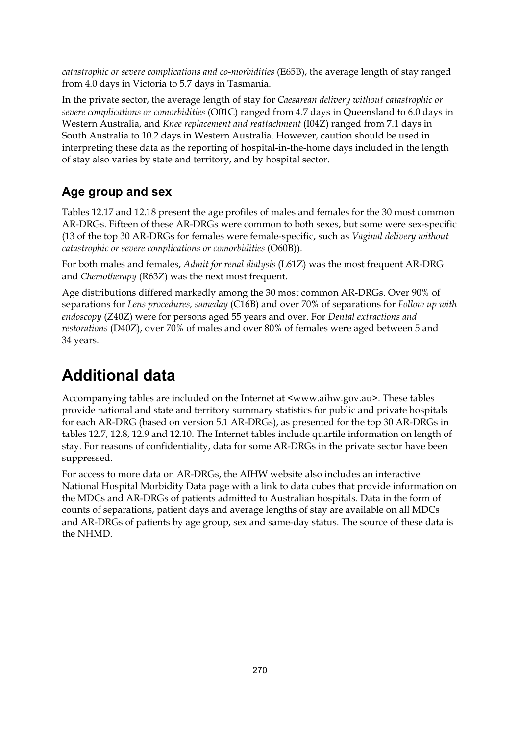*catastrophic or severe complications and co-morbidities* (E65B), the average length of stay ranged from 4.0 days in Victoria to 5.7 days in Tasmania.

In the private sector, the average length of stay for *Caesarean delivery without catastrophic or severe complications or comorbidities* (O01C) ranged from 4.7 days in Queensland to 6.0 days in Western Australia, and *Knee replacement and reattachment* (I04Z) ranged from 7.1 days in South Australia to 10.2 days in Western Australia. However, caution should be used in interpreting these data as the reporting of hospital-in-the-home days included in the length of stay also varies by state and territory, and by hospital sector.

### **Age group and sex**

Tables 12.17 and 12.18 present the age profiles of males and females for the 30 most common AR-DRGs. Fifteen of these AR-DRGs were common to both sexes, but some were sex-specific (13 of the top 30 AR-DRGs for females were female-specific, such as *Vaginal delivery without catastrophic or severe complications or comorbidities* (O60B)).

For both males and females, *Admit for renal dialysis* (L61Z) was the most frequent AR-DRG and *Chemotherapy* (R63Z) was the next most frequent.

Age distributions differed markedly among the 30 most common AR-DRGs. Over 90% of separations for *Lens procedures, sameday* (C16B) and over 70% of separations for *Follow up with endoscopy* (Z40Z) were for persons aged 55 years and over. For *Dental extractions and restorations* (D40Z), over 70% of males and over 80% of females were aged between 5 and 34 years.

# **Additional data**

Accompanying tables are included on the Internet at <www.aihw.gov.au>. These tables provide national and state and territory summary statistics for public and private hospitals for each AR-DRG (based on version 5.1 AR-DRGs), as presented for the top 30 AR-DRGs in tables 12.7, 12.8, 12.9 and 12.10. The Internet tables include quartile information on length of stay. For reasons of confidentiality, data for some AR-DRGs in the private sector have been suppressed.

For access to more data on AR-DRGs, the AIHW website also includes an interactive National Hospital Morbidity Data page with a link to data cubes that provide information on the MDCs and AR-DRGs of patients admitted to Australian hospitals. Data in the form of counts of separations, patient days and average lengths of stay are available on all MDCs and AR-DRGs of patients by age group, sex and same-day status. The source of these data is the NHMD.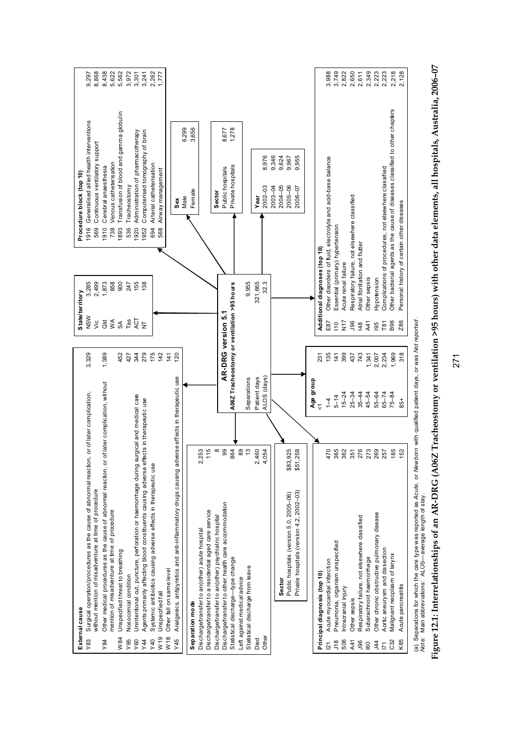| External cause                         |                                                                                            |                      |                                            |                    |                | State/territory                               |      | Procedure block (top 10)                                                     |       |       |
|----------------------------------------|--------------------------------------------------------------------------------------------|----------------------|--------------------------------------------|--------------------|----------------|-----------------------------------------------|------|------------------------------------------------------------------------------|-------|-------|
| Y83                                    | Surgical operation/procedures as the cause of abnormal reaction, or of later complication, |                      |                                            | 3,329              | NSW            | 3,285                                         | 1916 | Generalised allied health interventions                                      |       | 9,297 |
|                                        | without mention of misadventure at time of procedure                                       |                      |                                            |                    | vic            | 2,499                                         | 569  | Continuous ventilatory support                                               |       | 8,868 |
| Y84                                    | Other medical procedures as the cause of abnormal reaction, or of                          |                      | later complication, without                | 1,389              |                | 1,873                                         | 1910 | Cerebral anaesthesia                                                         |       | 8,438 |
|                                        | mention of misadventure at time of procedure                                               |                      |                                            |                    | $\frac{1}{9}$  | 858                                           | 738  | /enous catheterisation                                                       |       | 5,622 |
| W84                                    | Unspecified threat to breathing                                                            |                      |                                            | 452                | $\mathbb S$    | 900                                           | 1893 | Transfusion of blood and gamma globul in                                     |       | 5,562 |
| Y95                                    | Nosocomial condition                                                                       |                      |                                            | 427                | TaS            | 247                                           | 536  | <b>Tracheostomy</b>                                                          |       | 3,972 |
| Y60                                    | Unintentional cut, puncture, perforation or haemorrhage during surgical and medical care   |                      |                                            | 344                | ACT            | 155                                           | 1920 | Administration of phamacotherapy                                             |       | 3,301 |
| Y44                                    | Agents primarily affecting blood constituents causing adverse effects in therapeutic use   |                      |                                            | 279                | $\overline{z}$ | 138                                           | 1952 | Computerised tomography of brain                                             |       | 3,241 |
| Y40                                    |                                                                                            |                      |                                            | 175                |                |                                               | 694  |                                                                              |       | 2,262 |
|                                        | Systemic antibiotics causing adverse effects in therapeutic use                            |                      |                                            |                    |                |                                               |      | Arterial catheterisation                                                     |       |       |
| Unspecified fall<br>W <sub>19</sub>    |                                                                                            |                      |                                            | 142                |                |                                               | 568  | Airway management                                                            |       | 1,777 |
| W <sub>18</sub>                        | Other fall on same level                                                                   |                      |                                            | 141                |                |                                               |      |                                                                              |       |       |
| Y45                                    | Analgesics, antipyretics and anti-inflammatory drugs causing adver                         |                      | se effects in therapeutic use              | <b>SO</b>          |                |                                               |      | Sex                                                                          |       |       |
|                                        |                                                                                            |                      |                                            |                    |                |                                               |      | Male                                                                         | 6,299 |       |
| Separation mode                        |                                                                                            |                      |                                            |                    |                |                                               |      | Female                                                                       | 3,656 |       |
|                                        | Discharge/transfer to an(other) acute hospital                                             | 2,253                |                                            |                    |                |                                               |      |                                                                              |       |       |
|                                        | Discharge/transfer to a residential aged care service                                      | $\mathbf 0$<br>Ξ     |                                            |                    |                |                                               |      |                                                                              |       |       |
|                                        | Discharge/transfer to an(other) psychiatric hospital                                       | $\infty$             |                                            |                    |                |                                               |      | Sector                                                                       |       |       |
|                                        | Discharge/transfer to other health care accommodation                                      | 99                   |                                            | AR-DRG version 5.1 |                |                                               |      | Public hospitals                                                             | 8,677 |       |
|                                        | Statistical discharge-type change                                                          | 864                  | A06Z Tracheostomy or ventilation >95 hours |                    |                |                                               |      | Private hospitals                                                            | 1,278 |       |
| Left against medical advice            |                                                                                            | $_{89}$              |                                            |                    |                |                                               |      |                                                                              |       |       |
|                                        |                                                                                            | $\mathfrak{S}$       |                                            |                    |                |                                               |      |                                                                              |       |       |
| Statistical discharge from leave       |                                                                                            |                      | Separations                                |                    |                | 9,955                                         |      |                                                                              |       |       |
| Died                                   |                                                                                            | 2,460                | Patient days                               |                    |                | 321,665                                       |      | Year                                                                         |       |       |
| Other                                  |                                                                                            | 4<br>4,05            | ALOS (days)                                |                    |                | 32.3                                          |      | 8,976<br>$2002 - 03$                                                         |       |       |
|                                        |                                                                                            |                      |                                            |                    |                |                                               |      | 9,346<br>$2003 - 04$                                                         |       |       |
|                                        | Sector                                                                                     |                      |                                            |                    |                |                                               |      | 9,624<br>$2004 - 05$                                                         |       |       |
|                                        | Public hospitals (version 5.0, 2005-06)                                                    | \$83,925             |                                            |                    |                |                                               |      | 9,967<br>$2005 - 06$                                                         |       |       |
|                                        | Private hospitals (version 4.2, 2002-03)                                                   | \$51,258             |                                            |                    |                |                                               |      | 9,955<br>2006-07                                                             |       |       |
|                                        |                                                                                            |                      | Age group                                  |                    |                |                                               |      |                                                                              |       |       |
| Principal diagnosis (top 10)           |                                                                                            |                      | $\overline{\mathsf{v}}$                    | 231                |                | Additional diagnoses (top 10)                 |      |                                                                              |       |       |
| $\overline{21}$                        | Acute my ocardial infarction                                                               | $\circ$<br>$\bar{4}$ | $\overline{1}$                             | 135                | E87            |                                               |      | Other disorders of fluid, electrolyte and acid-base balance                  |       | 3,988 |
| $\frac{8}{10}$                         | Pneumonia, organism unspecified                                                            | 365                  | $5 - 14$                                   | 141                | $\frac{0}{10}$ | Essential (primary) hypertension              |      |                                                                              |       | 3,749 |
| Intracranial injury<br>S <sub>06</sub> |                                                                                            | 362                  | $15 - 24$                                  | 399                | $\frac{7}{2}$  | Acute renal failure                           |      |                                                                              |       | 2,822 |
| Other sepsis<br>A41                    |                                                                                            | 351                  | $25 - 34$                                  | 437                | <b>J96</b>     | Respiratory failure, not elsewhere classified |      |                                                                              |       | 2,650 |
| <b>J96</b>                             | Respiratory failure, not elsewhere classified                                              | 276                  | $35 - 44$                                  | 743                | 148            | Atrial fibrill ation and flutter              |      |                                                                              |       | 2,611 |
| 60                                     | Subarachnoid haemorrhage                                                                   |                      | $45 - 54$                                  | 1,341              | A41            | Other sepsis                                  |      |                                                                              |       | 2,349 |
| <b>144</b>                             | Other chronic obstructive pulmonary disease                                                | 273<br>269<br>257    | $55 - 64$                                  | 2,007              | 195            | Hypotension                                   |      |                                                                              |       | 2,223 |
| $\overline{1}$                         | Aortic aneurysm and dissection                                                             |                      | $65 - 74$                                  | 2,234              | T81            |                                               |      | Complications of procedures, not elsewhere classified                        |       | 2,223 |
| C32                                    | Malignant neoplasm of larynx                                                               |                      | $75 - 84$                                  | 1,969              | B96            |                                               |      | Other bacterial agents as the cause of diseases classified to other chapters |       | 2,218 |
| Acute pancreatitis<br>K85              |                                                                                            | $185$<br>152         | 85+                                        | 318                | Z86            | Personal history of certain other diseases    |      |                                                                              |       | 2,128 |
|                                        |                                                                                            |                      |                                            |                    |                |                                               |      |                                                                              |       |       |

(a) Separations for which the care type was reported as Acufe, or Newborn with qualified patient days, or was Not reported .<br>Note: Main abbreviations: ALOS—average length of stay. (a) Separations for which the care type was reported as *Acute,* or *Newborn* with qualified patient days, or was *Not reported* . *Note:* Main abbreviations: ALOS—average length of stay.

Figure 12.1: Interrelationships of an AR-DRG (A06Z Tracheostomy or ventilation >95 hours) with other data elements, all hospitals, Australia, 2006-07 **Figure 12.1: Interrelationships of an AR-DRG (A06Z Tracheostomy or ventilation >95 hours) with other data elements, all hospitals, Australia, 2006–07**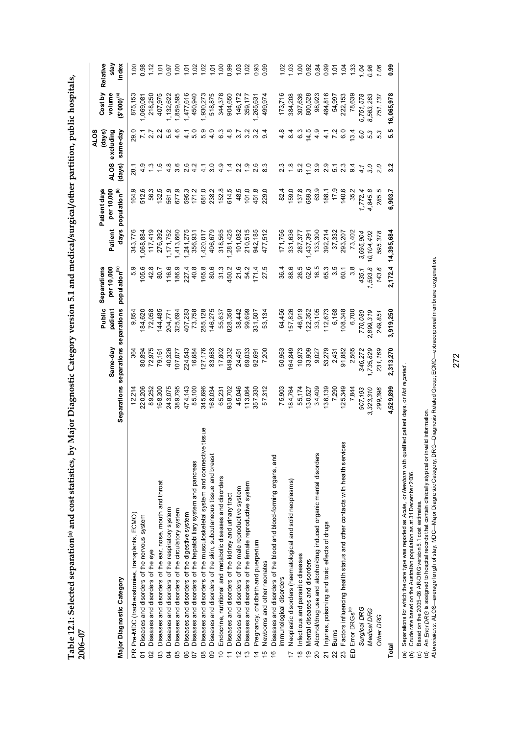Table 12.1: Selected separation® and cost statistics, by Major Diagnostic Category version 5.1 and medical/surgical/other partition, public hospitals, **Table 12.1: Selected separation(a) and cost statistics, by Major Diagnostic Category version 5.1 and medical/surgical/other partition, public hospitals,**   $2006 - 07$ **2006–07** 

|                                                                                                                                                                                                                                                                                                                                                                                                                                                                                                                                                                     |              |                         |                   |                           |            |                                |                   | ALOS              |                   |                  |
|---------------------------------------------------------------------------------------------------------------------------------------------------------------------------------------------------------------------------------------------------------------------------------------------------------------------------------------------------------------------------------------------------------------------------------------------------------------------------------------------------------------------------------------------------------------------|--------------|-------------------------|-------------------|---------------------------|------------|--------------------------------|-------------------|-------------------|-------------------|------------------|
|                                                                                                                                                                                                                                                                                                                                                                                                                                                                                                                                                                     |              | Same-day                | Public<br>patient | per 10,000<br>Separations | Patient    | per 10,000<br>Patient days     | ALOS excluding    | (days)            | Cost by<br>volume | Relative<br>stay |
| Major Diagnostic Category                                                                                                                                                                                                                                                                                                                                                                                                                                                                                                                                           | Separations  | separations separations |                   | population <sup>(b)</sup> |            | days population <sup>(b)</sup> | (days)            | same-day          | $(2,000)_{(c)}$   | index            |
| Pre-MDC (tracheostomies, transplants, ECMO)<br>$\frac{\alpha}{\beta}$                                                                                                                                                                                                                                                                                                                                                                                                                                                                                               | 12,214       | 364                     | 9,854             | 5.9                       | 343,776    | 164.9                          | 28.1              | 29.0              | 875,153           | 00.1             |
| Diseases and disorders of the nervous system<br>5                                                                                                                                                                                                                                                                                                                                                                                                                                                                                                                   | 220,206      | 80,894                  | 184,620           | 105.6                     | 1,068,884  | 512.6                          | 4.9               | $\overline{7}$    | 1,069,081         | 0.98             |
| Diseases and disorders of the eye<br>$\mathcal{S}^{\mathcal{S}}$                                                                                                                                                                                                                                                                                                                                                                                                                                                                                                    | 89,252       | 72,975                  | 72,058            | 42.8                      | 117,419    | 56.3                           |                   | 2.7               | 218,250           | 1.12             |
| Diseases and disorders of the ear, nose, mouth and throat                                                                                                                                                                                                                                                                                                                                                                                                                                                                                                           | 168,300      | 79,161                  | 144,485           | 80.7                      | 276,392    | 132.5                          | 1.6               | 2.2               | 407,975           | 1.01             |
| Diseases and disorders of the respiratory system<br><b>Z</b>                                                                                                                                                                                                                                                                                                                                                                                                                                                                                                        | 243,075      | 40,326                  | 204,771           | 116.6                     | ,171,752   | 561.9                          | 4.8               | 5.6               | ,132,622          | 0.97             |
| Diseases and disorders of the circulatory system<br>95                                                                                                                                                                                                                                                                                                                                                                                                                                                                                                              | 389,795      | 107,077                 | 325,694           | 186.9                     | ,413,660   | 677.9                          | $3.\overline{6}$  | 4.6               | ,859,595          | 1,00             |
| Diseases and disorders of the digestive system<br>8                                                                                                                                                                                                                                                                                                                                                                                                                                                                                                                 | 474,143      | 224,543                 | 407,283           | 227.4                     | 1,241,275  | 595.3                          | 2.6               | 4.1               | 1,477,616         | 101              |
| Diseases and disorders of the hepatobiliary system and pancreas<br>5                                                                                                                                                                                                                                                                                                                                                                                                                                                                                                | 85,100       | 16,684                  | 73,758            | 40.8                      | 356,931    | 171.2                          | 4.2               | 5.0               | 450,940           | 1.02             |
| Diseases and disorders of the musculoskeletal system and connective tissue<br>$\overline{8}$                                                                                                                                                                                                                                                                                                                                                                                                                                                                        | 345,696      | 127,176                 | 285,128           | 165.8                     | 1,420,017  | 681.0                          | $\frac{1}{4}$     | 5.9               | 1,930,273         | 1.02             |
| Diseases and disorders of the skin, subcutaneous tissue and breast<br>80                                                                                                                                                                                                                                                                                                                                                                                                                                                                                            | 168,034      | 83,683                  | 146,275           | 80.6                      | 496,679    | 238.2                          | 3.0               | 4.9               | 518,875           | 1.01             |
| Endocrine, nutritional and metabolic diseases and disorders<br>$\overline{C}$                                                                                                                                                                                                                                                                                                                                                                                                                                                                                       | 65,231       | 17,802                  | 55,637            | 31.3                      | 318,565    | 152.8                          | 4.9               | 6.3               | 344,378           | 1.00             |
| Diseases and disorders of the kidney and urinary tract<br>$\overline{1}$                                                                                                                                                                                                                                                                                                                                                                                                                                                                                            | 938,702      | 349,332                 | 328,358           | 450.2                     | ,281,425   | 614.5                          | 1.4               | $\frac{8}{4}$     | 904,650           | 0.99             |
| Diseases and disorders of the male reproductive system<br>$\tilde{c}$                                                                                                                                                                                                                                                                                                                                                                                                                                                                                               | 45,046       | 24,451                  | 38,442            | 21.6                      | 101,082    | 48.5                           | 2.2               | 3.7               | 146,172           | 1.03             |
| Diseases and disorders of the female reproductive system<br>$\frac{3}{2}$                                                                                                                                                                                                                                                                                                                                                                                                                                                                                           | 113,064      | 69,033                  | 99,699            | 54.2                      | 210,515    | 101.0                          | $\frac{0}{1}$     | 3.2               | 359,177           | 1.02             |
| Pregnancy, childbirth and puerperium<br>$\overline{4}$                                                                                                                                                                                                                                                                                                                                                                                                                                                                                                              | 357,330      | 92,691                  | 331,507           | 171.4                     | 942,185    | 451.8                          | 2.6               | 3.2               | ,265,631          | 0.93             |
| Newborns and other neonates<br>$\frac{1}{2}$                                                                                                                                                                                                                                                                                                                                                                                                                                                                                                                        | 57,312       | 7,200                   | 53,134            | 27.5                      | 477,512    | 229.0                          | 8.3               | တ                 | 499,974           | 0.99             |
| Diseases and disorders of the blood and blood-forming organs, and<br>$\frac{6}{5}$                                                                                                                                                                                                                                                                                                                                                                                                                                                                                  |              |                         |                   |                           |            |                                |                   |                   |                   |                  |
| immunological disorders                                                                                                                                                                                                                                                                                                                                                                                                                                                                                                                                             | 75,903       | 50,963                  | 64,456            | 36.4                      | 171,756    | 82.4                           | 2.3               | $\frac{8}{4}$     | 173,716           | 1.02             |
| Neoplastic disorders (haematological and solid neoplasms)<br>$\overline{1}$                                                                                                                                                                                                                                                                                                                                                                                                                                                                                         | 184,764      | 164,849                 | 57,826            | 88.6                      | 331,636    | 159.0                          | $\frac{8}{1}$     | 8.4               | 384,208           | 1.03             |
| Infectious and parasitic diseases<br>$\frac{8}{3}$                                                                                                                                                                                                                                                                                                                                                                                                                                                                                                                  | 55,174       | 10,973                  | 46,919            | 26.5                      | 287,377    | 137.8                          | 5.2               | 6.3               | 307,636           | 1.00             |
| Mental diseases and disorders<br>ە<br>?                                                                                                                                                                                                                                                                                                                                                                                                                                                                                                                             | 130,527      | 33,909                  | 122,352           | 62.6                      | 1,437,391  | 689.3                          | 11.0              | 14.5              | 800,528           | 0.92             |
| Alcohol/drug use and alcohol/drug induced organic mental disorders<br>$\overline{20}$                                                                                                                                                                                                                                                                                                                                                                                                                                                                               | 34,409       | 9,027                   | 33,105            | 16.5                      | 133,300    | 63.9                           | $3.\overline{9}$  | 4.9               | 98,923            | 0.84             |
| Injuries, poisoning and toxic effects of drugs<br>$\overline{21}$                                                                                                                                                                                                                                                                                                                                                                                                                                                                                                   | 136,139      | 53,279                  | 112,673           | 65.3                      | 392,214    | 188.1                          | 2.9               | $\overline{4}$    | 484,816           | 0.99             |
| <b>Burns</b><br>22                                                                                                                                                                                                                                                                                                                                                                                                                                                                                                                                                  | 7,290        | 2,431                   | 6,168             | 3.5                       | 37,332     | 17.9                           | $\overline{5}$ .1 | 7.2               | 54,997            | 101              |
| Factors influencing health status and other contacts with health services<br>23                                                                                                                                                                                                                                                                                                                                                                                                                                                                                     | 125,349      | 91,882                  | 108,348           | 60.1                      | 293,207    | 140.6                          | 2.3               | $\overline{6}$ .0 | 222,153           | 1.04             |
| Error DRGs <sup>(d)</sup><br>$\Omega$                                                                                                                                                                                                                                                                                                                                                                                                                                                                                                                               | 7,844        | 2,565                   | 6,700             | $3.\overline{8}$          | 73,402     | 35.2                           | 9.4               | 13.4              | 78,639            | 1.33             |
| Surgical DRG                                                                                                                                                                                                                                                                                                                                                                                                                                                                                                                                                        | 907,193      | 346,272                 | 770,080           | 435.1                     | 3,695,904  | 1,772.4                        | 4.1               | 6.0               | 6,751,578         | 1.04             |
| Medical DRG                                                                                                                                                                                                                                                                                                                                                                                                                                                                                                                                                         | 323,310<br>ຕ | 1,735,829               | 2,899,319         | 1,593.8                   | 10,104,402 | 4,845.8                        | 3.0               | 5.3               | 8,563,263         | 0.96             |
| Other DRG                                                                                                                                                                                                                                                                                                                                                                                                                                                                                                                                                           | 299,396      | 231, 169                | 249,851           | 143.6                     | 595,378    | 5<br>285.                      | 2.0               | 5.3               | 751, 137          | 1.06             |
| Total                                                                                                                                                                                                                                                                                                                                                                                                                                                                                                                                                               | 4,529,899    | 2,313,270               | 3,919,250         | 2,172.4                   | 14,395,684 | 6,903.7                        | 3.2               | 5.5               | 16,065,978        | 0.99             |
| Ab <i>breviations:</i> ALOS–average length of stay, MDC–Major Dagnost ic Category; DRG–Diagnosis Related Group; ECMO—extracorporeal membrane oxygenation.<br>Separations for which the care type was reported as Acute, or Newborn with qualified patient days, or Not reported .<br>nvalid information.<br>An Error DRG is assigned to hospital records that contain clinically atypical or i<br>Crude rate based on the Australian population as at 31 December 2006.<br>Based on the 2005-06 AR-DRG version 5.1 cost estimates.<br>$\odot$<br>@<br>$\widehat{e}$ |              |                         |                   |                           |            |                                |                   |                   |                   |                  |
|                                                                                                                                                                                                                                                                                                                                                                                                                                                                                                                                                                     |              |                         |                   |                           |            |                                |                   |                   |                   |                  |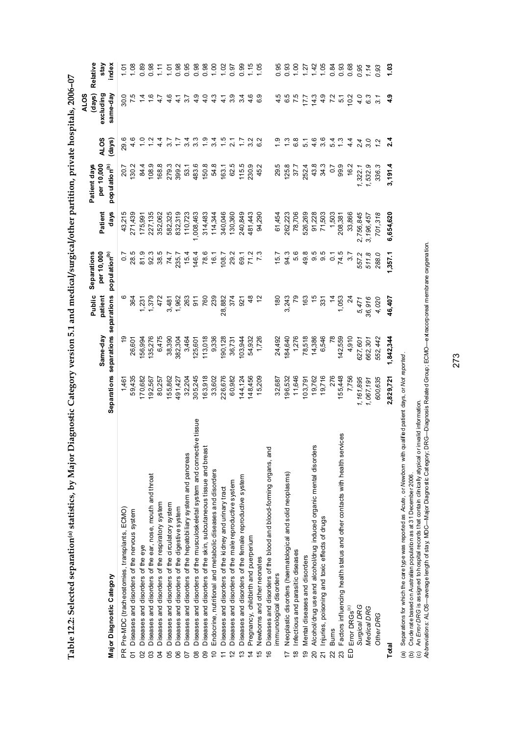| י<br>י                      |
|-----------------------------|
| L                           |
| $\overline{1}$              |
| $\ddot{\phantom{0}}$        |
|                             |
| ֖֖֚֚֚֡֝֬֝֬<br>l             |
|                             |
|                             |
| $\frac{1}{2}$               |
| l                           |
| Î                           |
|                             |
|                             |
| l                           |
|                             |
|                             |
|                             |
|                             |
|                             |
|                             |
|                             |
|                             |
| `{<br>``                    |
|                             |
|                             |
| -<br>1<br>1<br>ı            |
|                             |
| ׇ֚֓                         |
|                             |
| $\frac{1}{2}$               |
| ١                           |
| Ι                           |
|                             |
|                             |
|                             |
|                             |
| j                           |
| $^{14}$ 10If $L_{\rm{max}}$ |
|                             |
|                             |
| ľ                           |
|                             |
|                             |
|                             |
|                             |
|                             |
|                             |
| Í                           |
|                             |
|                             |
|                             |
|                             |
|                             |
| ĺ                           |
| l                           |
|                             |
| I                           |

|                                                                                    |           |                                     |                 |                           |           |                           |                         | <b>ALOS</b>     |                    |
|------------------------------------------------------------------------------------|-----------|-------------------------------------|-----------------|---------------------------|-----------|---------------------------|-------------------------|-----------------|--------------------|
|                                                                                    |           |                                     | Public          | Separations               |           | Patient days              |                         | (days)          | Relative           |
|                                                                                    |           | Same-day                            | patient         | per 10,000                | Patient   | per 10,000                | <b>ALOS</b>             | excluding       | stay               |
| Major Diagnostic Category                                                          |           | Separations separations separations |                 | population <sup>(b)</sup> | days      | population <sup>(b)</sup> | (days)                  | same-day        | index              |
| PR Pre-MDC (tracheostomies, transplants, ECMO)                                     | 1,461     |                                     |                 | 0.7                       | 43,215    | 20.7                      | 29.6                    | 30.0            | $\frac{5}{1}$      |
| Diseases and disorders of the nervous system<br>5                                  | 59,435    | 26,601                              | 364             | 28.5                      | 271,439   | 130.2                     | 4.6                     |                 | 1.08               |
| Diseases and disorders of the eye                                                  | 170,682   | 56,994                              | 1,231           | 81.9                      | 175,991   | 84.4                      |                         |                 | 0.89               |
| Diseases and disorders of the ear, nose, mouth and throat<br>g                     | 192,567   | 135,276                             | 1,379           | 92.3                      | 227,135   | 108.9                     |                         |                 | 0.98               |
| Diseases and disorders of the respiratory system<br>g                              | 80,257    | 6,475                               | 472             | 38.5                      | 352,062   | 168.8                     | प<br>प                  | $\ddot{4}$      | 1.11               |
| Diseases and disorders of the circulatory system<br>95                             | 155,862   | 38,390                              | 3,481           | 74.7                      | 582,325   | 279.3                     | $\overline{3.7}$        | 4.6             | 1.01               |
| Diseases and disorders of the digestive system<br>၆                                | 491,427   | 382,304                             | 1,962           | 235.7                     | 832,319   | 399.2                     | 7.7                     | $\frac{1}{4}$   | 0.98               |
| Diseases and disorders of the hepatobiliary system and pancreas                    | 32,204    | 3,464                               | 263             | 15.4                      | 110,723   | 53.1                      | 3.4                     | 75              | 0.95               |
| Diseases and disorders of the musculoskeletal system and connective tissue<br>8    | 305,245   | 125,601                             | $\overline{5}$  | 146.4                     | 1,008,463 | 483.6                     | $3.\overline{3}$        | 4.9             | 0.98               |
| Diseases and disorders of the skin, subcutaneous tissue and breast<br>ഋ            | 163,918   | 113,018                             | 760             | 78.6                      | 314,483   | 150.8                     | $\frac{0}{1}$           | $\frac{0}{4}$   | 0.98               |
| Endocrine, nutritional and metabolic diseases and disorders<br>₽                   | 33,602    | 9,336                               | 239             | 16.1                      | 114,344   | 54.8                      | 3.4                     | 4.3             | 1,00               |
| Diseases and disorders of the kidney and urinary tract                             | 226,676   | 90,128                              | 28,882          | 108.7                     | 340,046   | 163.1                     | $\ddot{5}$              | 4 <sub>1</sub>  | $1.02$<br>0.97     |
| Diseases and disorders of the male reproductive system                             | 60,982    | 36,731                              | 374             | 29.2                      | 130,360   | 62.5                      |                         | 3.9             |                    |
| Diseases and disorders of the female reproductive system<br>ო                      | 144,124   | 103,944                             | $\overline{5}$  | 69.1                      | 240,849   | 115.5                     |                         | 3.4             | 0.99               |
| Pregnancy, childbirth and puerperium<br>4                                          | 148,456   | 54,932                              |                 | 71.3                      | 481,443   | 230.9                     | 3.2                     | $\frac{6}{4}$   | 1.05               |
| Newborns and other neonates<br>5                                                   | 15,209    | 1,726                               |                 |                           | 94,290    | 45.2                      |                         | 6.9             |                    |
| Diseases and disorders of the blood and blood-forming organs, and<br>$\frac{6}{5}$ |           |                                     |                 |                           |           |                           |                         |                 |                    |
| immunological disorders                                                            | 32,687    | 24,492                              | $rac{180}{150}$ | 15.7                      | 61,454    | 29.5                      |                         | 4.5             | 0.95               |
| Neoplastic disorders (haematological and solid neoplasms)                          | 196,532   | 184,640                             | 3,243           | 94.3                      | 262,223   | 125.8                     |                         | 6.5             | 0.93               |
| Infectious and parasitic diseases<br>$\frac{\infty}{2}$                            | 11,646    | 1,276                               |                 | 5.6                       | 78,706    | 37.7                      | $6.\overline{8}$        | 7.5             | 1,00               |
| Mental diseases and disorders<br>ە<br>ج                                            | 103,79    | 78,518                              | 163             | 49.8                      | 526,269   | 252.4                     | 5.1                     | 17.7            | 1.27               |
| Alcohol/druguse and alcohol/drug induced organic mental disorder<br>20             | 19,762    | 14,386                              | مّ<br>م         | 9.5                       | 91,228    | 43.8                      | $4.\overline{6}$<br>3.6 | 14.3            |                    |
| Injuries, poisoning and toxic effects of drugs                                     | 19,716    | 6,546                               | 331             | 9.5                       | 71,503    | 34.3                      |                         | 4.9             | $1, 42$<br>$1, 05$ |
| <b>Burns</b>                                                                       | 276       | $\overline{78}$                     | $\frac{4}{3}$   | $\overline{C}$            | 1,503     | $\overline{0}$            |                         | $\overline{72}$ |                    |
| Factors influencing health status and other contacts with health services<br>23    | 155,448   | 142,559                             | 1,053           | 74.5                      | 208,381   | 99.9                      | $\frac{54}{4}$          | $\overline{5}$  | 0.93               |
| Error DRGs <sup>(c)</sup><br>$\Omega$                                              | 7,756     | 4,910                               | 24              | 3.7                       | 33,866    | 16.2                      | 4.4                     | 10.2            | 0.68               |
| Surgical DRG                                                                       | 1,161,895 | 627,601                             | 5,471           | 557.2                     | 2,756,845 | 1,322.1                   | $^{2.4}$                | 4.0             | 0.95               |
| Medical DRG                                                                        | 1,067,191 | 662,301                             | 36,916          | 511.8                     | 3,196,457 | 1,532.9                   | 3.0                     | 6.3             | 1.14               |
| Other DRG                                                                          | 600,635   | 552,442                             | 4,020           | 288.0                     | 701,318   | 336.                      |                         | 3.1             | 0.93               |
| Total                                                                              | 2,829,721 | 1,842,344                           | 46,407          | 1,357.1                   | 6,654,620 | 3,191.4                   | $\frac{4}{2}$           | 4.9             | 1.03               |
|                                                                                    |           |                                     |                 |                           |           |                           |                         |                 |                    |

(a) Separations for which the care type was reported as *Acut*e, or New*bor*n with qualified patient days, or Not *reported* .<br>(b) Crude rate based on Australian population as at 31 December 2006.<br>(c) An *Error DR*G is (a) Separations for which the care type was reported as *Acute,* or *Newborn* with qualified patient days, or *Not reported* .

(b) Crude rate based on Australian population as at 31 December 2006.

(c) An *Error DRG* is assigned to hospital records that contain clinically atypical or invalid information.

*Abbreviations:* ALOS—average length of stay; MDC—Major Diagnostic Category; DRG—Diagnosis Related Group; ECMO—extracorporeal membrane oxygenation.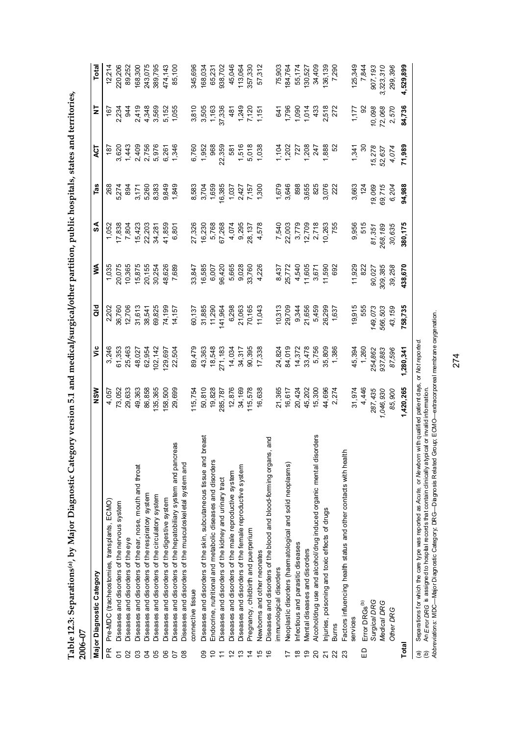|                | 2006-07                                                                |                   |                  |                                                                                                   |                                                                 |                                                      |                                                   |                                                                                                                                                                                                                                                                           |                                                          |                   |
|----------------|------------------------------------------------------------------------|-------------------|------------------|---------------------------------------------------------------------------------------------------|-----------------------------------------------------------------|------------------------------------------------------|---------------------------------------------------|---------------------------------------------------------------------------------------------------------------------------------------------------------------------------------------------------------------------------------------------------------------------------|----------------------------------------------------------|-------------------|
|                | Major Diagnostic Category                                              | NSW               | ۶Ë               | ਰ<br>ਹ                                                                                            | ≸                                                               | SA                                                   | Tas                                               | ξ                                                                                                                                                                                                                                                                         | ż                                                        | Total             |
| PR             | Pre-MDC (tracheostomies, transplants, ECMO)                            | 4,057             | 3,246            | 2,202                                                                                             | 1,035                                                           | 1,052                                                | 268                                               | 187                                                                                                                                                                                                                                                                       | $-167$                                                   | 12,214            |
| δ              | Diseases and disorders of the nervous system                           | 73,052            | 61,353           |                                                                                                   | 20,075                                                          | 17,838                                               |                                                   |                                                                                                                                                                                                                                                                           |                                                          | 220,206           |
| 20             | Diseases and disorders of the eye                                      | 29,633            | 25,463           | 36,760<br>12,706                                                                                  | 10,365                                                          | 7,804                                                | 5,274<br>894                                      |                                                                                                                                                                                                                                                                           | 2,234<br>944                                             | 89,252            |
| 3              | Diseases and disorders of the ear, nose, mouth and throat              | 49,363            | 48,027           |                                                                                                   | 15,875                                                          |                                                      |                                                   |                                                                                                                                                                                                                                                                           |                                                          | 168,300           |
| $\beta$        | Diseases and disorders of the respiratory system                       | 86,858            | 62,954           | 31,613<br>38,541                                                                                  | 20,155                                                          | 15,423<br>22,203                                     | 3,171<br>5,260                                    |                                                                                                                                                                                                                                                                           |                                                          | 243,075           |
| 80             | Diseases and disorders of the circulatory system                       | 135,365           | 102, 142         | 69,825                                                                                            | 30,254                                                          | 34,281                                               | 8,383                                             | 020<br>0440966<br>04409667<br>06706067                                                                                                                                                                                                                                    | 2,419<br>4,348<br>3,569                                  | 389,795           |
| 8 <sup>o</sup> | Diseases and disorders of the digestive system                         | 158,500           | 129,697          | 74,199                                                                                            | 48,626                                                          | 41,859                                               | 9,849<br>1,849                                    |                                                                                                                                                                                                                                                                           | 5,152<br>1,055                                           | 474,143           |
| 5              | eas<br>Diseases and disorders of the hepatobiliary system and pancr    | 29,699            | 22,504           | 14,157                                                                                            | 7,689                                                           | 6,801                                                |                                                   |                                                                                                                                                                                                                                                                           |                                                          | 85,100            |
| $8^{\circ}$    | Diseases and disorders of the musculoskeletal system and               |                   |                  |                                                                                                   |                                                                 |                                                      |                                                   |                                                                                                                                                                                                                                                                           |                                                          |                   |
|                | connective tissue                                                      | 115,754           | 89,479           | 60,137                                                                                            | 33,847                                                          | 27,326                                               |                                                   |                                                                                                                                                                                                                                                                           |                                                          | 345,696           |
| ဥ              | breast<br>Diseases and disorders of the skin, subcutane ous tissue and | 50,810            | 43,363           |                                                                                                   |                                                                 |                                                      |                                                   |                                                                                                                                                                                                                                                                           |                                                          | 168,034           |
| $\overline{C}$ | Endocrine, nutritional and metabolic diseases and disorders            |                   | 18,548           |                                                                                                   |                                                                 |                                                      |                                                   |                                                                                                                                                                                                                                                                           |                                                          |                   |
| $\tilde{\tau}$ | Diseases and disorders of the kidney and urinary tract                 | 19,828<br>285,787 | 271,183          | 31,885<br>11,290<br>141,964                                                                       | 16,585<br>6,007<br>96,420                                       | 16,230<br>5,768<br>67,268                            | 8,583<br>3,704<br>16,385<br>16,385                | 6,760<br>1,952<br>1,968<br>22,359                                                                                                                                                                                                                                         | 3,810<br>3,505<br>5,7,336<br>37,336                      | 65,231<br>938,702 |
| $\frac{1}{2}$  | Diseases and disorders of the male reproductive system                 | 12,876            | 14,034           |                                                                                                   |                                                                 |                                                      |                                                   |                                                                                                                                                                                                                                                                           |                                                          | 45,046            |
| $\frac{3}{2}$  | Diseases and disorders of the female reproductive system               | 34,169            | 34,317           |                                                                                                   |                                                                 |                                                      |                                                   |                                                                                                                                                                                                                                                                           |                                                          | 113,064           |
| $\overline{4}$ | Pregnancy, childbirth and puerperium                                   | 115,578           | 90,395           | 6,298<br>21,063<br>70,165                                                                         | 5,665<br>9,028<br>33,760                                        | 4,074<br>9,295<br>28,137                             | $7,300$<br>$7,427$<br>$7,57$<br>$7,57$<br>$7,500$ | 581<br>1,516<br>5,018<br>1,038                                                                                                                                                                                                                                            | $481$<br>$729$<br>$75$<br>$75$<br>$75$<br>$75$           | 357,330           |
| $\frac{1}{2}$  | Newborns and other neonates                                            | 16,638            | 17,338           | 11,043                                                                                            | 4,226                                                           | 4,578                                                |                                                   |                                                                                                                                                                                                                                                                           |                                                          | 57,312            |
| $\frac{6}{5}$  | Diseases and disorders of the blood and blood-forming organs, and      |                   |                  |                                                                                                   |                                                                 |                                                      |                                                   |                                                                                                                                                                                                                                                                           |                                                          |                   |
|                | mmunological disorders                                                 | 21,365            |                  |                                                                                                   |                                                                 |                                                      |                                                   |                                                                                                                                                                                                                                                                           |                                                          |                   |
| 7              | Neoplastic disorders (haematological and solid neoplasms)              | 16,617            | 24,824<br>84,019 | $\begin{array}{r} 10,313 \\ 29,709 \\ 9,344 \\ 21,656 \\ 5,459 \\ 26,299 \\ 1,637 \\ \end{array}$ | 8,437<br>25,772<br>25,772<br>4,540<br>4,590<br>11,590<br>11,592 | 7,540<br>22,003<br>3,7709<br>2,718<br>2,755<br>2,755 | 1,679<br>3,646                                    | $\begin{array}{cccc}\n1.04 & 0.08 & 0.000 & 0.000 & 0.000 & 0.000 & 0.000 & 0.000 & 0.000 & 0.000 & 0.000 & 0.000 & 0.000 & 0.000 & 0.000 & 0.000 & 0.000 & 0.000 & 0.000 & 0.000 & 0.000 & 0.000 & 0.000 & 0.000 & 0.000 & 0.000 & 0.000 & 0.000 & 0.000 & 0.000 & 0.00$ | 641<br>1,796<br>1,090<br>433<br>433                      | 75,903<br>184,764 |
| $\frac{8}{1}$  | nfectious and parasitic diseases                                       | 20,424            | 14,372           |                                                                                                   |                                                                 |                                                      |                                                   |                                                                                                                                                                                                                                                                           |                                                          | 55,174<br>130,527 |
| ღ              | Mental diseases and disorders                                          | 45,202            | 33,478           |                                                                                                   |                                                                 |                                                      |                                                   |                                                                                                                                                                                                                                                                           |                                                          |                   |
| $\overline{c}$ | Alcohol/drug use and alcohol/drug induced organic mental disorders     | 15,300            | 5,756            |                                                                                                   |                                                                 |                                                      | 898<br>3,655<br>325                               |                                                                                                                                                                                                                                                                           |                                                          | 34,409            |
| $\overline{2}$ | Injuries, poisoning and toxic effects of drugs                         | 44,696            | 35,809<br>1,386  |                                                                                                   |                                                                 |                                                      | 3,076                                             |                                                                                                                                                                                                                                                                           | 2,518<br>272                                             | 136,139           |
| 22             | <b>Burns</b>                                                           | 2,274             |                  |                                                                                                   |                                                                 |                                                      |                                                   |                                                                                                                                                                                                                                                                           |                                                          | 7,290             |
| 23             | Factors influencing health status and other contads with health        |                   |                  |                                                                                                   |                                                                 |                                                      |                                                   |                                                                                                                                                                                                                                                                           |                                                          |                   |
|                | services                                                               | 31,974            | 45,394           | 19,915                                                                                            | 11,929                                                          | 9,956                                                | 3,663                                             | 1,341                                                                                                                                                                                                                                                                     | 1,177                                                    | 125,349           |
| $\Xi$          | Error DRGs <sup>(b)</sup>                                              | 4,446             | 1,260            | 555                                                                                               | 822                                                             | 515                                                  | 124                                               |                                                                                                                                                                                                                                                                           | $\frac{8}{2}$                                            | 7,844             |
|                | Surgical DRG                                                           | 287,435           | 254,862          | 149,073<br>566,503                                                                                | 90,027                                                          | 81,351<br>268,189                                    | 19,069                                            | 15,278<br>52,637                                                                                                                                                                                                                                                          |                                                          | 907,193           |
|                | Medical DRG                                                            | 046,930           | 937,883          |                                                                                                   | 309,385                                                         |                                                      | 69,715                                            |                                                                                                                                                                                                                                                                           |                                                          | 3,323,310         |
|                | Other DRG                                                              | 85,900            | 87,596           | 43,159                                                                                            | 39,258                                                          | 30,635                                               | 6,204                                             | 4,074                                                                                                                                                                                                                                                                     | $\begin{array}{c} 10,098 \\ 72,068 \\ 2,570 \end{array}$ | 299,396           |
| Total          |                                                                        | 1,420,265         | 1,280,341        | 758,735                                                                                           | 438,670                                                         | 380,175                                              | 94,988                                            | 71,989                                                                                                                                                                                                                                                                    | 84,736                                                   | 4,529,899         |

Table 12.3: Separations<sup>(a)</sup>, by Major Diagnostic Category version 5.1 and medical/surgical/other partition, public hospitals, states and territories, **Table 12.3: Separations(a), by Major Diagnostic Category version 5.1 and medical/surgical/other partition, public hospitals, states and territories,** 

(a) Separations for which the care type was reported as *Acute, or Newborn w*ith qualified patient days, or Mo*t reported.*<br>(b) An *Error DR* G is assigned to hospital records that contain clinically atypical or invalid in (a) Separations for which the care type was reported as *Acute,* or *Newborn* with qualified patient days, or *Not reported.* (b) An *Error DRG* is assigned to hospital records that contain clinically atypical or invalid information.

*Abbreviations:* MDC—Major Diagnostic Category; DRG—Diagnosis Related Group; ECMO—extracorporeal membrane oxygenation.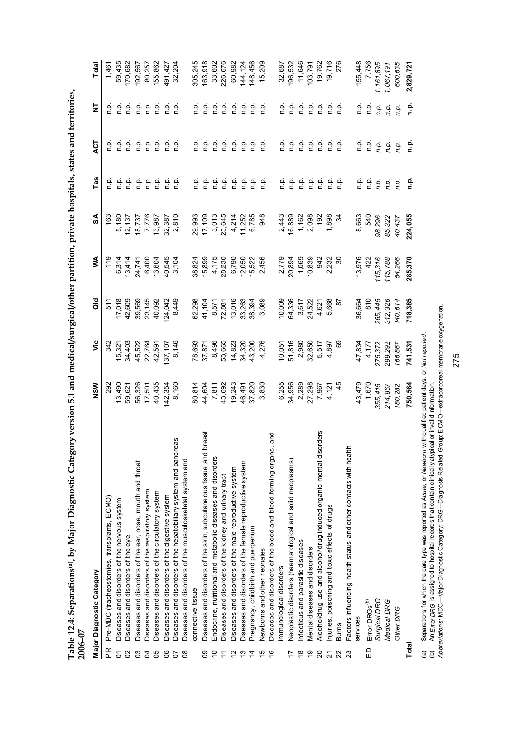|                | Table 12.4: Separations(a), by Major Diagnostic Category version 5.1 and medical/surgical/other partition, private hospitals, states and territories,<br>2006-07 |          |         |                 |         |         |                                                                                               |               |                   |           |
|----------------|------------------------------------------------------------------------------------------------------------------------------------------------------------------|----------|---------|-----------------|---------|---------|-----------------------------------------------------------------------------------------------|---------------|-------------------|-----------|
|                | Major Diagnostic Category                                                                                                                                        | NSW      | ۊ       | $\frac{d}{d}$   | ≸       | SA      | Tas                                                                                           | 15<br>A       | ₹                 | Total     |
| R              | Pre-MDC (tracheostomies, transplants, ECMO)                                                                                                                      | 292      | 342     | 511             | 119     | 163     | o.<br>D                                                                                       | ρ.<br>Γ       | نې<br>د           | 1,461     |
| δ              | Diseases and disorders of the nervous system                                                                                                                     | 13,490   | 15,321  | 17,018          | 6,314   | 5,180   |                                                                                               | ن<br>ء        | غ<br>ء            | 59,435    |
| S              | Diseases and disorders of the eye                                                                                                                                | 59,621   | 34,403  | 42,609          | 13,414  | 12,137  | $\begin{array}{ccc}\n\bullet & \bullet & \bullet \\ \bullet & \bullet & \bullet\n\end{array}$ | ρ.<br>Γ       | غ<br>c            | 170,682   |
| SS             | Diseases and disorders of the ear, nose, mouth and throat                                                                                                        | 56,326   | 45,522  | 39,569          | 24,741  | 18,737  |                                                                                               | ρ.            | غ<br>a            | 192,567   |
| ð              | Diseases and disorders of the respiratory system                                                                                                                 | 17,501   | 22,764  | 23,145          | 6,400   | 7,776   | $\begin{array}{ccc}\n0 & 0 \\ 0 & 0\n\end{array}$                                             | ρ.<br>Γ       | نو                | 80,257    |
| 80             | Diseases and disorders of the circulatory system                                                                                                                 | 40,435   | 42,591  | 40,092          | 13,604  | 13,987  | $\frac{a}{n}$                                                                                 | ن<br>ء        | غ                 | 155,862   |
| ၆              | Diseases and disorders of the digestive system                                                                                                                   | 142,354  | 137,107 | 124,042         | 40,545  | 32,387  | $\frac{a}{c}$                                                                                 | ۹.            | غ                 | 491,427   |
| 8<br><b>PD</b> | Diseases and disorders of the hepatobiliary system and pancreas<br>Diseases and disorders of the musculoskeletal system and                                      | 8,160    | 8,146   | 8,449           | 3,104   | 2,810   | ف<br>n                                                                                        | ف<br>P        | 흔                 | 32,204    |
|                | connective tissue                                                                                                                                                | 80,814   | 78,693  | 62,298          | 38,824  | 29,993  |                                                                                               | ن<br>ء        |                   | 305,245   |
| 8              | preast<br>Diseases and disorders of the skin, subcutaneous tissue and                                                                                            | 44,604   | 37,871  | 41,104          | 15,899  | 17,109  | ن<br>ء                                                                                        | ن<br>ء        | ن<br>ص<br>في<br>ء | 163,918   |
| $\Rightarrow$  | Endocrine, nutritional and metabolic diseases and disorders                                                                                                      | 7,811    | 8,496   | 8,571           | 4,175   | 3,013   |                                                                                               | في            | فه                | 33,602    |
| $\overline{r}$ | Diseases and disorders of the kidney and urinary tract                                                                                                           | 43,692   | 53,665  | 72,881          | 28,230  | 23,645  | $\begin{array}{ccc}\n 2 & 2 & 2 \\  3 & 3 & 2\n \end{array}$                                  | ρ.            | فه                | 226,676   |
| 57             | Diseases and disorders of the male reproductive system                                                                                                           | 19,243   | 14,823  | 13,016          | 6,790   | 4,214   |                                                                                               | ن<br>P        | غ                 | 60,982    |
| 13             | Diseases and disorders of the female reproductive system                                                                                                         | 46,491   | 34,320  | 33,263          | 12,050  | 11,252  |                                                                                               | ن<br>ء        |                   | 144, 124  |
| $\dot{4}$      | Pregnancy, childbirth and puerperium                                                                                                                             | 37,820   | 43,200  | 38,394          | 15,522  | 6,785   |                                                                                               | ف<br>أ        | e e e             | 148,456   |
| 15             | Newborns and other neonates                                                                                                                                      | 3,830    | 4,276   | 3,089           | 2,456   | 948     |                                                                                               | م.<br>n       |                   | 15,209    |
| $\frac{6}{5}$  | Diseases and disorders of the blood and blood-forming organs, and                                                                                                |          |         |                 |         |         |                                                                                               |               |                   |           |
|                | immunological disorders                                                                                                                                          | 6,255    | 10,051  | 10,009          | 2,779   | 2,443   |                                                                                               | ن<br>ء        |                   | 32,687    |
| 17             | Neoplastic disorders (haematological and solid neoplasms)                                                                                                        | 34,956   | 51,816  | 64,336          | 20,894  | 16,889  | ن في<br>د د                                                                                   | ف<br>1        | 음 흔               | 196,532   |
| °€             | nfectious and parasitic diseases                                                                                                                                 | 2,289    | 2,980   | 3,617           | 1,069   | 1,162   | $\frac{a}{c}$                                                                                 | فه            | فه                | 11,646    |
| စ္             | Mental diseases and disorders                                                                                                                                    | 27,298   | 32,650  | 24,522          | 10,839  | 2,098   | ρ.<br>Γ                                                                                       | في            | فہ                | 103,791   |
| $\mathsf{S}$   | Alcohol/drug use and alcohol/drug induced organic mental disorders                                                                                               | 7,967    | 5,517   | 4,621           | 942     | 192     | $\frac{\dot{\mathsf{p}}}{\mathsf{p}}$                                                         | في            | م<br>ء            | 19,762    |
| 21             | Injuries, poisoning and toxic effects of drugs                                                                                                                   | 4,121    | 4,897   | 5,668           | 2,232   | 1,898   |                                                                                               | ن<br>ء        | ف<br>ء            | 19,716    |
| $\mathbf{z}$   | <b>Burns</b>                                                                                                                                                     | 45       | 69      | $\overline{8}$  | వె      | रु      | $\begin{array}{ccc}\n\bullet & \bullet \\ \bullet & \bullet\n\end{array}$                     | n.p.          | فه                | 276       |
|                | Factors influencing health status and other contacts with health                                                                                                 |          |         |                 |         |         |                                                                                               |               |                   |           |
|                | services                                                                                                                                                         | 43,479   | 47,834  | 36,664          | 13,976  | 8,663   | ن<br>ء                                                                                        | ن<br>ء        | م م               | 155,448   |
| G              | Error DRGs <sup>(b)</sup>                                                                                                                                        | 1,670    | 4,177   | $\frac{810}{5}$ | 422     | 540     | $\frac{a}{c}$                                                                                 | $\frac{1}{2}$ | م<br>م            | 7,756     |
|                | Surgical DRG                                                                                                                                                     | 355, 415 | 275,372 | 265,445         | 115,316 | 98,296  |                                                                                               | n.p.          | n.p.              | 1,161,895 |
|                | Medical DRG                                                                                                                                                      | 214,867  | 299,292 | 312,326         | 115,788 | 85,322  | no.<br>no.                                                                                    | n.p.          | n.p.              | 1,067,191 |
|                | Other DRG                                                                                                                                                        | 180,282  | 166,867 | 140,614         | 54,266  | 40,437  | n.p.                                                                                          | n.p.          | ņ,                | 600,635   |
| Total          |                                                                                                                                                                  | 750,564  | 741,531 | 718,385         | 285,370 | 224,055 | م.<br>n                                                                                       | <u>م</u> .    | ف<br>n            | 2,829,721 |

(a) Separations for which the care type was reported as Acu*te, o*r Me*wborn wit*h qualified patient days, or Mo*t reported.*<br>(b) An E*rror D*RG is assigned to hospital records that contain clinically atypical or invalid i (a) Separations for which the care type was reported as *Acute,* or *Newborn* with qualified patient days, or *Not reported*. (b) An *Error DRG* is assigned to hospital records that contain clinically atypical or invalid information.

*Abbreviations:* MDC—Major Diagnostic Category; DRG—Diagnosis Related Group; ECMO—extracorporeal membrane oxygenation.

275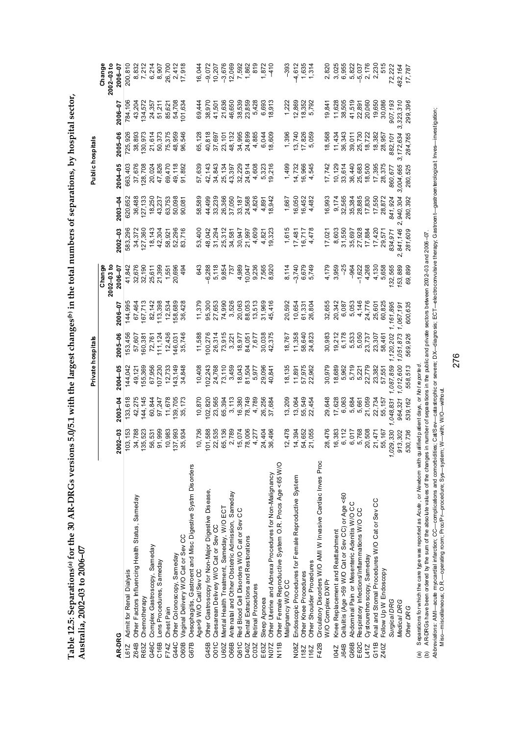Table 12.5: Separations<sup>(a)</sup> for the 30 AR-DRGs versions 5.0/5.1 with the largest changes<sup>(b)</sup> in the total numbers of separations, by hospital sector, **Table 12.5: Separations(a) for the 30 AR-DRGs versions 5.0/5.1 with the largest changes(b) in the total numbers of separations, by hospital sector,**  Australia, 2002-03 to 2006-07 **Australia, 2002–03 to 2006–07** 

|                                                                                                                                                                                                                                                                                                                               |                             |                  | Private hospitals |                  |                  |                           |                  |                  | Public hospitals |                  |                 |                           |
|-------------------------------------------------------------------------------------------------------------------------------------------------------------------------------------------------------------------------------------------------------------------------------------------------------------------------------|-----------------------------|------------------|-------------------|------------------|------------------|---------------------------|------------------|------------------|------------------|------------------|-----------------|---------------------------|
|                                                                                                                                                                                                                                                                                                                               |                             |                  |                   |                  |                  |                           |                  |                  |                  |                  |                 |                           |
|                                                                                                                                                                                                                                                                                                                               |                             |                  |                   |                  |                  | $2002 - 03$ to<br>Chan ge |                  |                  |                  |                  |                 | Change<br>$2002 - 03 to$  |
| AR-DRG                                                                                                                                                                                                                                                                                                                        | $2002 - 03$                 | 2003-04          | 2004-05           | 2005-06          | 2006-07          | 2006-07                   | $2002 - 03$      | $2003 - 04$      | 2004-05          | 2005-06          | 2006-07         | 2006-07                   |
| L61Z Admit for Renal Dialysis                                                                                                                                                                                                                                                                                                 | 103, 153                    | 133,618          | 144,042           | 153,456          | 144,995          | 41,842                    | 583,296          | 620,652          | 663,403          | 725,926          | 784,106         | 200,810                   |
| Other Factors Influencing Health Status, Sameday<br>Z64B                                                                                                                                                                                                                                                                      | 34,788                      | 42,275           | 49,121            | 57,607           | 67,464           | 32,676                    | 34,372           | 36,488           | 37,676           | 38,893           | 43,204          | 8,832                     |
| Chemotherapy<br>R63Z                                                                                                                                                                                                                                                                                                          | 135,523                     | 144,145          | 155,369           | 160,381          | 167,713          | 32,190                    | 127,360          | 127,133          | 28,708           | 130,973          | 134,572         | 7,212                     |
| Complex Gastroscopy, Sameday<br>G46C                                                                                                                                                                                                                                                                                          | 56,531                      | 60,844           | 67,956            | 72,761           | 82,142           | 25,611                    | 18, 143          | 18,250           | 20,024           | 21,614           | 24,357          | 6,214                     |
| Lens Procedures, Sameday<br>C16B                                                                                                                                                                                                                                                                                              | 91,999                      | 97,247           | 107,230           | 111,124          | 113,398          | 21,399                    | 42,304           | 43,237           | 47,826           | 50,373           | 51,211          | 8,907                     |
| Chest Pain<br>F74Z                                                                                                                                                                                                                                                                                                            | 10,983<br>137,993<br>35,934 | 11,678           | 12,733            | 12,436           | 12,534           | 1,551                     | 58,921           | 63,753           | 69,470           | 75,375           | 85,621          | 26,700<br>2,412<br>17,918 |
| Other Colonoscopy, Sameday<br>G44C                                                                                                                                                                                                                                                                                            |                             | 139,705          | 143,149           | 146,031          | 158,689          | 20,696                    | 52,296           | 50,098           | 49,118           | 48,959           | 54,708          |                           |
| Vaginal Delivery W/O Cat or Sev CC<br>O60B                                                                                                                                                                                                                                                                                    |                             | 35,173           | 34,848            | 35,746           | 36,428           | 494                       | 83,716           | 90,081           | 91,892           | 96,546           | 101,634         |                           |
| Oesophagitis, Gastroent and Misc Digestive Systm Disorders<br>G67B                                                                                                                                                                                                                                                            |                             |                  |                   |                  |                  |                           |                  |                  |                  |                  |                 |                           |
| Age>9 W/O Cat/Sev CC                                                                                                                                                                                                                                                                                                          | 10,736                      | 10,870           | 10,408            | 11,588           | 11,379           | 643                       | 53,400           | 58,589           | 57,639           | 65,128           | 69,444          | 16,044                    |
| Other Gastroscopy for Non-Major Digestive Disease,<br>G45B                                                                                                                                                                                                                                                                    | 101,588                     | 102,820          | 102,243           | 100,276          | 95,300           | $-6,288$                  | 48,042           | 44,499           | 42, 143          | 40,818           | 38,970          | $-9,072$                  |
| Caesarean Delivery W/O Cat or Sev CC<br>O01C                                                                                                                                                                                                                                                                                  | 22,535                      | 23,565           | 24,768            | 26,314           | 27,653           | 5,118                     | 31,294           | 33,239           | 34,843           | 37,697           | 41,501          | 10,207                    |
| Mental Health Treatment, Sameday, W/O ECT<br>U60Z                                                                                                                                                                                                                                                                             | 65,136                      | 65,394           | 73,110            | 73,915           | 74,990           | 9,854                     | 25,312           | 26,366           | 25,134           | 23,101           | 21,636          | $-3,676$                  |
| Antenatal and Other Obstetric Admission, Sameday<br>O66B                                                                                                                                                                                                                                                                      | 2,789                       | 3,113            | 3,459             | 3,221            | 3,526            | 737                       | 34,581           | 37,050           | 43,397           | 48,132           | 46,650          | 12,069                    |
| Red Blood Cell Disorders W/O Cat or Sev CC<br>Q61C                                                                                                                                                                                                                                                                            | 15,074                      | 16,380           | 18,043            | 18,977           | 20,063           | 4,989                     | 30,947           | 33,187           | 32,229           | 34,995           | 38,539          | 7,592                     |
| Dental Extractions and Restorations<br>D40Z                                                                                                                                                                                                                                                                                   | 78,006                      | 78,749           | 81,504            | 84,051           | 88,053           | 10,047                    | 21,997           | 24,568           | 24,914           | 24,899           | 23,859          | 1,862                     |
| Retinal Procedures<br>C03Z                                                                                                                                                                                                                                                                                                    | 4,277                       | 4,789            | 5,977             | 7,677            | 13,513           | 9,236                     | 4,609            | 4,826            | 4,608            | 4,885            | 5,428           | 819                       |
| Sleep Apnoea<br>E63Z                                                                                                                                                                                                                                                                                                          | 24,404                      | 26,256<br>37,684 | 29,096            | 30,038<br>42,375 | 31,969           | 7,565<br>8,920            | 4,821            | 4,891            | 5,323            | 6,044            | 6,693           | 1,872                     |
| Other Uterine and Adnexa Procedures for Non-Malignancy<br>N07Z                                                                                                                                                                                                                                                                | 36,496                      |                  | 40,841            |                  | 45,416           |                           | 19,323           | 18,942           | 19,216           | 18,609           | 18,913          | $-410$                    |
| Other Female Reproductive System O.R. Procs Age <65 W/O<br>Malignancy W/O CC<br>N11B                                                                                                                                                                                                                                          | 12,478                      | 13,209           | 18,135            | 18,767           | 20,592           | 8,114                     | 1,615            | 1,667            | 1,499            | 1,396            | 1,222           | $-393$                    |
|                                                                                                                                                                                                                                                                                                                               |                             |                  |                   |                  |                  |                           |                  |                  |                  |                  |                 |                           |
| Endoscopic Procedures for Female Reproductive System<br>Other Knee Procedures<br>N08Z<br><b>18Z</b>                                                                                                                                                                                                                           | 14,394                      | 55,549<br>13,064 | 57,975<br>11,891  | 11,358<br>58,640 | 10,654           | $-3,740$                  | 16,717<br>17,481 | 16,050<br>16,452 | 16,966<br>14,732 | 13,740<br>17,826 | 12,869          | $-4,612$<br>1,635         |
| Other Shoulder Procedures<br>116Z                                                                                                                                                                                                                                                                                             | 54,652<br>21,055            | 22,454           | 22,962            | 24,823           | 61,331<br>26,804 | 6,679<br>5,749            | 4,478            | 4,482            | 4,545            | 5,059            | 18,352<br>5,792 | 1,314                     |
| Circulatory Disorders W/O AMI W Invasive Cardiac Inves Proc<br>F42B                                                                                                                                                                                                                                                           |                             |                  |                   |                  |                  |                           |                  |                  |                  |                  |                 |                           |
| W/O Complex DXPr                                                                                                                                                                                                                                                                                                              | 28,476                      | 29,648           | 30,979            | 30,983           | 32,655           | 4,179                     | 17,021           | 16,993           | 17,742           | 18,568           | 19,841          | 2,820                     |
| Knee Replacement and Reattachment<br><b>LMI</b>                                                                                                                                                                                                                                                                               | 16,383                      | 17,628           | 18,689            | 19,212           | 20,342           | 3,959                     | 8,603            | 9,174            | 10,129           | 11,434           | 11,628          | 3,025                     |
| Cellulitis (Age >59 W/O Cat or Sev CC) or Age <60<br><b>J64B</b>                                                                                                                                                                                                                                                              | 6,112                       | 6,063            | 5,962             | 6,178            | 6,087            | $-25$                     | 31,550           | 32,565           | 33,614           | 36,343           | 38,505          | 6,955                     |
| Abdominal Pain or Mesenteric Adenitis W/O CC<br>G66B                                                                                                                                                                                                                                                                          | 6,017                       | 5,684            | 5,719             | 5,533            | 5,053            | $-964$                    | 35,697           | 35,384           | 36,440           | 39,011           | 41,519          | 5,822                     |
| Respiratory Infections/Inflammations W/O CC<br>E62C                                                                                                                                                                                                                                                                           | 5,768                       | 5,661            | 5,221             | 5,050            | 4,146            | $-1,622$                  | 27,928           | 28,885           | 25,683           | 25,730           | 22,891          | $-5,037$                  |
| Cystourethroscopy, Sameday<br>L41Z                                                                                                                                                                                                                                                                                            | 20,508                      | 21,059           | 22,779            | 23,737           | 24,776           | 4,268                     | 17,884           | 17,830           | 18,500           | 18,722           | 20,060          | 2,176                     |
| Anal and Stomal Procedures W/O Cat or Sev CC<br>G11B                                                                                                                                                                                                                                                                          | 21,471                      | 22,734           | 23,382            | 23,307           | 25,601           | 4,130                     | 17,420           | 17,550           | 17,395           | 18,382           | 19,650          | 2,230                     |
| Follow Up W Endoscopy<br>Z40Z                                                                                                                                                                                                                                                                                                 | 55,167                      | 55,157           | 57,551            | 58,461           | 60,825           | 5,658                     | 29,571           | 28,872           | 28,375           | 28,957           | 30,086          | 515                       |
| Surgical DRG                                                                                                                                                                                                                                                                                                                  | 1,029,330                   | 1,048,831        | 1,087,859         | 1,120,202        | 1,161,895        | 132,565                   | 834,971          | 841, 924         | 860,677          | 882,101          | 907, 193        | 72,222                    |
| Medical DRG                                                                                                                                                                                                                                                                                                                   | 913,302                     | 964,321          | 1,012,600         | 1,051,873        | 1,067,191        | 153,889                   | 2,841,146        | 940, 304<br>N,   | 3,004,665        | 172,634<br>ω,    | 323, 310<br>3,  | 482,164                   |
| Other DRG                                                                                                                                                                                                                                                                                                                     | 530,736                     | 539,162          | 558,513           | 569,926          | 600,635          | 69,899                    | 281,609          | 280,392          | 280,525          | 284,765          | 299,396         | 17,787                    |
| Separations for which the care type was reported as Acute, or Newborn with qualified patient days, or Not reported<br>@                                                                                                                                                                                                       |                             |                  |                   |                  |                  |                           |                  |                  |                  |                  |                 |                           |
| AR-DRGs have been ordered by the sum of the absolute values of the changes in number of separations in the public and private sectors between 2002-03 and 2006-07.<br>ê                                                                                                                                                       |                             |                  |                   |                  |                  |                           |                  |                  |                  |                  |                 |                           |
| Abbreviations: AMI—acute myocardial infarction; CC—complications and comorbidities; Cat/Sev—catastrophic or severe; DX—diagnosis; ECT—electrocorvulsive therapy; Gastroente-gastroenterological; Inves—investigation;<br>Misc--miscellaneous; O.R.---operating room; Proc/Pr--procedure; Sys--system; W--with; W/O---without. |                             |                  |                   |                  |                  |                           |                  |                  |                  |                  |                 |                           |
|                                                                                                                                                                                                                                                                                                                               |                             |                  |                   |                  |                  |                           |                  |                  |                  |                  |                 |                           |
|                                                                                                                                                                                                                                                                                                                               |                             |                  | 276               |                  |                  |                           |                  |                  |                  |                  |                 |                           |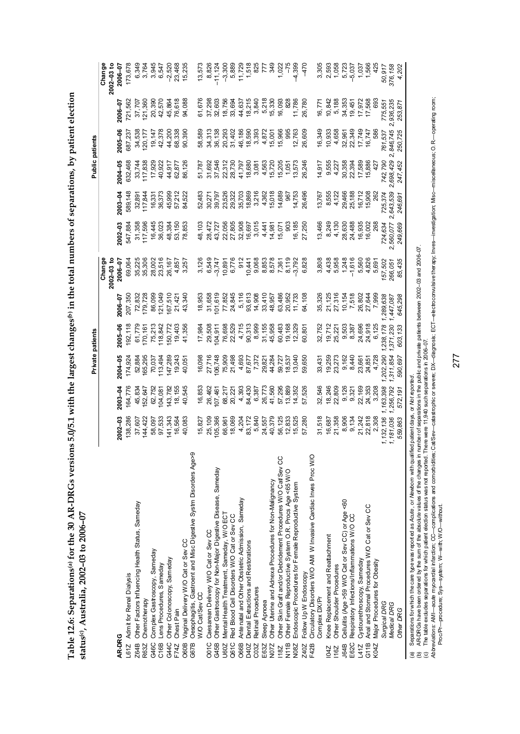Table 12.6: Separations<sup>(a)</sup> for the 30 AR-DRGs versions 5.0/5.1 with the largest changes<sup>(b)</sup> in the total numbers of separations, by patient election **Table 12.6: Separations(a) for the 30 AR-DRGs versions 5.0/5.1 with the largest changes(b) in the total numbers of separations, by patient election**  status<sup>(c)</sup>, Australia, 2002-03 to 2006-07 **status(c), Australia, 2002–03 to 2006–07** 

|                                                                                                          |                      |                    |                           | Private patients                                        |                        |                                                    |                           |                                       |                             | <b>Public patients</b>     |                            |                                           |
|----------------------------------------------------------------------------------------------------------|----------------------|--------------------|---------------------------|---------------------------------------------------------|------------------------|----------------------------------------------------|---------------------------|---------------------------------------|-----------------------------|----------------------------|----------------------------|-------------------------------------------|
|                                                                                                          |                      |                    |                           |                                                         |                        | Change                                             |                           |                                       |                             |                            |                            | Change                                    |
|                                                                                                          |                      |                    |                           |                                                         |                        | $2002 - 03$ to                                     |                           |                                       |                             |                            |                            | $2002 - 03$ to                            |
| AR-DRG                                                                                                   | $2002 - 03$          | $2003 - 04$        | 2004-05                   | 2005-06                                                 | $2006 - 07$            | 2006-07                                            | $2002 - 03$               | $2003 - 04$                           | 2004-05                     | 2005-06                    | $2006 - 07$                | 2006-07                                   |
| Admit for Renal Dialysis<br>L61Z                                                                         | 138,286              | 164,776            | 174,924                   | 192,118                                                 | 207,350                | 69,064                                             | 547,884                   | 589,148                               | 632,468                     | 687,237                    | 721,562                    | 173,678                                   |
| Other Factors Influencing Health Status, Sameday<br>Z64B                                                 | 37,607               | 45,834             | 52,884                    | 61,779                                                  | 72,832                 | 35,225                                             | 31,358                    |                                       |                             | 34,538                     | 37,707                     |                                           |
| Chemotherapy<br>R63Z                                                                                     | 144,422              | 152,647            | 65,295                    | 170,161<br>75,213<br>118,842                            | 179,728                | 35,306                                             | 117,596                   | 32,891<br>117,844<br>16,331<br>36,373 | 33,744<br>117,838<br>17,929 | 120,177                    | 121,360                    | 6,349<br>3,764                            |
| Complex Gastroscopy, Sameday<br>G46C                                                                     | 58,097               | 62,752             |                           |                                                         | 86,099                 | 28,002                                             | 16,445                    |                                       |                             | 19, 147                    | 20,390                     | 3,945                                     |
| Lens Procedures, Sameday<br>C16B                                                                         | 97,533               | 104,081            | 70,037<br>113,494         |                                                         | 121,049                | 23,516                                             | 36,023                    |                                       | 40,922                      | 42,378                     | 42,570                     | 6,547                                     |
| Other Colonoscopy, Sameday<br>G44C                                                                       | 141,343              | 143,782            | 147,289                   | 150,772<br>19,403<br>41,356                             | 167,510                | 26,167                                             | 48,384                    | 45,999<br>57,212<br>84,522            | 44,917<br>62,877            | 44,200                     | 45,864                     | $-2,520$                                  |
| Chest Pain<br>F74Z                                                                                       | 16,564               | 18,155             | 19,243                    |                                                         | 21,421                 | 4,857<br>3,257                                     | 53, 150                   |                                       |                             | 68,338                     | 76,618                     | 23,468<br>15,238                          |
| Vaginal Delivery W/O Cat or Sev CC<br>O60B                                                               | 40,083               | 40,545             | 40,051                    |                                                         | 43,340                 |                                                    | 78,853                    |                                       | 86,126                      | 90,390                     | 94,088                     |                                           |
| Oesophagitis, Gastroent and Misc Digestive Systm Disorders Age>9<br>W/O Cat/Sev CC<br>G67B               | 15,827               | 16,853             | 16,098                    | 17,984                                                  | 18,953                 | 3,126                                              | 48,103                    | 52,483                                | 51,787                      | 58,589                     | 61,676                     | 13,573                                    |
| Caesarean Delivery W/O Cat or Sev CC<br>O01C                                                             | 25,109               | 26,462             | 27,716                    | 29,508                                                  | 31,658                 | 6,549                                              |                           |                                       |                             | 34,313                     | 37,298                     |                                           |
| Other Gastroscopy for Non-Major Digestive Disease, Sameday<br>G45B                                       | 105,366              | 07,461             | 06,748                    | 04,911                                                  | 01,619                 | $-3,747$                                           | 28,472<br>43,727          | 30,271<br>39,797                      | 31,692<br>37,546            | 36,138                     | 32,603                     | 8,826<br>-11,124                          |
| Mental Health Treatment, Sameday, W/O ECT<br>U60Z                                                        | 66,961               | 68,217             | 75,909                    | 76,698                                                  | 77,852                 | 10,891                                             |                           |                                       |                             | 20,293<br>31,402           | 18,756                     |                                           |
| Red Blood Cell Disorders W/O Cat or Sev CC<br>Q61C                                                       | 18,069               | 20,221             | 21,498                    | 22,529                                                  | 24,845                 | 6,776                                              | 22,056<br>27,805          |                                       |                             |                            | 33,694                     |                                           |
| Antenatal and Other Obstetric Admission, Sameday<br><b>O66B</b>                                          | 4,204                | 4,393              |                           |                                                         | 5,116                  |                                                    |                           |                                       |                             |                            | 44,637                     |                                           |
| Dental Extractions and Restorations<br>D40Z                                                              | 83,172               | 84,430             | 4,693<br>87,677<br>87,872 | $\begin{array}{c} 4,715 \\ 90,313 \\ 8,999 \end{array}$ | 93,613<br>14,908       | 912<br>10,441<br>9,068                             | 32,908<br>16,697<br>3,015 |                                       |                             | 46,186<br>18,590<br>3,393  | $18,215$<br>3,840          |                                           |
| Retinal Procedures<br>C03Z                                                                               | 5,840                | 6,387              |                           |                                                         |                        |                                                    |                           |                                       |                             |                            |                            |                                           |
| Sleep Apnoea<br>E63Z                                                                                     | 24,557               | 26,773             | 29,821                    | 31,155                                                  | 33,410                 | 8,853                                              | 4,441                     |                                       |                             | 4,872                      | 5,218                      |                                           |
| Other Uterine and Adnexa Procedures for Non-Malignancy<br>N072                                           | 40,379               | 41,560             | 44,284                    | 45,958                                                  | 48,957                 |                                                    | 14,981<br>15,071          |                                       |                             | 15,001                     | 15,330                     |                                           |
| Other Skin Graft and/or Debridement Procedures W/O Cat/Sev CC<br>18Z                                     | 56,125               | 57,295             | 59,727                    | 60,483                                                  | 63,486<br>20,952       | 8,578<br>7,361<br>8,792<br>9,792                   |                           |                                       |                             | 15,966                     | 16,093                     |                                           |
| Other Female Reproductive System O.R. Procs Age <65 W/O<br>N11B                                          | 12,833               | 13,889             | 18,537                    | 19,168<br>12,328                                        |                        |                                                    | $\tilde{8}$               |                                       |                             | 995                        | $\frac{8}{20}$             |                                           |
| Endoscopic Procedures for Female Reproductive System<br>N08Z                                             | 15,525               | 14,352             | 13,040                    |                                                         | 11,733                 |                                                    | 16,185                    |                                       |                             | 12,763                     | 11,786                     |                                           |
| Circulatory Disorders W/O AMI W Invasive Cardiac Inves Proc W/O<br>Follow Up W Endoscopy<br>F42B<br>Z40Z | 57,280               | 57,526             | 59,650                    | 60,801                                                  | 54,108                 | 6,828                                              | 27,250                    | 26,496                                |                             | 26,609                     | 26,780                     | $\frac{1}{4}$                             |
| Complex DX/Pr                                                                                            | 31,518               | 32,546             | 33,431                    | 32,752                                                  | 35,326                 | 3,808                                              | 13,466                    | 3,767                                 | 14,917                      | 16,349                     | 16,771                     | 3,305                                     |
| Knee Replacement and Reattachment<br><b>104Z</b>                                                         | 16,687               | 18,246             | 19,259                    | 19,712                                                  | 21,125                 | 4,438                                              | 8,249                     |                                       | 9,555                       | 10,933                     | 10,842                     |                                           |
| Other Shoulder Procedures<br>116Z                                                                        | 21,358               | 22,809             | 23,273                    | 25,221                                                  | 27,316                 | 5,958                                              | 4,130                     | 8,555<br>4,122                        | 4,227                       | 4,658                      | 5,188                      |                                           |
| Cellulitis (Age >59 W/O Cat or Sev CC) or Age <60<br><b>J64B</b>                                         | 8,906<br>9,134       | 9, 126<br>9, 321   | 9,162<br>8,440            | 9,503<br>8,387                                          | $\frac{10,154}{7,518}$ | $\frac{1,248}{-1,616}$<br>-1,616<br>5,560<br>4,826 |                           |                                       | 30,358<br>22,394            |                            | 34,353                     | 2,593<br>1,058<br>1,057<br>1,566<br>1,566 |
| Respiratory Infections/Inflammations W/O CC<br>E62C                                                      |                      |                    |                           |                                                         |                        |                                                    | 28,630<br>24,488          |                                       |                             | 32,961<br>22,349<br>17,749 | 19,451<br>17,972<br>17,568 |                                           |
| Cystourethroscopy, Sameday<br>L41Z                                                                       | 21,242<br>22,818     | 22,169             | 23,661                    | 24,696<br>24,918                                        | 26,802                 |                                                    | 16,935<br>16,002          |                                       | 17,589<br>15,886            |                            |                            |                                           |
| Anal and Stomal Procedures W/O Cat or Sev CC<br>G11B                                                     |                      | 24,353             | 24,851                    |                                                         | 27,644                 |                                                    |                           | 29,466<br>25,188<br>16,718<br>15,908  |                             | 16,747                     |                            |                                           |
| Major Procedures for Obesity<br>K04Z                                                                     | 2,308                | 3,208              | 4,728                     | 6,125                                                   | 7,999                  | 5,691                                              | 268                       |                                       | 42                          | 586                        | 69                         | 425                                       |
| Surgical DRG                                                                                             | ,132,136             | 163,398            | 202,29                    | 238,17                                                  | 289,638                | 157,502                                            | 724,634                   | 725,374                               | 742,790                     | 761,537                    | 775,551                    | 50,917                                    |
| Medical DRG<br>Other DRG                                                                                 | 1,181,036<br>559,863 | 256,792<br>572.197 | 590.697<br>.311,85        | 603,133<br>371,230                                      | 645.298<br>447,087     | 85,435<br>266,051                                  | 249,669<br>2,560,077      | 643,539<br>246.691                    | 2,698,429<br>247,452        | 2,846,745<br>250,725       | 936,235<br>253.871         | 376,158<br>4.202                          |
|                                                                                                          |                      |                    |                           |                                                         |                        |                                                    |                           |                                       |                             |                            |                            |                                           |
|                                                                                                          |                      |                    |                           |                                                         |                        |                                                    |                           |                                       |                             |                            |                            |                                           |

(a) Separations for which the care type was reported as *Acute* , or *Newborn* with qualified patient days, or *Not reported*.

(b) AR-DRGs have been ordered by the sum of the absolute values of the changes in number of separations in the public and private patients between 2002–03 and 2006–07.

(c) The table excludes separations for which patient election status was not reported. There were 11,940 such separations in 2006–07.

(a) Separations for which the care type was reported as Acute , or Mewborn with qualified patent days, or Mot reported.<br>(b) ARDRGs have been ordered by the sum of the absolute values of the rearges in rumber of separation Abbreviations: AMI—acute myocardial infarction; CC—complications and comorbidities; CaUSev—catastrophic or severe; DX—diagnosis; ECT—electrocomulstive therapy; Inves-investigation; Msc–miscellaneous; O. R—operating room; Proc/Pr—procedure; Sys—system; W—with; W/O—without.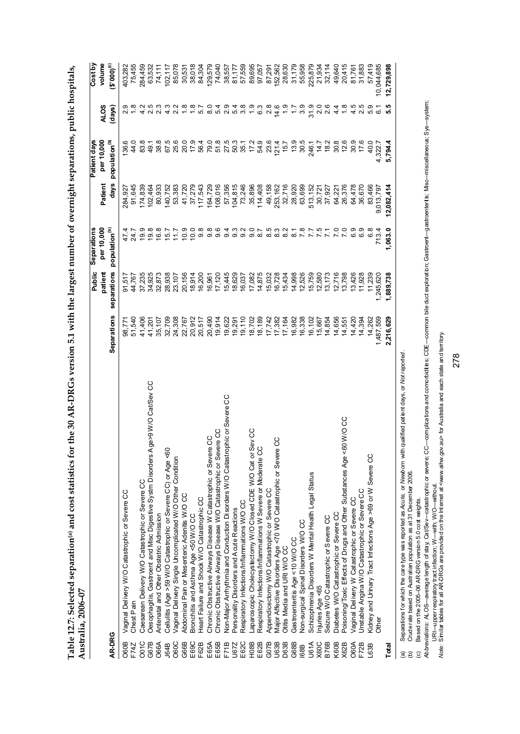| ֖֖֖֖֪ׅ֖֧ׅ֪ׅ֪ׅׅׅ֖֧֖֖֧ׅ֖֧֪ׅ֪֧֚֚֚֚֚֚֚֚֚֚֚֚֚֚֚֚֚֚֚֚֚֚֚֚֚֚֬֝֝֝֝֝֬֝֬֓֬֝֬֝֬֝֬֓֬֝֬֝֬֓֬֝֬ |     |
|----------------------------------------------------------------------------------|-----|
|                                                                                  |     |
|                                                                                  |     |
|                                                                                  |     |
|                                                                                  |     |
|                                                                                  |     |
|                                                                                  |     |
| l                                                                                |     |
|                                                                                  |     |
| י<br>ו<br>ו                                                                      |     |
|                                                                                  |     |
|                                                                                  |     |
|                                                                                  |     |
|                                                                                  |     |
| )<br>יי גם אי                                                                    |     |
|                                                                                  |     |
|                                                                                  |     |
|                                                                                  |     |
|                                                                                  |     |
| ֧ׅ֧֧֚֚֚֚֚֚֚֚֚֚֚֚֚֚֚֚֚֚֚֚֚֚֚֚֚֚֚֚֚֚֬֝֜֓֝֓֝                                        |     |
| $-10$                                                                            |     |
|                                                                                  |     |
|                                                                                  |     |
| ation@ and cost st                                                               |     |
|                                                                                  |     |
|                                                                                  |     |
|                                                                                  |     |
| l                                                                                |     |
|                                                                                  |     |
|                                                                                  | Ĺ   |
| たい こうじょう                                                                         | ミンク |
| $\ddot{\cdot}$                                                                   |     |
| ⊿ו                                                                               |     |
|                                                                                  |     |
| .<br>I                                                                           |     |

|                   |                                                                                                                               |             | Public      | Separations               |            | Patient days              |                  | Cost by    |
|-------------------|-------------------------------------------------------------------------------------------------------------------------------|-------------|-------------|---------------------------|------------|---------------------------|------------------|------------|
|                   |                                                                                                                               |             | patient     | per 10,000                | Patient    | per 10,000                | <b>ALOS</b>      | volume     |
| AR-DRG            |                                                                                                                               | Separations | separations | population <sup>(b)</sup> | days       | population <sup>(b)</sup> | (days)           | (3°000)    |
| O60B              | Vaginal Delivery W/O Catastrophic or Severe CC                                                                                | 98,771      | 91,517      |                           | 284,927    | 136.6                     |                  | 403,282    |
| F74Z              | Chest Pain                                                                                                                    | 51,540      | 44,767      | 24.7                      | 91,645     | 44.0                      |                  | 75,455     |
| OO <sub>1C</sub>  | Caesarean Delivery W/O Catastrophic or Severe CC                                                                              | 41,406      | 37,235      | 19.9                      | 174,839    | 83.8                      |                  | 284,459    |
| G67B              | Oesophagitis, Gastroent and Misc Digestive Systm Disorders Age>9 W/O Cat/Sev CC                                               | 41,201      | 34,925      | 19.8                      | 102,464    | 49.1                      |                  | 63,532     |
| <b>O66A</b>       | Antenatal and Other Obstetric Admission                                                                                       | 35,107      | 32,873      | 16.8                      | 80,933     | 38.8                      | 4 0 0<br>4 0 0   | 74,111     |
| J64B              | Cellulitis (Age > 59 W/O Catastrophic or Severe CC) or Age <60                                                                | 32,709      | 28,938      | 15.7                      | 40,752     | 67.5                      |                  | 102,117    |
| O60C              | Vaginal Delivery Single Uncomplicated W/O Other Condition                                                                     | 24,308      | 23,107      | 11.7                      | 53,383     | 25.6                      |                  | 85,078     |
| G66B              | Abdominal Pain or Mesenteric Adenits W/O CC                                                                                   | 22,767      | 20,156      | 0.9                       | 41,720     | 20.0                      |                  | 30,531     |
| E <sub>69</sub> C | Bronchitis and Asthma Age <50 W/O CC                                                                                          | 20,912      | 18,914      | 10.0                      | 37,279     | 17.9                      |                  | 38,018     |
| F62B              | Heart Failure and Shock W/O Catastrophic CC                                                                                   | 20,517      | 16,200      | $9.\overline{8}$          | 117,543    | 56.4                      |                  | 84,304     |
| E 65A             | Chronic Obstructive Airways Disease W Catastrophic or Severe CC                                                               | 20,490      | 16,961      |                           | 164,729    |                           |                  | 129,579    |
| E65B              | Chronic Obstructive Airways Disease W/O Catastrophic or Severe CC                                                             | 19,914      | 17,120      |                           | 108,016    | 79.0<br>51.8              |                  | 74,040     |
| F71B              | Non-Major Arrhythmia and Conduction Disorders W/O Catastrophic or Severe CC                                                   | 19,622      | 15,445      |                           | 57,356     |                           |                  | 38,557     |
| U67Z              | Personality Disorders and Acute Reactions                                                                                     | 19,291      | 18,629      |                           | 104,815    | 27.5<br>50.3<br>35.1      |                  | 81,177     |
| E62C              | Respiratory Infections/Inflammations W/O CC                                                                                   | 19,110      | 16,037      |                           | 73,246     |                           |                  | 57,559     |
| <b>H08B</b>       |                                                                                                                               | 18,702      | 17,082      |                           | 35,896     | 172                       |                  | 89,695     |
| E <sub>62</sub> B | Respiratory Infections/Inflammations W Severe or Moderate CC<br>Appendicectomy W/O C++++++++<br>Appendicectomy W/O C+++++++++ | 18,189      | 14,875      |                           | 114,408    | 54.9                      | 6.3              | 97,057     |
| G07B              |                                                                                                                               | 17,742      | 15,032      |                           | 49,158     | 23.6                      | 2.8              | 87,291     |
| U63B              | Major Affective Disorders Age <70 W/O Catastrophic or Severe CC                                                               | 17,382      | 16,728      |                           | 253,162    | 121.4                     | 14.6             | 152,562    |
| D63B              | Otitis Media and URI W/O CC                                                                                                   | 17,164      | 15,434      |                           | 32,716     | 15.7                      | $\frac{0}{1}$    | 28,630     |
| G68B              | Gastroenteritis Age < 10 W/O CC                                                                                               | 16,982      | 14,998      |                           | 28,920     | 13.9                      | $\ddot{ }$ :     | 31,179     |
| <b>168B</b>       | Non-surgical Spinal Disorders W/O CC                                                                                          | 16,338      | 12,526      |                           | 63,699     | 30.5                      | 3.9              | 55,958     |
| <b>U61A</b>       | Schizophrenia Disorders W Mental Health Legal Status                                                                          | 16,102      | 15,759      |                           | 513, 152   | 246.1                     | 31.9             | 225,879    |
| X60C              | njuries Age <65                                                                                                               | 15,667      | 12,580      | 7.5                       | 30,721     | 14.7                      | 0 0<br>2 0       | 21,934     |
| <b>B76B</b>       | Seizure W/O Catastrophic or Severe CC                                                                                         | 14,854      | 13,173      | $\overline{7}1$           | 37,927     | 182                       |                  | 32,114     |
| K <sub>6</sub> 0B | Diabetes W/O Catastrophic or Severe CC                                                                                        | 14,656      | 12,716      | $\overline{0}$            | 64,221     | 30.8                      | $4\cdot$         | 49,640     |
| X62B              | Poisoning/Toxic Effects of Drugs and Other Substances Age <60 W/O CC                                                          | 14,551      | 13,798      | $\overline{7.0}$          | 26,376     | 12.6                      | $\frac{8}{1}$    | 20,415     |
| O60A              | Vaginal Delivery W Catastrophic or Severe CC                                                                                  | 14,420      | 13,426      | 6.9                       | 64,478     | 30.9                      | 4.5              | 81,761     |
| F72B              | Unstable Angina W/O Catastrophic or Severe CC                                                                                 | 14,394      | 11,928      | 6.9                       | 36,670     | 17.6                      | 2.5              | 31,883     |
| L63B              | Kidney and Urinary Tract Infections Age >69 or W Severe CC                                                                    | 14,262      | 11,239      | 6.8                       | 83,466     | 40.0                      | 5.9              | 57,419     |
|                   | Other                                                                                                                         | 1,487,559   | ,245,620    | 713.4                     | 9,013,797  | 4,322.7                   | $\overline{6}$ 1 | 10,044,685 |
| Total             |                                                                                                                               | 2,216,629   | 1,889,738   | 1,063.0                   | 12,082,414 | 5,794.4                   | ഥ<br>ທ່          | 12,729,898 |
| ā                 | Separations for which the care type was reported as $A$ cute or Mewhorn with qualitied parts at $M$ di reported               |             |             |                           |            |                           |                  |            |

(a) Separations for which the care type was reported as *Acute,* or *Newborn* with qualified patient days, or *Not reported* .

(b) Crude rate based on Australian population as at 31 December 2006.

(c) Based on the 2005–06 AR-DRG version 5.0 cost weights.

(a) Separatons for which the care type was reported as *Acute, or Newborn* with qualined patent days, or *Not reported* .<br>(b) Cude rate based on Australian population as at 31 December 2006.<br>(c) Based on the 2005–06 AR-DR *Abbreviations:* ALOS—average length of stay; Cat/Sev—catastrophic or severe; CC—complications and comorbidities; CDE—common bile duct exploration; Gastroent—gastroenteritis; Misc—miscellaneous; Sys—system; *Note:* Similar tables for all AR-DRGs are provided on the Internet at <www.aihw.gov.au> for Australia and each state and territory.URI—upper respiratory tract infection; W—with; W/O—without.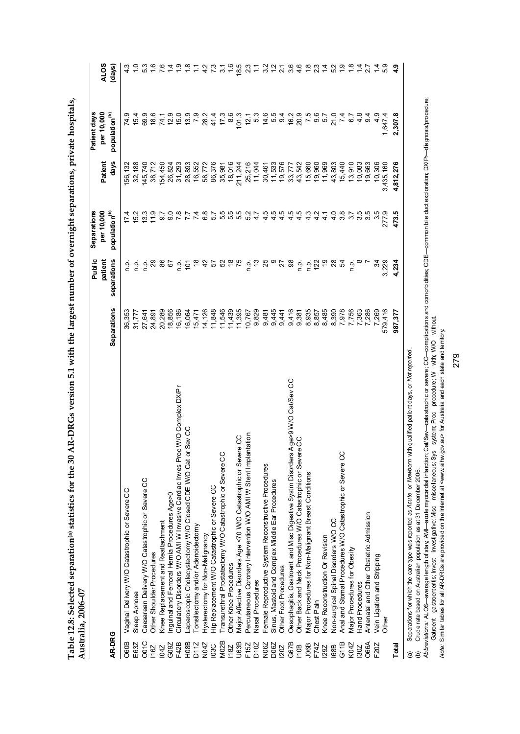|                   | Australia, 2006-07                                                              |             |                   | Separations                                |                  | Patient days                                    |                 |
|-------------------|---------------------------------------------------------------------------------|-------------|-------------------|--------------------------------------------|------------------|-------------------------------------------------|-----------------|
|                   |                                                                                 |             | Public<br>patient | per 10,000                                 | Patien           | per 10,000                                      | <b>ALOS</b>     |
| AR-DRG            |                                                                                 | Separations | separations       | population <sup>(b)</sup>                  | days             | population <sup>(b)</sup>                       | (days)          |
| O60B              | Vaginal Delivery W/O Catastrophic or Severe CC                                  | 36,353      | ن<br>ء            |                                            | 56,132           |                                                 |                 |
| E63Z              | Sleep Apnoea                                                                    | 31,777      | n.p.              | 15.2                                       | 32,188           | 15.4                                            | $\frac{1}{2}$   |
| O01C              | Caesarean Delivery W/O Catastrophic or Severe CC                                | 27,641      | م<br>ء            | 13.3                                       | 145,740          | 69.9                                            | 53              |
| 116Z              | Other Shoulder Procedures                                                       | 24,891      |                   | 11.9                                       | 38,712           | 18.6                                            | $\frac{6}{1}$   |
| <b>DHO</b>        | Knee Replacement and Reattachment                                               | 20,289      | 86                | 5.6                                        | 154,450          |                                                 |                 |
| G09Z              | nguinal and Femoral Hernia Procedures Age>0                                     | 18,856      | 67                | 0.8                                        | 26,824           |                                                 |                 |
| F42B              | Circulatory Disorders W/O AMI W Invasive Cardiac Inves Proc W/O Complex DXPr    | 16,186      | م<br>a            |                                            | 31,293           |                                                 |                 |
| H <sub>08</sub> B | aparoscopic Cholecystectomy W/O Closed CDE W/O Cat or Sev CC                    | 16,064      | $\overline{5}$    |                                            | 28,893           | <b>7 2 5 5 5 7 8 4 7 8</b><br>4 5 6 5 7 8 4 7 8 |                 |
| D <sub>11</sub> Z | onsillectomy and/or Adenoidectomy                                               | 15,471      | $\frac{8}{1}$     |                                            | 16,552           |                                                 |                 |
| N04Z              | Hysterectomy for Non-Malignancy                                                 | 14,126      |                   | 6.8                                        |                  |                                                 | $\frac{2}{4}$   |
| <b>DSC</b>        | Hip Replacement W/O Catastrophic or Severe CC                                   | 11,848      |                   |                                            | 58,772<br>86,376 |                                                 | $\tilde{z}$     |
| <b>M02B</b>       | Transurethral Prostatectomy W/O Catastrophic or Severe CC                       | 11,546      | おい みぁん            |                                            | 35,981           |                                                 | $\tilde{\circ}$ |
| 18Z               | Other Knee Procedures                                                           | 11,439      |                   |                                            | 18,016           |                                                 |                 |
| <b>U63B</b>       | Major Affective Disorders Age <70 W/O Catastrophic or Severe CC                 | 11,395      |                   |                                            | 211,244          | 101.3                                           | 18.5            |
| F <sub>152</sub>  | ntation<br>Percutaneous Coronary Intervention W/O AMI W Stent Impla             | 10,767      |                   |                                            | 25,216<br>11,044 | 12.1                                            | 23              |
| D <sub>10</sub> Z | Nasal Procedures                                                                | 9,829       | ច់ ភូ             | 47                                         |                  | 5.3                                             |                 |
| N06Z              | Female Reproductive System Reconstructive Procedures                            | 9,481       | 25                | 4 4 4<br>4 4 4                             | 30,461<br>11,533 | $4.6$<br>$4.6$<br>$9.4$                         | 32              |
| D06Z              | Sinus, Mastoid and Complex Middle Ear Procedures                                | 9,445       |                   |                                            |                  |                                                 |                 |
| 202               | Other Foot Procedures                                                           | 9,441       | ి స్థ             |                                            | 19,576           |                                                 | 2.56            |
| G67B              | Oesophagitis, Gastroent and Misc Digestive Systm Disorders Age>9 W/O Cat/Sev CC | 9,416       |                   | $44$<br>$46$                               | 33,777<br>43,542 |                                                 |                 |
| <b>10B</b>        | Other Back and Neck Procedures W/O Catastrophic or Severe CC                    | 9,381       |                   |                                            |                  | $16.2$<br>$20.9$                                | 4.6             |
| J06B              | Major Procedures for Non-Malignant Breast Conditions                            | 8,935       | 을 흘친              | $\begin{array}{c} 4 \\ 4 \\ 4 \end{array}$ | 15,660           | 7<br>0<br>0<br>0<br>0<br>1                      |                 |
| F74Z              | Chest Pain                                                                      | 8,857       |                   |                                            | 19,960           |                                                 | $\frac{3}{2}$   |
| 29Z               | Knee Reconstruction Or Revision                                                 | 8,485       | င္                | $\frac{1}{4}$                              | 11,969           |                                                 |                 |
| <b>168B</b>       | Non-surgical Spinal Disorders W/O CC                                            | 8,390       | <u>ಇ ಭ</u>        | 4.0                                        | 43,803           | 21.0                                            | 52              |
| G11B              | Anal and Stomal Procedures W/O Catastrophic or Severe CC                        | 7,978       |                   | 3.8                                        | 15,440           | $\overline{74}$                                 | $\ddot{ }$      |
| K04Z              | Major Procedures for Obesity                                                    | 7,756       | ن<br>ح            | က                                          | 13,910           | 6.7                                             | $\frac{8}{18}$  |
| 130Z              | <b>Hand Procedures</b>                                                          | 7,363       |                   | 35                                         | 10,083           | 4.8                                             | $\frac{4}{3}$   |
| <b>O66A</b>       | Antenatal and Other Obstetric Admission                                         | 7,286       |                   | 3.5                                        | 19,663           | 9.4                                             | 27              |
| F20Z              | Vein Ligation and Stripping                                                     | 7,269       | ž                 | 3.5                                        | 10,306           | $\frac{9}{4}$                                   |                 |
|                   | Other                                                                           | 579,416     | 3,229             | 277.9                                      | 3,435,160        | 1,647.4                                         |                 |
| Total             |                                                                                 | 987,377     | 4.234             | 473.5                                      | 4,812,276        | 2,307.8                                         | $\frac{9}{4}$   |
|                   |                                                                                 |             |                   |                                            |                  |                                                 |                 |

Table 12.8: Selected separation® statistics for the 30 AR-DRGs version 5.1 with the largest number of overnight separations, private hospitals, **Table 12.8: Selected separation(a) statistics for the 30 AR-DRGs version 5.1 with the largest number of overnight separations, private hospitals, Australia, 2006–07** 

(a) Separations for which the care type was reported as *Acute,* or *Newborn* with qualified patient days, or *Not reported* .

(b) Crude rate based on Australian population as at 31 December 2006.

(a) Separations for which the care type was reported as Ac*ute, or Newborn w*ith qualified pat ient days, or *Not reported .*<br>(b) Crude rate based on Australian population as at 31 December 2006.<br>Ab*breviations:* ALOS—ave *Abbreviations:* ALOS—average length of stay; AMI—acute myocardial infarction; Cat/Sev—catastrophic or severe; CC—complications and comorbidities; CDE—common bile duct exploration; DX/Pr—diagnosis/procedure; Gatroent—gastroenteritis; Invest—investigative; Misc—miscellaneous; Sys—system; Proc—procedure; W—with; W/O—without.

*Note:* Similar tables for all AR-DRGs are provided on the Internet at <www.aihw.gov.au> for Australia and each state and territory.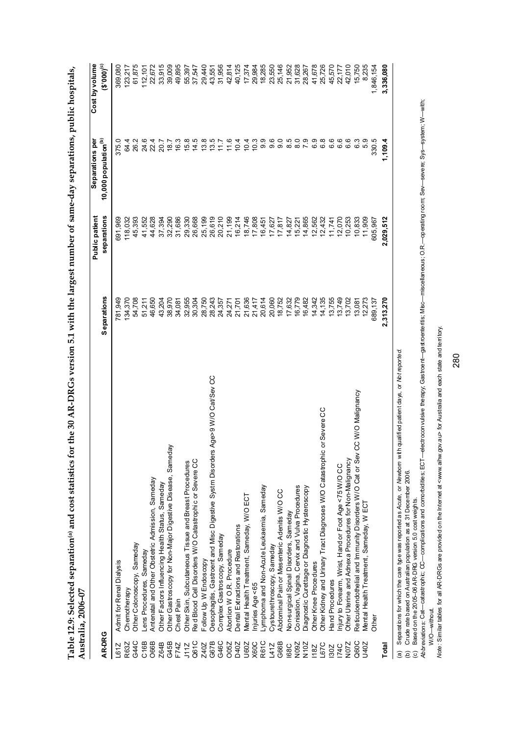|                   | Australia, 2006-07                                                                                                            |             |                |                                  |                |
|-------------------|-------------------------------------------------------------------------------------------------------------------------------|-------------|----------------|----------------------------------|----------------|
|                   |                                                                                                                               |             | Public patient | Separations per                  | Cost by volume |
| AR-DRG            |                                                                                                                               | Separations | separations    | 10,000 population <sup>(b)</sup> | (3°000)        |
| L61Z              | Admit for Renal Dialysis                                                                                                      | 781,949     | 391,969        | 375.0                            | 369,080        |
| R63Z              | Chemotherapy                                                                                                                  | 134,370     | 118,032        | 64.4                             | 123,217        |
| G44C              | Other Colonoscopy, Sameday                                                                                                    | 54,708      | 45,393         | 26.2                             | 61,875         |
| C <sub>16B</sub>  | ens Procedures, Sameday                                                                                                       | 51,211      | 41,552         | 24.6                             | 112,101        |
| O66B              | Antenatal and Other Obstetric Admission, Sameday                                                                              | 46,650      | 44,628         | 22.4                             | 22,672         |
| Z64B              | Other Factors Influencing Health Status, Sameday                                                                              | 43,204      | 37,394         | 20.7                             | 33,915         |
| G45B              | Other Gastroscopy for Non-Major Digestive Disease, Sameday                                                                    | 38,970      | 32,290         | 18.7                             | 39,009         |
| F74Z              | Chest Pain                                                                                                                    | 34,081      | 31,686         | 16.3                             | 49,895         |
| J11Z              | Other Skin, Subcutaneous Tissue and Breast Procedures                                                                         | 32,955      | 29,330         | 15.8                             | 55,397         |
| Q61C              | Red Blood Cell Disorders W/O Catastrophic or Severe CC                                                                        | 30,304      | 26,668         | 14.5                             | 37,547         |
| Z40Z              | Follow Up W Endoscopy                                                                                                         | 28,750      | 25,199         |                                  | 29,440         |
| G67B              | Oesophagitis, Gastroent and Misc Digestive Systm Disorders Age>9 W/O Cat/Sev CC                                               | 28,243      | 26,619         | 13.5<br>13.7<br>13.7             | 43,551         |
| G46C              | Complex Gastroscopy, Sameday                                                                                                  | 24,357      | 20,210         |                                  | 31,956         |
| O05Z              | Abortion W O.R. Procedure                                                                                                     | 24,271      | 21,199         | 11.6                             | 42,814         |
| D40Z              | Dental Extractions and Restorations                                                                                           | 21,701      | 16,214         | 10.4                             | 40,125         |
| U60Z              | Mental Health Treatment, Sameday, W/O ECT                                                                                     | 21,636      | 18,746         | 10.4                             | 17,374         |
| X60C              | njuries Age <65                                                                                                               | 21,417      | 17,808         | 10.3                             | 29,984         |
| R61C              | Lymphoma and Non-Acute Leukaemia, Sameday                                                                                     | 20,614      | 16,451         | 9.9                              | 18,285         |
| L41Z              | Cystourethroscopy, Sameday                                                                                                    | 20,060      | 17,627         | 9.6                              | 23,550         |
| G66B              | Abdominal Pain or Mesenteric Adenitis W/O CC                                                                                  | 18,752      | 17,817         | Q<br>တ                           | 25,146         |
| 168C              | Non-surgical Spinal Disorders, Sameday                                                                                        | 17,632      | 14,827         | ယ<br>$\infty$                    | 21,952         |
| N09Z              | Conisation, Vagina, Cervix and Vulva Procedures                                                                               | 16,779      | 15,221         | $\infty$                         | 31,628         |
| N <sub>10</sub> Z | Diagnostic Curettage or Diagnostic Hysteroscopy                                                                               | 16,482      | 14,865         | 7.9                              | 28,267         |
| 18Z               | Other Knee Procedures                                                                                                         | 14,342      | 12,562         | თ<br>ဖ                           | 41, 678        |
| <b>1970</b>       | or Severe CC<br>Other Kidney and Urinary Tract Diagnoses W/O Catastrophic                                                     | 14,135      | 12,432         | $\infty$<br>ဖ                    | 25,726         |
| 130Z              | Hand Procedures                                                                                                               | 13,755      | 11,741         | <u>ဖ</u><br>ဖ                    | 45,570         |
| <b>174C</b>       | njury to Forearm, Wrist, Hand or Foot Age <75 W/O CC                                                                          | 13,749      | 12,070         | ဖ<br>ဖ                           | 22,177         |
| N07Z              | Other Uterine and Adnexa Procedures for Non-Malignancy                                                                        | 13,702      | 10,253         | 6.6                              | 42,010         |
| Q60C              | CC W/O Malignancy<br>Reticuloendothelial and Immunity Disorders W/O Cat or Sev                                                | 13,081      | 10,833         | 6.3                              | 15,750         |
| U40Z              | Mental Health Treatment, Sameday, W ECT                                                                                       | 12,273      | 11,909         | 5.9                              | 8,235          |
|                   | Other                                                                                                                         | 689,137     | 605,967        | 330.5                            | 1,846,154      |
| Total             |                                                                                                                               | 2,313,270   | 2,029,512      | 1,109.4                          | 3,336,080      |
| ć                 | or Mot m porto o<br>h au olified potient doub<br>or Moubom w<br>chond as Act to<br>Concentions for utilish the came two surge |             |                |                                  |                |

Table 12.9: Selected separation® and cost statistics for the 30 AR-DRGs version 5.1 with the largest number of same-day separations, public hospitals,<br>Anstralia. 2006–07 **Table 12.9: Selected separation(a) and cost statistics for the 30 AR-DRGs version 5.1 with the largest number of same-day separations, public hospitals, Australia, 2006–07** 

(a) Separations for which the care type was reported as *Acute,* or *Newborn* with qualified patient days, or *Not reported.*

(b) Crude rate based on Australian population as at 31 December 2006.

(c) Based on the 2005–06 AR-DRG version 5.0 cost weights.

(a) Separations for which the care type was reported as *Acute,*or Me*wborn* with qualified patient days, or Mo*t reported.*<br>(b) Crude rate based on Australian population as at 31 December 2006.<br>Ab*breviations: Ce*t—catast *Abbreviations:* Cat—catastrophic; CC—complications and comorbidities; ECT—electroconvulsive therapy; Gastroent—gastroenteritis; Misc—miscellaneous; O.R.—operating room; Sev—severe; Sys—system; W—with; W/O-without. W/O—without

Note: Similar tables for all AR-DRGs are provided on the Internet at <www.aihw.gov.au> for Australia and each state and territory. *Note:* Similar tables for all AR-DRGs are provided on the Internet at <www.aihw.gov.au> for Australia and each state and territory.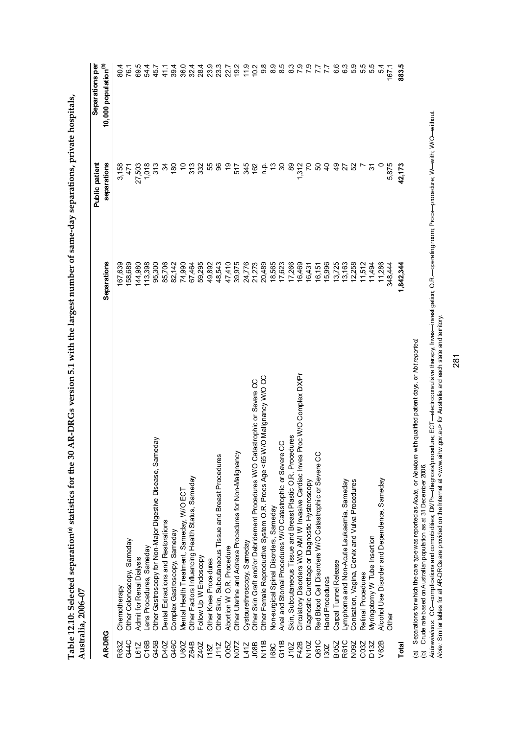|                  | Australia, 2006-07                                                                                                     |             |                                      |                                                     |
|------------------|------------------------------------------------------------------------------------------------------------------------|-------------|--------------------------------------|-----------------------------------------------------|
| <b>AR-DRG</b>    |                                                                                                                        | Separations | <b>Public patient</b><br>separations | Separations per<br>10,000 population <sup>(b)</sup> |
| R63Z             | Chemotherapy                                                                                                           | 167,639     | 3,158                                |                                                     |
| G44C             | Other Colonoscopy, Sameday                                                                                             | 158,689     | $\frac{47}{1}$                       | 80.1<br>76.1                                        |
| L61Z             | Admit for Renal Dialysis                                                                                               | 144,980     | 27,503                               | 69.5                                                |
| C <sub>16B</sub> | ens Procedures, Sameday                                                                                                | 113,398     | 1,018                                | 54.4                                                |
| G45B             | Other Gastroscopy for Non-Major Digestive Disease, Sameday                                                             | 95,300      | 313                                  | 45.7                                                |
| D40Z             | Dental Extractions and Restorations                                                                                    | 85,706      | $\mathfrak{z}$                       | 41.1                                                |
| G46C             | Complex Gastroscopy, Sameday                                                                                           | 82,142      | $\frac{8}{2}$                        | 39.4                                                |
| U60Z             | Mental Health Treatment, Sameday, W/O ECT                                                                              | 74,990      | 5                                    | 36.0                                                |
| Z64B             | Other Factors Influencing Health Status, Sameday                                                                       | 67,464      | 33<br>33                             | $32.4$<br>28.4                                      |
| Z40Z             | Follow Up W Endoscopy                                                                                                  | 59,295      |                                      |                                                     |
| <b>18Z</b>       | Other Knee Procedures                                                                                                  | 49,892      |                                      | 23.9                                                |
| J11Z             | Other Skin, Subcutaneous Tissue and Breast Procedures                                                                  | 48,543      | ದೆ ಸಿ                                | 23.3                                                |
| <b>CO5Z</b>      | Abortion W O.R. Procedure                                                                                              | 47,410      | င္                                   |                                                     |
| N072             | Other Uterine and Adnexa Procedures for Non-Malignancy                                                                 | 39,975      | 517                                  | 22.7<br>19.2                                        |
| L41Z             | Cystourethroscopy, Sameday                                                                                             | 24,776      | 345                                  | 11.9                                                |
| J08B             | Other Skin Graft and/or Debridement Procedures W/O Catastrophic or Severe CC                                           | 21,273      | 162                                  | 10 <sup>2</sup>                                     |
| N11B             | Other Female Reproductive System O.R. Procs Age < 65 W/O Malignancy W/O CC                                             | 20,489      | <u>n</u>                             | 9.8                                                 |
| <b>1880</b>      | Non-surgical Spinal Disorders, Sameday                                                                                 | 18,565      | ဗု                                   | 8.9                                                 |
| G11B             | Anal and Stomal Procedures W/O Catastrophic or Severe CC                                                               | 17,623      | ္က                                   | 8.5                                                 |
| J10Z             | Skin, Subcutaneous Tissue and Breast Plastic O.R. Procedures                                                           | 17,266      | 89                                   | $\frac{3}{8}$                                       |
| F42B             | Proc W/O Complex DX/Pr<br>Circulatory Disorders W/O AMI W Invasive Cardiac Inves                                       | 16,469      | 1,312                                | $\overline{7}$ .9                                   |
| N10Z             | Diagnostic Curettage or Diagnostic Hysteroscopy                                                                        | 16,431      | 5                                    |                                                     |
| Q61C             | Red Blood Cell Disorders W/O Catastrophic or Severe CC                                                                 | 16,151      | 50                                   |                                                     |
| 130Z             | Hand Procedures                                                                                                        | 15,996      | $\frac{1}{2}$                        |                                                     |
| <b>B05Z</b>      | Carpal Tunnel Release                                                                                                  | 13,725      | $\frac{6}{4}$                        | 6.6                                                 |
| R61C             | Lymphoma and Non-Acute Leukaemia, Sameday                                                                              | 13,163      | 27                                   | 63                                                  |
| N09Z             | Conisation, Vagina, Cervix and Vulva Procedures                                                                        | 12,258      | 52                                   | 5.9                                                 |
| C03Z             | Retinal Procedures                                                                                                     | 11,512      |                                      | 5.5                                                 |
| D <sub>132</sub> | Wyringotomy W Tube Insertion                                                                                           | 11,494      | 9                                    | 5.5                                                 |
| V62B             | Alcohol Use Disorder and Dependence, Sameday                                                                           | 11,286      |                                      | 54                                                  |
|                  | <b>Other</b>                                                                                                           | 348,444     | 5,875                                | 167.1                                               |
| Total            |                                                                                                                        | 1,842,344   | 42,173                               | 883.5                                               |
| $\widehat{a}$    | with qualified patient days, or Not reported.<br>Separations for which the care type was reported as Acute, or Newborn |             |                                      |                                                     |

Table 12.10: Selected separation<sup>(a)</sup> statistics for the 30 AR-DRGs version 5.1 with the largest number of same-day separations, private hospitals, **Table 12.10: Selected separation(a) statistics for the 30 AR-DRGs version 5.1 with the largest number of same-day separations, private hospitals,** 

(b) Crude rate based on Australian population as at 31 December 2006.

(b) Crude rate based on Australian population as at 31 December 2006.<br>*Abbreviations: CC—c*omplications and connorbidities; DX/Pr—diagnosis/procedure; ECT—electrocomv⊔isive therapy, Inves—investigation; O.R.—operating roo *Abbreviations:* CC—complications and comorbidities; DX/Pr—diagnosis/procedure; ECT—electroconvulsive therapy; Inves—investigation; O.R.—operating room; Procs—procedure; W—with; W/O—without. *Note:* Similar tables for all AR-DRGs are provided on the Internet at <www.aihw.gov.au> for Australia and each state and territory.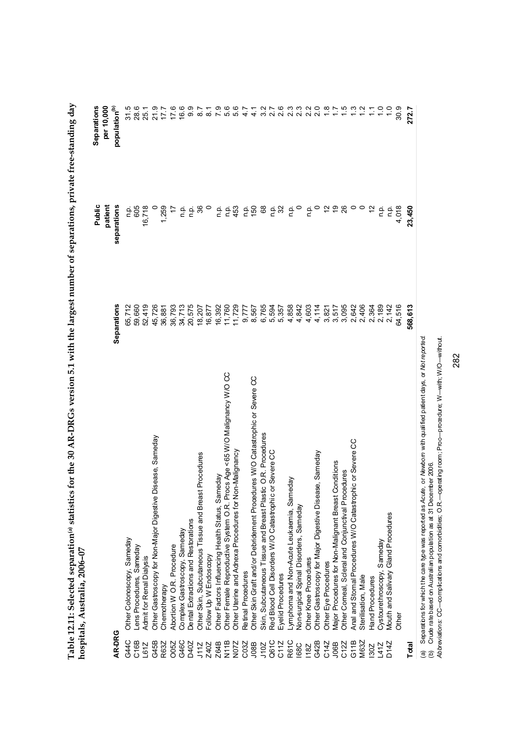|                  | nospitals, Australia, 2006-07                                                |                    |               |                                  |
|------------------|------------------------------------------------------------------------------|--------------------|---------------|----------------------------------|
|                  |                                                                              |                    | Public        | Separations                      |
|                  |                                                                              |                    | patient       | per 10,000                       |
| AR-DRG           |                                                                              | <b>Separations</b> | separations   | population <sup>(b)</sup>        |
| G44C             | Other Colonoscopy, Sameday                                                   | 65,712             | ءِ<br>ص       | 31.5<br>28.                      |
| C <sub>16B</sub> | Lens Procedures, Sameday                                                     | 59,660             | 605           |                                  |
| L61Z             | Admit for Renal Dialysis                                                     | 52,419             | 16,718        | 25.1                             |
| G45B             | Other Gastroscopy for Non-Major Digestive Disease, Sameday                   | 45,726             |               | 21.9                             |
| R63Z             | Chemotherapy                                                                 | 36,881             | 1,259         | 17.7                             |
| O05Z             | Abortion W O.R. Procedure                                                    | 36,793             | 17            | 17.6                             |
| G46C             | Complex Gastroscopy, Sameday                                                 | 34,713             | ρ.<br>Γ       | 16.6                             |
| D40Z             | Dental Extractions and Restorations                                          | 20,575             | n.p.          | 9.9                              |
| J11Z             | Procedures<br>Other Skin, Subcutaneous Tissue and Breast                     | 18,207             | 36            | $\overline{8.7}$                 |
| Z40Z             | Follow Up W Endoscopy                                                        | 16,877             |               | $\overline{8}$                   |
| Z64B             | Other Factors Influencing Health Status, Sameday                             | 16,392             | n p.          |                                  |
| N11B             | Other Female Reproductive System O.R. Procs Age <65 W/O Malignancy W/O CC    | 11,760             |               |                                  |
| N072             | Other Uterine and Adnexa Procedures for Non-Malignancy                       | 11,729             | բեց<br>453    |                                  |
| C03Z             | Retinal Procedures                                                           | 9,777              |               |                                  |
| J08B             | Other Skin Graft and/or Debridement Procedures W/O Catastrophic or Severe CC | 8,567              | $150$ $8$     | $\frac{1}{4}$                    |
| 7017             | Skin, Subcutaneous Tissue and Breast Plastic O.R. Procedures                 | 6,765              |               |                                  |
| Q61C             | Red Blood Cell Disorders W/O Catastrophic or Severe CC                       | 5,594              |               |                                  |
| C11Z             | Eyelid Procedures                                                            | 5,357              | բ 32<br>Տ     |                                  |
| R61C             | Lymphoma and Non-Acute Leukaemia, Sameday                                    | 4,858              | ρ.<br>Γ       |                                  |
| <b>168C</b>      | Non-surgical Spinal Disorders, Sameday                                       | 4,842              | $\circ$       | 2 7 6 3 3 2 3<br>2 3 4 5 6 7 8 9 |
| <b>18Z</b>       | Other Knee Proce dures                                                       | 4,603              | n p.          |                                  |
| G42B             | Other Gastroscopy for Major Digestive Disease, Sameday                       | 4,114              |               | 2.0                              |
| C14Z             | Other Eye Procedures                                                         | 3,821              | $\tilde{c}$   | $\frac{8}{10}$                   |
| <b>JO6B</b>      | Major Procedures for Non-Malignant Breast Conditions                         | 3,517              | $\frac{6}{5}$ |                                  |
| C12Z             | Other Corneal, Scleral and Conjunctival Procedures                           | 3,095              | 26            | $\ddot{1}$                       |
| G11B             | Anal and Stomal Procedures W/O Catastrophic or Severe CC                     | 2,642              | 0             | $\frac{3}{2}$                    |
| M63Z             | Sterilisation, Male                                                          | 2,406              |               |                                  |
| 130Z             | Hand Procedures                                                              | 2,364              |               | $\tilde{=}$                      |
| L41Z             | Cystourethroscopy, Sameday                                                   | 2,189              | n p.          |                                  |
| D14Z             | <b>Vlouth and Salivary Gland Procedures</b>                                  | 2,142              | o.<br>D       | $\frac{0}{1}$                    |
|                  | Other                                                                        | 64,516             | 4,018         | 30.9                             |
| Total            |                                                                              | 568,613            | 23,450        | 272.7                            |
|                  |                                                                              |                    |               |                                  |

Table 12.11: Selected separation® statistics for the 30 AR-DRGs version 5.1 with the largest number of separations, private free-standing day<br>hospitale Australia 2006–07 **Table 12.11: Selected separation(a) statistics for the 30 AR-DRGs version 5.1 with the largest number of separations, private free-standing day hospitals, Australia, 2006–07** 

(a) Separations for which the care type was reported as Acute, or Mewborn with qualified patient days, or Mot reported.<br>(b) Crude rate based on Australian population as at 31 December 2006.<br>Ab*breviations:* CC—complication (a) Separations for which the care type was reported as *Acute,* or *Newborn* with qualified patient days, or *Not reported.*

(b) Crude rate based on Australian population as at 31 December 2006.

*Abbreviations:* CC—complications and comorbidities; O.R.—operating room; Proc—procedure; W—with; W/O—without.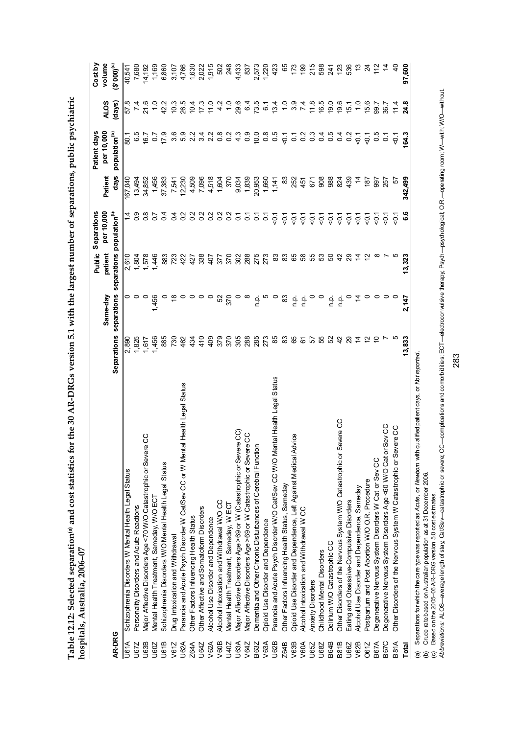| statistics for the 30 AR-DRGs version 5.1 with the largest number of separations, public psych<br>e pue ى |  |
|-----------------------------------------------------------------------------------------------------------|--|
|                                                                                                           |  |
|                                                                                                           |  |

|             |                                                                                                                                             |                           |                         |                        | Separations               |                 | Patient days              |                       | Cost by             |
|-------------|---------------------------------------------------------------------------------------------------------------------------------------------|---------------------------|-------------------------|------------------------|---------------------------|-----------------|---------------------------|-----------------------|---------------------|
|             |                                                                                                                                             |                           |                         | Public                 | per 10,000                |                 | per 10,000                |                       | volume              |
| AR-DRG      |                                                                                                                                             | <b>Separations</b>        | separations<br>Same-day | separations<br>patient | population <sup>(b)</sup> | days<br>Patient | population <sup>(b)</sup> | (days)<br><b>ALOS</b> | $(5,000)_{\rm (c)}$ |
| U61A        | Schizophrenia Disorders W Mental Health Legal Status                                                                                        | 2,890                     | 0                       | 2,610                  | $\dot{4}$                 | I67,040         | $rac{1}{6}$               | 8.75                  | 40,541              |
| U67Z        | Personality Disorders and Acute Reactions                                                                                                   | 1,825                     |                         | 1,804                  |                           | 13,494          | 6.5                       |                       | 7,680               |
| U63B        | ie CC<br>Major Affective Disorders Age <70 W/O Catastrophic or Seve                                                                         | 1,617                     | $\circ$                 | 1,578                  | $\frac{8}{1}$             | 34,852          | 16.7                      | 21.6                  | 4,192               |
| U60Z        | Mental Health Treatment, Sameday, W/O ECT                                                                                                   | 1,456                     | 1,456                   | 1,446                  | 5o                        | 1,456           | $\overline{0}$            |                       | 1,169               |
| U61B        | Schizophrenia Disorders W/O Mental Health Legal Status                                                                                      | 885                       |                         | 883                    | $\overline{0}$            | 37,383          | 17.9                      | 42.2                  | 6,860               |
| V61Z        | Drug Intoxication and Withdrawal                                                                                                            | 730                       |                         | 723                    | $\overline{0}$            | 7,541           | 3.6                       | 10.3                  | 3,107               |
| U62A        | Paranoia and Acute Psych Disorder W Cat/Sev CC or W Mental Health Legal Status                                                              | 462                       |                         | 422                    | 0                         | 12,230          | 5.9                       | 26.5                  | 4,766               |
| Z64A        | Other Factors Influencing Health Status                                                                                                     | $\frac{43}{5}$            |                         | 427                    | Ņ<br>$\circ$              | 4,509           | 2.2                       | 10.4                  | 1,630               |
| U64Z        | Other Affective and Somatoform Disorders                                                                                                    | 410                       |                         | 338                    | Ņ<br>O                    | 7,096           | 3.4                       | 17.3                  | 2,022               |
| V62A        | Alcohol Use Disorder and Dependence                                                                                                         | 409                       |                         | 407                    | Ņ<br>$\circ$              | 4,518           | 2.2                       | 11.0                  | 1,915               |
| V60B        | Alcohol Intoxication and Withdrawal W/O CC                                                                                                  | 379                       | 52                      | 377                    | $\overline{0}$            | 1,604           | $\frac{8}{10}$            | 4.2                   | 502                 |
| U40Z        | Mental Health Treatment, Sameday, W ECT                                                                                                     | 370                       | 370                     | 370                    | $\overline{0}$            | 370             | $\overline{0}$            | $\frac{0}{1}$         | 248                 |
| <b>U63A</b> | Major Affective Disorders Age >69 or W (Catastrophic or Severe CC)                                                                          | 305                       |                         | 302                    | $\overline{c}$            | 9,034           | 4.3                       | 29.6                  | 4,433               |
| V64Z        | Major Affective Disorders Age >69 or W Catastrophic or Severe CC                                                                            | 288                       | $\infty$                | 288                    | $\overline{c}$            | 1,839           | 0.9                       | 6.4                   | 837                 |
| B63Z        | Dementia and Other Chronic Disturbances of Cerebral Function                                                                                | 285                       | n.p.                    | 275                    | ā                         | 20,953          | 10.0                      | 73.5                  | 2,573<br>1,220      |
| V63A        | Opioid Use Disorder and Dependence                                                                                                          | 273                       | ယ                       | 273                    | 2                         | 1,660           | $0.\overline{8}$          | $\overline{6}$ .      |                     |
| U62B        | Paranoia and Acute Psych Disorder W/O Cat/Sev CC W/O Mental Health Legal Status                                                             | 85                        | $\circ$                 | 83                     | $\overline{5}$            | 1,141           | 0.5                       | 13.4                  | 423                 |
| Z64B        | Other Factors Influencing Health Status, Sameday                                                                                            | $\boldsymbol{\mathrm{3}}$ | 83                      | 83                     | $\overline{5}$            | 83              | $\frac{1}{9}$             | $\frac{1}{2}$         | 65                  |
| V63B        | Opioid Use Disorder and Dependence, Left Against Medical Advice                                                                             | 65                        | ن<br>ص                  | 89                     | $\overline{5}$            | 252             | $\overline{c}$            | 3.9                   | 173                 |
| V60A        | Alcohol Intoxication and Withdrawal WCC                                                                                                     | 67                        | n p.                    | 38                     | $\overline{5}$            | 451             | $\frac{2}{3}$             | 7.4                   | 99                  |
| U65Z        | Anxiety Disorders                                                                                                                           | 57                        |                         | 55                     | $\overline{5}$            | 57              | $\frac{3}{2}$             | 11.8                  | 215                 |
| U68Z        | Childhood Mental Disorders                                                                                                                  | 55                        | $\circ$                 | S3                     | $\overline{5}$            | 908             | 0.4                       | 16.5                  | 598                 |
| <b>B64B</b> | Delirium W/O Catastrophic CC                                                                                                                |                           | ن<br>ص                  | 8                      | $\overline{5}$            | 988             | 0.5                       | 19.0                  | 241                 |
| <b>B81B</b> | Severe CC<br>Other Disorders of the Nervous System W/O Catastrophic or                                                                      | $\overline{4}$            | ρ.<br>Γ                 | 42                     | $\overline{5}$            | 824             | 0.4                       | 19.6                  | 123                 |
| U66Z        | Eating and Obsessive-Compulsive Disorders                                                                                                   |                           |                         |                        | $\overline{5}$            | 439             | $\frac{2}{5}$             | 15.1                  | 536                 |
| V62B        | Alcohol Use Disorder and Dependence, Sameday                                                                                                |                           | $\ddot{4}$              |                        | $\overline{5}$            | $\frac{4}{3}$   | $\frac{1}{2}$             | $\frac{0}{1}$         | చ                   |
| O61Z        | Postpartum and Post Abortion W/O O.R. Procedure                                                                                             |                           |                         |                        | $\overline{5}$            | $\frac{187}{2}$ | $\overline{Q}$            | 15.6                  | $\overline{24}$     |
| <b>B67A</b> | Degenerative Nervous System Disorders W Cat or Sev CC                                                                                       | S                         |                         | ∞                      | čδ                        | 560             | 0.5                       | 5.66                  | $\frac{2}{1}$       |
| <b>B67C</b> | Degenerative Nervous System Disorders Age <60 W/O Cat or Sev CC                                                                             |                           |                         |                        | ς<br>Ω                    | 257             | $\tilde{\circ}$           | 36.7                  |                     |
| <b>B81A</b> | Other Disorders of the Nervous System W Catastrophic or Severe CC                                                                           |                           |                         |                        | ë                         | 57              | $\ddot{\theta}$           | 11.4                  |                     |
| Total       |                                                                                                                                             | 13,833                    | 2,147                   | 13,323                 | မိ<br>စ                   | 342,499         | ુત્ર                      | 24.8                  | 97,600              |
| @           | qualified patient days, or Not reported<br>Separations for which the care type was reported as Acute, or Newborn with<br>č<br>$\frac{1}{2}$ |                           |                         |                        |                           |                 |                           |                       |                     |

(b) Crude rate based on Australian population as at 31 December 2006.

(c) Based on the 2005–06 AR–DRG version 5.0 cost estimates.

(b) Crude ratebased on Australian population as at 31 December 2006.<br>(c) Based on the 2005–06 AR–DRG version 5.0 cost estimates.<br>Ab*breviations:* ALOS—average length of stay, Cat/Sev—catastrophic or severe; CC—compication *Abbreviations:* ALOS—average length of stay; Cat/Sev—catastrophic or severe; CC—complications and comorbidities; ECT—electroconvulsive therapy; Psych—psychological; O.R.—operating room; W—with; W/O—without.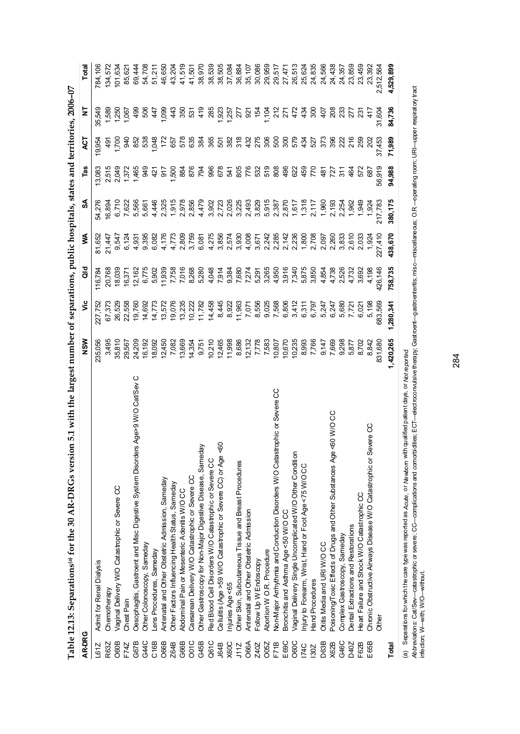|             | 5.1 with the largest number of separations, public hospitals, states and territories, 2006-07<br>$\overline{5}$<br>Table 12.13: Separations <sup>(a)</sup> for the 30 AR-DRGs versi |                         |                |                               |                            |                         |                              |                     |                         |           |
|-------------|-------------------------------------------------------------------------------------------------------------------------------------------------------------------------------------|-------------------------|----------------|-------------------------------|----------------------------|-------------------------|------------------------------|---------------------|-------------------------|-----------|
| AR-DRG      |                                                                                                                                                                                     | NSW                     | ۶Ë             | <b>J</b> o                    | ≸                          | S                       | Tas                          | 75                  | 2                       | Total     |
| L61Z        | Admit for Renal Dialysis                                                                                                                                                            | 235,056                 | 227,752        | 116,784                       | 81,652                     | 54,276                  | 13,083                       | 19,95               | 35,549                  | 784,106   |
| R63Z        | Chemotherapy                                                                                                                                                                        | 3,495                   | 67,373         | 20,768                        | 21,447                     | 16,894                  | 2,515                        | ġ                   | 1,589                   | 134,572   |
| O60B        | Vaginal Delivery W/O Catastrophic or Severe CC                                                                                                                                      | 35,810                  | 26,529         | 18,03                         | 9,547                      | 6,710                   | 2,049                        | 1,700               | 1,250                   | 101,634   |
| F74Z        | Chest Pain                                                                                                                                                                          | 29,567                  | 22,558         | 16,37                         | 6,124                      | 7,622                   | 1,372                        | 940                 | 1,067                   | 85,621    |
| G67B        | Oesophagits, Gastroent and Misc Digestive System Disorders Age>9 W/O Cat/Sev C                                                                                                      | 24,209                  | 19,760         | 12,162                        | 4,931                      | 5,566                   | 1,465                        | 852                 | 499                     | 69,444    |
| G44C        | Other Colonoscopy, Sameday                                                                                                                                                          | 16,192                  | 14,692         | 6,775                         | 9,395                      | 5,661                   |                              | 538                 | 506                     | 54,708    |
| C16B        | ens Procedures, Sameday                                                                                                                                                             | 18,092                  | 14,773         | 5,902                         | 6,082                      | 4,446                   | 요<br>요 한 은                   |                     | 447                     | 51,211    |
| O66B        | Antenatal and Other Obstetric Admission, Sameday                                                                                                                                    | 12,450                  | 13,572         | 11,939                        | 4,176                      | 2,325                   |                              | 1,048<br>172<br>157 | 1,099                   | 46,650    |
| Z64B        | Other Factors Influencing Health Status, Sameday                                                                                                                                    | 7,082                   | 19,076         | 7,758                         |                            | 1,915<br>2,978<br>2,856 |                              |                     |                         | 43,204    |
| G66B        | Abdominal Pain or Mesenteric Adenits W/O CC                                                                                                                                         | 13,669                  | 13,235         |                               |                            |                         |                              |                     | $43$<br>550             | 41,519    |
| O01C        | Caesarean Delivery W/O Catastrophic or Severe CC                                                                                                                                    | 14,354                  | 10,222         |                               |                            |                         |                              | 578<br>835          | 5 <sup>o</sup>          | 41,501    |
| G45B        | ŔĘ<br>Other Gastroscopy for Non-Major Digestive Disease, Samed                                                                                                                      | 9,751                   | 11,782         | 7,016<br>8,268<br>5,280       | 72<br>2006<br>4006<br>4006 | 4,479                   | 58888                        | 384                 | $rac{9}{4}$             | 38,970    |
| Q61C        | Red Blood Cell Disorders W/O Catastrophic or Severe CC                                                                                                                              | 10,210                  | 14,458         | 4,048                         | 4,275                      | 3,902                   | <b>985596288</b><br>98559688 | 365                 | 285                     | 38,539    |
| J64B        | $\sqrt{6}$<br>Cellulitis (Age >59 W/O Catastrophic or Severe CC) or Age                                                                                                             | 12,465<br>11,998        | 8,445          |                               | 3,856                      |                         |                              | 507                 |                         | 38,505    |
| X60C        | njuries Age <65                                                                                                                                                                     |                         | 8,922          | 7,914<br>9,384                | 2,574                      | 2,723                   |                              | 382                 | 1,923<br>1,257<br>1,277 | 37,084    |
| J11Z        | Other Skin, Subcutaneous Tissue and Breast Procedures                                                                                                                               | 8,686                   | 11,963         | 7,680                         | 3,930                      | 3,225<br>2,493<br>3,829 |                              | 378                 |                         | 36,884    |
| O66A        | Antenatal and Other Obstetric Admission                                                                                                                                             | $\frac{12,132}{7,778}$  | 7,071          | 7,275<br>5,285<br>5,265       |                            |                         |                              | 432<br>275          | $\approx$               | 35,107    |
| Z40Z        | Follow Up W Endoscopy                                                                                                                                                               |                         | 8,556          |                               |                            |                         |                              |                     | 15 <sup>2</sup>         | 30,086    |
| <b>CO5Z</b> | Abortion W O.R. Procedure                                                                                                                                                           |                         | 9,025<br>7,568 |                               |                            | 5,915<br>2,387          |                              | ន្លី ខ្លី ខ្លី      | 1,104                   | 29,959    |
| F71B        | Non-Major Arrhythmia and Conduction Disorders W/O Catastrophic or Severe CC                                                                                                         | 10,807                  |                |                               |                            |                         |                              |                     | $\frac{2}{2}$           | 29,517    |
| E69C        | Bronchitis and Asthma Age <50 W/O CC                                                                                                                                                | 10,670                  |                |                               |                            | 2,870                   | 496                          |                     | 271                     | 27,47     |
| O60C        | Vaginal Delivery Single Uncomplicated W/O Other Condition                                                                                                                           | 10,235                  |                | $4,950$<br>$7,340$<br>$7,340$ |                            | 1, 617<br>1, 318        | 82                           |                     | 472                     | 26,513    |
| <b>174C</b> | njury to Forearm, Wrist, Hand or Foot Age <75 W/O CC                                                                                                                                | 8,993<br>7,766          |                | 5,875                         |                            |                         | $rac{450}{770}$              | र्दे                | $\frac{5}{4}$           | 25,624    |
| 130Z        | <b>Hand Procedures</b>                                                                                                                                                              |                         |                | 3,850                         | 2,708                      | 2,117                   |                              | 527                 | 300                     | 24,835    |
| D63B        | Otitis Media and URI W/OCC                                                                                                                                                          |                         |                | 4,854                         | 097<br>2083<br>2083        | 1,960                   | 흉성원                          | 373                 | $\overline{5}$          | 24,566    |
| X62B        | Poisoning/Toxic Effects of Drugs and Other Substances Age <60 W/O CC                                                                                                                | 0,147<br>0,688<br>0,298 |                | 4,738                         |                            | 2,193<br>2,254          |                              | 396                 | 208                     | 24,438    |
| G46C        | Complex Gastroscopy, Sameday                                                                                                                                                        |                         |                | 2,526<br>4,732                |                            |                         |                              | $\frac{22}{20}$     | 33<br>27                | 24,357    |
| D40Z        | Dental Extractions and Restorations                                                                                                                                                 | 5,877                   | 7,721          |                               | 2,610                      | 1,962                   | $\frac{5}{4}$                |                     |                         | 23,859    |
| F62B        | Heart Failure and Shock W/O Catastrophic CC                                                                                                                                         | 8,702                   | 6,021          | 3,692                         | 2,033                      | 1,949                   | 572                          | 259                 | $23^{\circ}$            | 23,459    |
| E65B        | Chronic Obstructive Airways Disease W/O Catastrophic or Severe CC                                                                                                                   | 8,842                   | 5,198          | 4,198                         | 1,924                      | 1,924                   | 687                          | 202                 | 41                      | 23,392    |
|             | Other                                                                                                                                                                               | 831,680                 | 683,569        | 426,146                       | 227,410                    | 217,783                 | 56,919                       | 37,453              | 31,604                  | 2,512,564 |
| Total       |                                                                                                                                                                                     | 1,420,265               | 1,280,341      | 758,735                       | 438,670                    | 380,175                 | 94,988                       | 71,989              | 84,736                  | 4,529,899 |
| ම           | Separations for which the care type was reported as Acute, or Newtorn with qualified patient days, or Not reported                                                                  |                         |                |                               |                            |                         |                              |                     |                         |           |

(а) эерагалля отмпол пье сан уре маз геролея аз доде, от мемоло ранет саку, от мотероле д<br>Ab*breviations: Call Sev—cat*astrophic or severe; CC—complications and comorbidties; ECT—electroconvulsive therapy; Gastroent—ga *Abbreviations:* Cat/Sev—catastrophic or severe; CC—complications and comorbidities; ECT—electroconvulsive therapy; Gastroent—gastroenteritis; misc—miscellaneous; O.R.—operating room; URI—upper respiratory tract infection; W—with; W/O—without.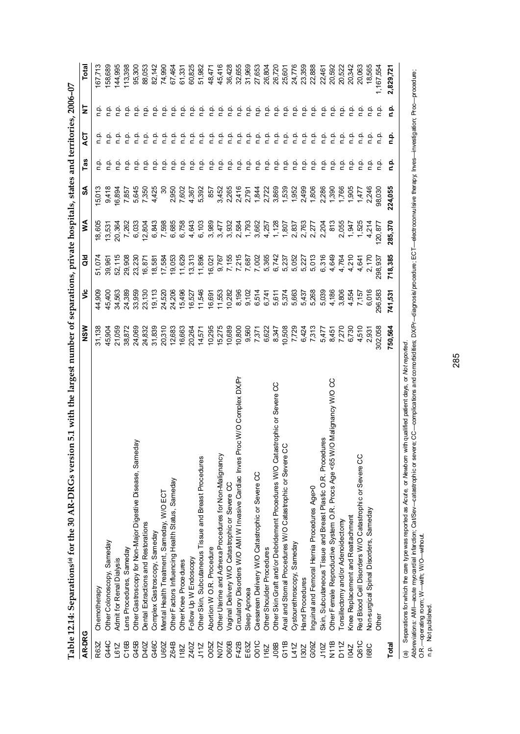|                   | Table 12.14: Separations® for the 30 AR-DRGs version 5.1 with the largest number of separations, private hospitals, states and territories, 2006-07 |         |         |                         |         |         |               |                             |               |           |
|-------------------|-----------------------------------------------------------------------------------------------------------------------------------------------------|---------|---------|-------------------------|---------|---------|---------------|-----------------------------|---------------|-----------|
| AR-DRG            |                                                                                                                                                     | NS M    | ۊ       | ¤a                      | ⋚       | న్      | Tas           | হ                           | Ξ             | Total     |
| R63Z              | Chemotherapy                                                                                                                                        | 31,138  | 44,909  | 51,074                  | 18,605  | 5,013   | ن<br>ء        | ن<br>ء                      | ٩ŗ            | 167,713   |
| G44C              | Other Colonoscopy, Sameday                                                                                                                          | 45,904  | 45,400  | 967<br>39 <sub>i</sub>  | 13,531  | 9,418   | $\frac{1}{2}$ | ن<br>ء                      | م<br>1        | 158,689   |
| L61Z              | <b>Admit for Renal Dialysis</b>                                                                                                                     | 21,059  | 34,563  | 52,115                  | 20,364  | 16,894  | غ             | ف<br>C                      | n.<br>E       | 144,995   |
| C <sub>16B</sub>  | Lens Procedures, Sameday                                                                                                                            | 38,872  | 24,389  | 29,908                  | 7,262   | 7,857   | $\frac{1}{2}$ | ف<br>n                      | ن<br>P        | 113,398   |
| G45B              | eday<br>Other Gastroscopy for Non-Major Digestive Disease, Sam                                                                                      | 24,069  | 33,959  | 23,230                  | 6,033   | 5,645   | ن<br>P        | ف<br>E                      | غ             | 95,300    |
| D40Z              | Dental Extractions and Restorations                                                                                                                 | 24,832  | 23,130  | 16,871                  | 12,804  | 7,350   | q,            | غ                           | ρ.<br>Γ       | 88,053    |
| G46C              | Complex Gastroscopy, Sameday                                                                                                                        | 31,839  | 19,113  | 18,581                  | 6,843   | 4,425   | م<br>ء        | ف<br>E                      | غ             | 82,142    |
| U60Z              | Mental Health Treatment, Sameday, W/O ECT                                                                                                           | 20,310  | 24,520  | 17,584                  | 7,598   | ೫       | فه            |                             | نج            | 74,990    |
| Z64B              | Other Factors Influencing Health Status, Sameday                                                                                                    | 12,683  | 24,206  | 19,053                  | 6,685   | 2,950   | م<br>P        | $\frac{a}{c}$ $\frac{a}{c}$ | 흔             | 67,464    |
| <b>18Z</b>        | Other Knee Procedures                                                                                                                               | 16,663  | 15,496  | 11,629                  | 6,758   | 7,602   | م<br>م        | ف<br>م                      | ېم            | 61,331    |
| Z40Z              | Follow Up W Endoscopy                                                                                                                               | 20,264  | 16,527  | 13,313                  | 4,643   | 4,367   | فة            |                             | 흔             | 60,825    |
| J11Z              | Other Skin, Subcutaneous Tissue and Breast Procedures                                                                                               | 14,571  | 11,546  | 11,896                  | 6,103   | 5,392   | غ             |                             | غ             | 51,982    |
| O05Z              | Abortion W O.R. Procedure                                                                                                                           | 10,295  | 16,691  | 16,021                  | 3,989   | 857     | نه<br>ء       |                             | $\frac{1}{2}$ | 48,471    |
| N07Z              | Other Uterine and Adnexa Procedures for Non-Malignancy                                                                                              | 15,275  | 11,553  |                         | 3,477   | 3,452   | م<br>1        |                             | فع            | 45,416    |
| O60B              | Vaginal Delivery W/O Catastrophic or Severe CC                                                                                                      | 10,689  | 10,282  |                         | 3,932   | 2,265   | فہ<br>P       |                             | p.            | 36,428    |
| F42B              | Proc W/O Complex DX/Pr<br>Circulatory Disorders W/O AMI W Invasive Cardiac Inves                                                                    | 10,800  | 8,196   | 9,767<br>7,155<br>7,215 | 2,584   | 2,416   | فہ<br>و       |                             | نې<br>D       | 32,655    |
| E63Z              | Sleep Apnoea                                                                                                                                        | 9,560   | 9,102   |                         | 1,793   | 2,791   | م<br>1        |                             | ف<br>1        | 31,969    |
| OO1C              | Caesarean Delivery W/O Catastrophic or Severe CC                                                                                                    | 7,371   | 6,514   | 7,687<br>7,002<br>5,365 | 3,662   | 1,844   | م<br>1        |                             | $\frac{1}{2}$ | 27,653    |
| 116Z              | Other Shoulder Procedures                                                                                                                           | 6,622   | 6,741   |                         | 4,257   | 2,722   | ف<br>ء        | ف<br>a                      | ف<br>ء        | 26,804    |
| <b>J08B</b>       | Other Skin Graft and/or Debridement Procedures W/O Catastrophic or Severe CC                                                                        | 8,347   | 5,611   | 6,742                   | 1,128   | 3,869   | غ             | ن<br>ء                      | ρ.<br>Γ       | 26,720    |
| G11B              | CC<br>Anal and Stomal Procedures W/O Catastrophic or Severe                                                                                         | 10,508  | 5,374   | 5,237                   | 1,807   | 1,539   | $\frac{1}{2}$ | $\frac{a}{c}$               | ف<br>1        | 25,601    |
| 1412              | Cystourethroscopy, Sameday                                                                                                                          | 7,729   | 5,663   | 5,052                   | 2,837   | 1,952   | نې<br>د       | ف<br>م                      | ن<br>ء        | 24,776    |
| 130Z              | Hand Procedures                                                                                                                                     | 6,424   | 5,437   | 5,227                   | 2,763   | 2,499   | ن<br>ء        | ف<br>م                      | 흔             | 23,359    |
| G09Z              | nguinal and Femoral Hernia Procedures Age>0                                                                                                         | 7,313   | 5,268   | 5,013                   | 2,277   | 1,806   | ن<br>P        | q.q                         | ف<br>P        | 22,888    |
| J10Z              | Skin, Subcutaneous Tissue and Breast Plastic O.R. Procedures                                                                                        | 5,477   | 5,039   | 6,316                   | 2,204   | 2,286   | ن<br>P        | م.<br>n                     | ې<br>c        | 22,461    |
| N <sub>11</sub> B | Other Female Reproductive System O.R. Procs Age <65 W/O Malignancy W/O CC                                                                           | 8,451   | 4,186   | 4,649                   | 813     | 1,390   | غ             | ف<br>م                      | ف<br>1        | 20,592    |
| D11Z              | Tonsillectomy and/or Adenoidectomy                                                                                                                  | 7,270   | 3,806   | 4,764                   | 2,055   | 1,766   | q,            | ف<br>م                      | م<br>P        | 20,522    |
| <b>104Z</b>       | Knee Replacement and Reattachment                                                                                                                   | 6,730   | 4,554   | 4,210                   | 1,947   | 1,905   | ρ             | q.p                         | غ<br>e        | 20,342    |
| Q61C              | Red Blood Cell Disorders W/O Catastrophic or Severe CC                                                                                              | 4,510   | 7,157   | 4,641                   | 1,525   | 1,477   | ٩'n           | ف<br>م                      | غ             | 20,063    |
| 68C               | Non-surgical Spinal Disorders, Sameday                                                                                                              | 2,931   | 6,016   | 2,170                   | 4,214   | 2,246   | ρç            | ن<br>ء                      | ن<br>P        | 18,565    |
|                   | Other                                                                                                                                               | 302,058 | 296,583 | 298,937                 | 120,877 | 98,030  | ې<br>c        | n.p                         | نغ<br>P       | ,167,554  |
| Total             |                                                                                                                                                     | 750,564 | 741,531 | 718,385                 | 285,370 | 224,055 | ءِ<br>ء       | ؋<br>¤                      | <u>ը՝</u>     | 2,829,721 |
| $\widehat{a}$     | Separations for which the care type was reported as Acute, or Newborn with qualified patient days, or Not reported                                  |         |         |                         |         |         |               |                             |               |           |

∖e) \_ o<del>c</del>earuous ou wincu ure care vipe was reported as Accuse on weigearmed paramica por modifies; DXPr—diagnosis/procedure; ECT—electroconvulsive therapy, Inves–investigation; Proc—procedure;<br>O.R.—operating room; W—w *Abbreviations:* AMI—acute myocardial infarction; Cat/Sev—catastrophic or severe; CC—complications and comorbidities; DX/Pr—diagnosis/procedure; ECT—electroconvulsive therapy; Inves—investigation; Proc—procedure; O.R.—operating room; W—with; W/O—without.

n.p. Not published.

285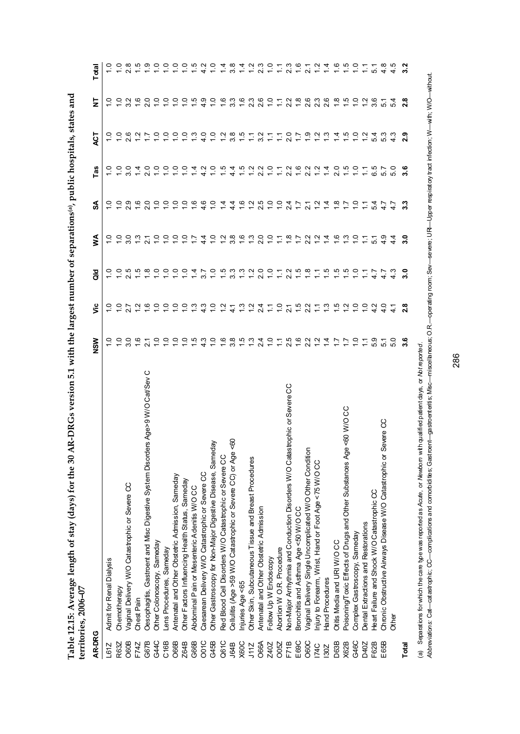|               | Table 12.15: Average length of stay (days) for the 30 AR-DRGs version 5.1 with the largest number of separations <sup>(a)</sup> , public hospitals, states and<br>territories, 2006-07 |               |                      |               |               |                 |        |               |               |               |
|---------------|----------------------------------------------------------------------------------------------------------------------------------------------------------------------------------------|---------------|----------------------|---------------|---------------|-----------------|--------|---------------|---------------|---------------|
| <b>AR-DRG</b> |                                                                                                                                                                                        | <b>NSM</b>    | ئا                   | ᅙ             | ⋚             | వ్              | Tas    | ACT           | Ż             | Total         |
|               | .61Z Admit for Renal Dialysis                                                                                                                                                          |               |                      |               |               |                 |        |               |               |               |
| R63Z          | Chemotherapy                                                                                                                                                                           |               |                      |               |               | <u>ب</u>        |        |               |               |               |
| O60B          | Vaginal Delivery W/O Catastrophic or Severe CC                                                                                                                                         | <u>ဒ</u>      |                      |               |               | 2.9             |        | e<br>N        | 32            |               |
| F74Z          | <b>Chest Pain</b>                                                                                                                                                                      | $\frac{6}{1}$ |                      |               | 13            | $\frac{6}{1}$   |        | $\frac{2}{1}$ | $\frac{6}{1}$ |               |
| G67B          | Oesophagitis, Gastroent and Misc Digestive System Disorders Age>9 W/O Cat/Sev C                                                                                                        |               | $\overset{\circ}{=}$ | $\frac{8}{1}$ | $\tilde{21}$  | $\overline{20}$ | o<br>N | $\ddot{ }$ :  | 2.0           | $\frac{1}{2}$ |
| CAAC          | Chhar Colonaeau Samadau                                                                                                                                                                | $\frac{1}{1}$ | $\frac{1}{1}$        | $\frac{1}{1}$ | $\frac{1}{1}$ | $\frac{1}{1}$   | ຸ      | $\frac{1}{1}$ | $\frac{1}{1}$ | $\subseteq$   |

| 2.6<br>$\overline{C}$<br>$\frac{1}{1}$<br>$\frac{0}{1}$<br>40<br>$\frac{1}{2}$<br>$\frac{2}{1}$<br>3.8<br>$\frac{15}{1}$<br>2.7<br>$\frac{9}{1}$ $\frac{1}{1}$<br>$\frac{3}{2}$<br>$\overline{4}$<br>$\frac{1}{10}$<br>$\frac{1}{2}$<br>5.4<br>53<br>3.2<br>$\frac{1}{2}$<br>$\sum$<br>$\ddot{ }$<br>$\ddot{ }$<br>$\frac{1}{\sqrt{2}}$<br>$\frac{0}{1}$<br>$\frac{1}{2}$<br>$\frac{5}{1}$<br>$\frac{5}{1}$<br>$\frac{0}{1}$<br>2.2<br>$\frac{6}{1}$<br>$\sim$<br>$\frac{2}{3}$<br>$\overline{4}$<br>2.0<br>$\frac{15}{10}$<br>$\frac{1}{2}$<br>Ю<br>$\frac{0}{3}$<br>$\stackrel{+}{\scriptstyle\sim}$<br>0<br>$\frac{0}{\tau}$<br>$1\overline{4}$<br>4.2<br>$4\overline{4}$<br>2.2<br>$\sum$<br>57<br>$\mathbf{N}$<br>6<br>$7.50$<br>$7.5$<br>တ္<br>ဖ<br>Q<br>$\supseteq$<br>$\frac{1}{2}$<br>$\frac{1}{2}$<br>$\frac{1}{2}$<br>$\frac{6}{1}$<br>4.6<br>$\tilde{\mathfrak{c}}$<br>$\frac{6}{1}$<br>$\ddot{ }$<br>$24$<br>1.7<br>$\frac{1}{2}$<br>$\overline{4}$<br>$\frac{8}{10}$<br>$\frac{1}{2}$<br>Q<br>$\dot{4}$<br>$4\overline{4}$<br>$\overline{21}$<br>$\ddot{ }$<br>54<br>$\ddot{t}$<br>N<br>99997<br>20727<br>$\frac{6}{1}$<br>$\frac{1}{2}$<br>3.0<br>$\frac{3}{2}$ $\frac{1}{2}$<br>7.99<br>$\frac{5}{10}$<br>$\frac{1}{2}$<br>$\frac{1}{2}$<br>3.8<br>಼<br>$\frac{1}{2}$<br>$\frac{9}{4}$<br>$\frac{4}{4}$<br>$\tilde{\cdot}$<br>51<br>7.200<br>$\frac{8}{1}$ $\frac{6}{1}$<br>$\frac{5}{1}$<br>$\frac{1}{2}$<br>$\frac{1}{2}$<br>$\frac{0}{1}$<br>$\frac{0}{1}$<br>ယ္<br>$\ddot{\circ}$<br>$\infty$<br>$\circ$<br>$\circ$<br>$\frac{1}{2}$<br>$\frac{1}{2}$<br>$\frac{1}{4}$<br>$\frac{1}{2}$<br>ယ္<br>$3.3800$<br>$3.480$<br>$\frac{0}{1}$<br>3.7<br>$\frac{7}{11}$<br>$4.7$<br>$4.7$<br>τÚ<br>ဖ<br>$\circ$<br>$\circ$<br>$\circ$<br>$\circ$<br>က<br>ო<br>$\circ$<br>$\sim$<br>$\frac{3}{2}$<br>$\frac{1}{2}$<br>24<br>$\frac{1}{2}$<br>$\frac{1}{2}$<br>$\mathbf{N}$<br>ω.<br>$\sim$<br>$\circ$<br>$\circ$<br>$\sim$<br>$\circ$<br>$\overline{ }$<br>N<br>$\tilde{\cdot}$<br>$\frac{1}{4}$<br>$\overline{21}$<br>Ξ<br>$\sim$<br>$\sim$<br>4<br>4<br>4<br><i>A O T B G A U</i><br><i>A U T B G A U</i><br>Q<br>$\circ$<br>ဖ<br>$\frac{1}{2}$<br>o o o n w<br>$\circ$<br>ဖ<br>ထု ဟု ကု<br>53<br>Q<br>$\frac{4}{4}$<br>$\ddot{ }$<br>$\overline{C}$<br>$\frac{1}{2}$<br>$\overline{5}$<br>$\overline{21}$<br>$\tilde{U}$<br>က<br>ო<br>4<br>ers Age>9 W/O Cat/Sev C<br>strophic or Severe CC<br><60 W/O CC<br>Severe CC<br>$\frac{60}{5}$<br>day<br>$\pmb{\omega}$<br>Vaginal Delivery Single Uncomplicated W/O Other Condition<br>Oesophagitis, Gastroent and Misc Digestive System Disord<br>Other Gastroscopy for Non-Major Digestive Disease, Same<br>Cellulitis (Age >59 W/O Catastrophic or Severe CC) or Age<br>Non-Major Arrhythmia and Conduction Disorders W/O Cata<br>Poisoning/Toxic Effects of Drugs and Other Substances Ag<br>Red Blood Cell Disorders W/O Catastrophic or Severe CC<br>Chronic Obstructive Airways Disease W/O Catastrophic or<br>Other Skin, Subcutaneous Tissue and Breast Procedures<br>Injury to Forearm, Wrist, Hand or Foot Age <75 W/O CC<br>Caesarean Delivery W/O Catastrophic or Severe CC<br>Antenatal and Other Obstetric Admission, Sameday<br>Other Factors Influencing Health Status, Sameday<br>Vaginal Delivery W/O Catastrophic or Severe CC<br>Abdominal Pain or Mesenteric Adenitis W/O CC<br>Heart Failure and Shock W/O Catastrophic CC<br>Antenatal and Other Obstetric Admission<br>Bronchitis and Asthma Age <50 W/O CC<br>Dental Extractions and Restorations<br>Complex Gastroscopy, Sameday<br>Otitis Media and URI W/OCC<br>Other Colonoscopy, Sameday<br>ens Procedures, Sameday<br>Abortion W O.R. Procedure<br>Follow Up W Endoscopy<br>Admit for Renal Dialysis<br>Hand Procedures<br>Injuries Age <65<br>Chemotherapy<br>Chest Pain<br>Q61C<br>E69C<br>O60C<br>G46C<br>O60B<br>G67B<br>G44C<br>C <sub>16B</sub><br>O66B<br>G66B<br>OOTC<br>G45B<br>O66A<br>D63B<br>E <sub>65B</sub><br>O05Z<br>D40Z<br>R63Z<br>Z64B<br>X60C<br>X62B<br>F62B<br>F71B<br>F74Z<br><b>J64B</b><br>J11Z<br>Z40Z<br>L61Z<br><b>174C</b><br>1302 | AR-DRG | NSW           | ئا | <b>Jap</b> | ≸ | న్ | Tas     | <b>LS</b> | 5                                          | Total                    |
|---------------------------------------------------------------------------------------------------------------------------------------------------------------------------------------------------------------------------------------------------------------------------------------------------------------------------------------------------------------------------------------------------------------------------------------------------------------------------------------------------------------------------------------------------------------------------------------------------------------------------------------------------------------------------------------------------------------------------------------------------------------------------------------------------------------------------------------------------------------------------------------------------------------------------------------------------------------------------------------------------------------------------------------------------------------------------------------------------------------------------------------------------------------------------------------------------------------------------------------------------------------------------------------------------------------------------------------------------------------------------------------------------------------------------------------------------------------------------------------------------------------------------------------------------------------------------------------------------------------------------------------------------------------------------------------------------------------------------------------------------------------------------------------------------------------------------------------------------------------------------------------------------------------------------------------------------------------------------------------------------------------------------------------------------------------------------------------------------------------------------------------------------------------------------------------------------------------------------------------------------------------------------------------------------------------------------------------------------------------------------------------------------------------------------------------------------------------------------------------------------------------------------------------------------------------------------------------------------------------------------------------------------------------------------------------------------------------------------------------------------------------------------------------------------------------------------------------------------------------------------------------------------------------------------------------------------------------------------------------------------------------------------------------------------------------------------------------------------------------------------------------------------------------------------------------------------------------------------------------------------------------------------------------------------------------------------------------------------------------------------------------------------------------------------------------------------------------------------------------------------------------------------------------------------------------------------------------------------------------------------------------------------------------------------------------------------------------------------------------------------------------------------------------------------------------------------------------------------------------------------------------------------------------------------------------------------------------------------------------------------------------------------------------------------------------------------------------------------------|--------|---------------|----|------------|---|----|---------|-----------|--------------------------------------------|--------------------------|
|                                                                                                                                                                                                                                                                                                                                                                                                                                                                                                                                                                                                                                                                                                                                                                                                                                                                                                                                                                                                                                                                                                                                                                                                                                                                                                                                                                                                                                                                                                                                                                                                                                                                                                                                                                                                                                                                                                                                                                                                                                                                                                                                                                                                                                                                                                                                                                                                                                                                                                                                                                                                                                                                                                                                                                                                                                                                                                                                                                                                                                                                                                                                                                                                                                                                                                                                                                                                                                                                                                                                                                                                                                                                                                                                                                                                                                                                                                                                                                                                                                                                                                         |        |               |    |            |   |    |         |           |                                            |                          |
|                                                                                                                                                                                                                                                                                                                                                                                                                                                                                                                                                                                                                                                                                                                                                                                                                                                                                                                                                                                                                                                                                                                                                                                                                                                                                                                                                                                                                                                                                                                                                                                                                                                                                                                                                                                                                                                                                                                                                                                                                                                                                                                                                                                                                                                                                                                                                                                                                                                                                                                                                                                                                                                                                                                                                                                                                                                                                                                                                                                                                                                                                                                                                                                                                                                                                                                                                                                                                                                                                                                                                                                                                                                                                                                                                                                                                                                                                                                                                                                                                                                                                                         |        |               |    |            |   |    |         |           |                                            | 0                        |
|                                                                                                                                                                                                                                                                                                                                                                                                                                                                                                                                                                                                                                                                                                                                                                                                                                                                                                                                                                                                                                                                                                                                                                                                                                                                                                                                                                                                                                                                                                                                                                                                                                                                                                                                                                                                                                                                                                                                                                                                                                                                                                                                                                                                                                                                                                                                                                                                                                                                                                                                                                                                                                                                                                                                                                                                                                                                                                                                                                                                                                                                                                                                                                                                                                                                                                                                                                                                                                                                                                                                                                                                                                                                                                                                                                                                                                                                                                                                                                                                                                                                                                         |        |               |    |            |   |    |         |           | N<br>ო                                     | $\infty$<br>$\mathbf{a}$ |
|                                                                                                                                                                                                                                                                                                                                                                                                                                                                                                                                                                                                                                                                                                                                                                                                                                                                                                                                                                                                                                                                                                                                                                                                                                                                                                                                                                                                                                                                                                                                                                                                                                                                                                                                                                                                                                                                                                                                                                                                                                                                                                                                                                                                                                                                                                                                                                                                                                                                                                                                                                                                                                                                                                                                                                                                                                                                                                                                                                                                                                                                                                                                                                                                                                                                                                                                                                                                                                                                                                                                                                                                                                                                                                                                                                                                                                                                                                                                                                                                                                                                                                         |        |               |    |            |   |    |         |           | ဖ                                          | m                        |
|                                                                                                                                                                                                                                                                                                                                                                                                                                                                                                                                                                                                                                                                                                                                                                                                                                                                                                                                                                                                                                                                                                                                                                                                                                                                                                                                                                                                                                                                                                                                                                                                                                                                                                                                                                                                                                                                                                                                                                                                                                                                                                                                                                                                                                                                                                                                                                                                                                                                                                                                                                                                                                                                                                                                                                                                                                                                                                                                                                                                                                                                                                                                                                                                                                                                                                                                                                                                                                                                                                                                                                                                                                                                                                                                                                                                                                                                                                                                                                                                                                                                                                         |        |               |    |            |   |    |         |           | $\circ$<br>$\sim$                          | တ                        |
|                                                                                                                                                                                                                                                                                                                                                                                                                                                                                                                                                                                                                                                                                                                                                                                                                                                                                                                                                                                                                                                                                                                                                                                                                                                                                                                                                                                                                                                                                                                                                                                                                                                                                                                                                                                                                                                                                                                                                                                                                                                                                                                                                                                                                                                                                                                                                                                                                                                                                                                                                                                                                                                                                                                                                                                                                                                                                                                                                                                                                                                                                                                                                                                                                                                                                                                                                                                                                                                                                                                                                                                                                                                                                                                                                                                                                                                                                                                                                                                                                                                                                                         |        |               |    |            |   |    |         |           |                                            | $\circ$                  |
|                                                                                                                                                                                                                                                                                                                                                                                                                                                                                                                                                                                                                                                                                                                                                                                                                                                                                                                                                                                                                                                                                                                                                                                                                                                                                                                                                                                                                                                                                                                                                                                                                                                                                                                                                                                                                                                                                                                                                                                                                                                                                                                                                                                                                                                                                                                                                                                                                                                                                                                                                                                                                                                                                                                                                                                                                                                                                                                                                                                                                                                                                                                                                                                                                                                                                                                                                                                                                                                                                                                                                                                                                                                                                                                                                                                                                                                                                                                                                                                                                                                                                                         |        |               |    |            |   |    |         |           | o o o o n                                  | $\circ$                  |
|                                                                                                                                                                                                                                                                                                                                                                                                                                                                                                                                                                                                                                                                                                                                                                                                                                                                                                                                                                                                                                                                                                                                                                                                                                                                                                                                                                                                                                                                                                                                                                                                                                                                                                                                                                                                                                                                                                                                                                                                                                                                                                                                                                                                                                                                                                                                                                                                                                                                                                                                                                                                                                                                                                                                                                                                                                                                                                                                                                                                                                                                                                                                                                                                                                                                                                                                                                                                                                                                                                                                                                                                                                                                                                                                                                                                                                                                                                                                                                                                                                                                                                         |        |               |    |            |   |    |         |           |                                            | $\circ$                  |
|                                                                                                                                                                                                                                                                                                                                                                                                                                                                                                                                                                                                                                                                                                                                                                                                                                                                                                                                                                                                                                                                                                                                                                                                                                                                                                                                                                                                                                                                                                                                                                                                                                                                                                                                                                                                                                                                                                                                                                                                                                                                                                                                                                                                                                                                                                                                                                                                                                                                                                                                                                                                                                                                                                                                                                                                                                                                                                                                                                                                                                                                                                                                                                                                                                                                                                                                                                                                                                                                                                                                                                                                                                                                                                                                                                                                                                                                                                                                                                                                                                                                                                         |        |               |    |            |   |    |         |           |                                            | $\circ$                  |
|                                                                                                                                                                                                                                                                                                                                                                                                                                                                                                                                                                                                                                                                                                                                                                                                                                                                                                                                                                                                                                                                                                                                                                                                                                                                                                                                                                                                                                                                                                                                                                                                                                                                                                                                                                                                                                                                                                                                                                                                                                                                                                                                                                                                                                                                                                                                                                                                                                                                                                                                                                                                                                                                                                                                                                                                                                                                                                                                                                                                                                                                                                                                                                                                                                                                                                                                                                                                                                                                                                                                                                                                                                                                                                                                                                                                                                                                                                                                                                                                                                                                                                         |        |               |    |            |   |    |         |           |                                            | Ю                        |
|                                                                                                                                                                                                                                                                                                                                                                                                                                                                                                                                                                                                                                                                                                                                                                                                                                                                                                                                                                                                                                                                                                                                                                                                                                                                                                                                                                                                                                                                                                                                                                                                                                                                                                                                                                                                                                                                                                                                                                                                                                                                                                                                                                                                                                                                                                                                                                                                                                                                                                                                                                                                                                                                                                                                                                                                                                                                                                                                                                                                                                                                                                                                                                                                                                                                                                                                                                                                                                                                                                                                                                                                                                                                                                                                                                                                                                                                                                                                                                                                                                                                                                         |        |               |    |            |   |    |         |           | တ္<br>4                                    | $\sim$<br>4              |
|                                                                                                                                                                                                                                                                                                                                                                                                                                                                                                                                                                                                                                                                                                                                                                                                                                                                                                                                                                                                                                                                                                                                                                                                                                                                                                                                                                                                                                                                                                                                                                                                                                                                                                                                                                                                                                                                                                                                                                                                                                                                                                                                                                                                                                                                                                                                                                                                                                                                                                                                                                                                                                                                                                                                                                                                                                                                                                                                                                                                                                                                                                                                                                                                                                                                                                                                                                                                                                                                                                                                                                                                                                                                                                                                                                                                                                                                                                                                                                                                                                                                                                         |        |               |    |            |   |    |         |           | O.                                         | ○                        |
|                                                                                                                                                                                                                                                                                                                                                                                                                                                                                                                                                                                                                                                                                                                                                                                                                                                                                                                                                                                                                                                                                                                                                                                                                                                                                                                                                                                                                                                                                                                                                                                                                                                                                                                                                                                                                                                                                                                                                                                                                                                                                                                                                                                                                                                                                                                                                                                                                                                                                                                                                                                                                                                                                                                                                                                                                                                                                                                                                                                                                                                                                                                                                                                                                                                                                                                                                                                                                                                                                                                                                                                                                                                                                                                                                                                                                                                                                                                                                                                                                                                                                                         |        |               |    |            |   |    |         |           | ဖ                                          | 4                        |
|                                                                                                                                                                                                                                                                                                                                                                                                                                                                                                                                                                                                                                                                                                                                                                                                                                                                                                                                                                                                                                                                                                                                                                                                                                                                                                                                                                                                                                                                                                                                                                                                                                                                                                                                                                                                                                                                                                                                                                                                                                                                                                                                                                                                                                                                                                                                                                                                                                                                                                                                                                                                                                                                                                                                                                                                                                                                                                                                                                                                                                                                                                                                                                                                                                                                                                                                                                                                                                                                                                                                                                                                                                                                                                                                                                                                                                                                                                                                                                                                                                                                                                         |        |               |    |            |   |    |         |           | က<br>ო                                     | ∞<br>က                   |
|                                                                                                                                                                                                                                                                                                                                                                                                                                                                                                                                                                                                                                                                                                                                                                                                                                                                                                                                                                                                                                                                                                                                                                                                                                                                                                                                                                                                                                                                                                                                                                                                                                                                                                                                                                                                                                                                                                                                                                                                                                                                                                                                                                                                                                                                                                                                                                                                                                                                                                                                                                                                                                                                                                                                                                                                                                                                                                                                                                                                                                                                                                                                                                                                                                                                                                                                                                                                                                                                                                                                                                                                                                                                                                                                                                                                                                                                                                                                                                                                                                                                                                         |        |               |    |            |   |    |         |           |                                            | 4                        |
|                                                                                                                                                                                                                                                                                                                                                                                                                                                                                                                                                                                                                                                                                                                                                                                                                                                                                                                                                                                                                                                                                                                                                                                                                                                                                                                                                                                                                                                                                                                                                                                                                                                                                                                                                                                                                                                                                                                                                                                                                                                                                                                                                                                                                                                                                                                                                                                                                                                                                                                                                                                                                                                                                                                                                                                                                                                                                                                                                                                                                                                                                                                                                                                                                                                                                                                                                                                                                                                                                                                                                                                                                                                                                                                                                                                                                                                                                                                                                                                                                                                                                                         |        |               |    |            |   |    |         |           | ဖ္ က္ ဖ္ တ္<br>$\overline{N}$              |                          |
|                                                                                                                                                                                                                                                                                                                                                                                                                                                                                                                                                                                                                                                                                                                                                                                                                                                                                                                                                                                                                                                                                                                                                                                                                                                                                                                                                                                                                                                                                                                                                                                                                                                                                                                                                                                                                                                                                                                                                                                                                                                                                                                                                                                                                                                                                                                                                                                                                                                                                                                                                                                                                                                                                                                                                                                                                                                                                                                                                                                                                                                                                                                                                                                                                                                                                                                                                                                                                                                                                                                                                                                                                                                                                                                                                                                                                                                                                                                                                                                                                                                                                                         |        |               |    |            |   |    |         |           | $\mathbf{N}$                               | $\mathbf{N}$             |
|                                                                                                                                                                                                                                                                                                                                                                                                                                                                                                                                                                                                                                                                                                                                                                                                                                                                                                                                                                                                                                                                                                                                                                                                                                                                                                                                                                                                                                                                                                                                                                                                                                                                                                                                                                                                                                                                                                                                                                                                                                                                                                                                                                                                                                                                                                                                                                                                                                                                                                                                                                                                                                                                                                                                                                                                                                                                                                                                                                                                                                                                                                                                                                                                                                                                                                                                                                                                                                                                                                                                                                                                                                                                                                                                                                                                                                                                                                                                                                                                                                                                                                         |        |               |    |            |   |    |         |           |                                            |                          |
|                                                                                                                                                                                                                                                                                                                                                                                                                                                                                                                                                                                                                                                                                                                                                                                                                                                                                                                                                                                                                                                                                                                                                                                                                                                                                                                                                                                                                                                                                                                                                                                                                                                                                                                                                                                                                                                                                                                                                                                                                                                                                                                                                                                                                                                                                                                                                                                                                                                                                                                                                                                                                                                                                                                                                                                                                                                                                                                                                                                                                                                                                                                                                                                                                                                                                                                                                                                                                                                                                                                                                                                                                                                                                                                                                                                                                                                                                                                                                                                                                                                                                                         |        |               |    |            |   |    |         |           | $\ddot{ }$                                 |                          |
|                                                                                                                                                                                                                                                                                                                                                                                                                                                                                                                                                                                                                                                                                                                                                                                                                                                                                                                                                                                                                                                                                                                                                                                                                                                                                                                                                                                                                                                                                                                                                                                                                                                                                                                                                                                                                                                                                                                                                                                                                                                                                                                                                                                                                                                                                                                                                                                                                                                                                                                                                                                                                                                                                                                                                                                                                                                                                                                                                                                                                                                                                                                                                                                                                                                                                                                                                                                                                                                                                                                                                                                                                                                                                                                                                                                                                                                                                                                                                                                                                                                                                                         |        |               |    |            |   |    |         |           | $\alpha$ $\alpha$ $\alpha$<br>$\mathbf{N}$ | $\mathbf{a}$             |
|                                                                                                                                                                                                                                                                                                                                                                                                                                                                                                                                                                                                                                                                                                                                                                                                                                                                                                                                                                                                                                                                                                                                                                                                                                                                                                                                                                                                                                                                                                                                                                                                                                                                                                                                                                                                                                                                                                                                                                                                                                                                                                                                                                                                                                                                                                                                                                                                                                                                                                                                                                                                                                                                                                                                                                                                                                                                                                                                                                                                                                                                                                                                                                                                                                                                                                                                                                                                                                                                                                                                                                                                                                                                                                                                                                                                                                                                                                                                                                                                                                                                                                         |        |               |    |            |   |    |         |           | $\overline{ }$                             | ဖ                        |
|                                                                                                                                                                                                                                                                                                                                                                                                                                                                                                                                                                                                                                                                                                                                                                                                                                                                                                                                                                                                                                                                                                                                                                                                                                                                                                                                                                                                                                                                                                                                                                                                                                                                                                                                                                                                                                                                                                                                                                                                                                                                                                                                                                                                                                                                                                                                                                                                                                                                                                                                                                                                                                                                                                                                                                                                                                                                                                                                                                                                                                                                                                                                                                                                                                                                                                                                                                                                                                                                                                                                                                                                                                                                                                                                                                                                                                                                                                                                                                                                                                                                                                         |        |               |    |            |   |    |         |           | $\mathbf{N}$                               | $\sim$                   |
|                                                                                                                                                                                                                                                                                                                                                                                                                                                                                                                                                                                                                                                                                                                                                                                                                                                                                                                                                                                                                                                                                                                                                                                                                                                                                                                                                                                                                                                                                                                                                                                                                                                                                                                                                                                                                                                                                                                                                                                                                                                                                                                                                                                                                                                                                                                                                                                                                                                                                                                                                                                                                                                                                                                                                                                                                                                                                                                                                                                                                                                                                                                                                                                                                                                                                                                                                                                                                                                                                                                                                                                                                                                                                                                                                                                                                                                                                                                                                                                                                                                                                                         |        |               |    |            |   |    |         |           | ო<br>$\mathbf{N}$                          | $\frac{2}{1}$            |
|                                                                                                                                                                                                                                                                                                                                                                                                                                                                                                                                                                                                                                                                                                                                                                                                                                                                                                                                                                                                                                                                                                                                                                                                                                                                                                                                                                                                                                                                                                                                                                                                                                                                                                                                                                                                                                                                                                                                                                                                                                                                                                                                                                                                                                                                                                                                                                                                                                                                                                                                                                                                                                                                                                                                                                                                                                                                                                                                                                                                                                                                                                                                                                                                                                                                                                                                                                                                                                                                                                                                                                                                                                                                                                                                                                                                                                                                                                                                                                                                                                                                                                         |        |               |    |            |   |    |         |           | ပ္ပ<br>$\mathbf{N}$                        | $\frac{1}{4}$            |
|                                                                                                                                                                                                                                                                                                                                                                                                                                                                                                                                                                                                                                                                                                                                                                                                                                                                                                                                                                                                                                                                                                                                                                                                                                                                                                                                                                                                                                                                                                                                                                                                                                                                                                                                                                                                                                                                                                                                                                                                                                                                                                                                                                                                                                                                                                                                                                                                                                                                                                                                                                                                                                                                                                                                                                                                                                                                                                                                                                                                                                                                                                                                                                                                                                                                                                                                                                                                                                                                                                                                                                                                                                                                                                                                                                                                                                                                                                                                                                                                                                                                                                         |        |               |    |            |   |    |         |           | œ                                          | $\frac{6}{1}$            |
|                                                                                                                                                                                                                                                                                                                                                                                                                                                                                                                                                                                                                                                                                                                                                                                                                                                                                                                                                                                                                                                                                                                                                                                                                                                                                                                                                                                                                                                                                                                                                                                                                                                                                                                                                                                                                                                                                                                                                                                                                                                                                                                                                                                                                                                                                                                                                                                                                                                                                                                                                                                                                                                                                                                                                                                                                                                                                                                                                                                                                                                                                                                                                                                                                                                                                                                                                                                                                                                                                                                                                                                                                                                                                                                                                                                                                                                                                                                                                                                                                                                                                                         |        |               |    |            |   |    |         |           | က္                                         | $\frac{5}{1}$            |
|                                                                                                                                                                                                                                                                                                                                                                                                                                                                                                                                                                                                                                                                                                                                                                                                                                                                                                                                                                                                                                                                                                                                                                                                                                                                                                                                                                                                                                                                                                                                                                                                                                                                                                                                                                                                                                                                                                                                                                                                                                                                                                                                                                                                                                                                                                                                                                                                                                                                                                                                                                                                                                                                                                                                                                                                                                                                                                                                                                                                                                                                                                                                                                                                                                                                                                                                                                                                                                                                                                                                                                                                                                                                                                                                                                                                                                                                                                                                                                                                                                                                                                         |        |               |    |            |   |    |         |           |                                            | $\frac{0}{1}$            |
|                                                                                                                                                                                                                                                                                                                                                                                                                                                                                                                                                                                                                                                                                                                                                                                                                                                                                                                                                                                                                                                                                                                                                                                                                                                                                                                                                                                                                                                                                                                                                                                                                                                                                                                                                                                                                                                                                                                                                                                                                                                                                                                                                                                                                                                                                                                                                                                                                                                                                                                                                                                                                                                                                                                                                                                                                                                                                                                                                                                                                                                                                                                                                                                                                                                                                                                                                                                                                                                                                                                                                                                                                                                                                                                                                                                                                                                                                                                                                                                                                                                                                                         |        |               |    |            |   |    |         |           | $\frac{10}{10}$                            |                          |
|                                                                                                                                                                                                                                                                                                                                                                                                                                                                                                                                                                                                                                                                                                                                                                                                                                                                                                                                                                                                                                                                                                                                                                                                                                                                                                                                                                                                                                                                                                                                                                                                                                                                                                                                                                                                                                                                                                                                                                                                                                                                                                                                                                                                                                                                                                                                                                                                                                                                                                                                                                                                                                                                                                                                                                                                                                                                                                                                                                                                                                                                                                                                                                                                                                                                                                                                                                                                                                                                                                                                                                                                                                                                                                                                                                                                                                                                                                                                                                                                                                                                                                         |        |               |    |            |   |    |         |           | ဖ<br>ຕ່                                    | 51                       |
|                                                                                                                                                                                                                                                                                                                                                                                                                                                                                                                                                                                                                                                                                                                                                                                                                                                                                                                                                                                                                                                                                                                                                                                                                                                                                                                                                                                                                                                                                                                                                                                                                                                                                                                                                                                                                                                                                                                                                                                                                                                                                                                                                                                                                                                                                                                                                                                                                                                                                                                                                                                                                                                                                                                                                                                                                                                                                                                                                                                                                                                                                                                                                                                                                                                                                                                                                                                                                                                                                                                                                                                                                                                                                                                                                                                                                                                                                                                                                                                                                                                                                                         |        |               |    |            |   |    |         |           | $\overline{5}$                             | $4.\overline{8}$         |
| Other                                                                                                                                                                                                                                                                                                                                                                                                                                                                                                                                                                                                                                                                                                                                                                                                                                                                                                                                                                                                                                                                                                                                                                                                                                                                                                                                                                                                                                                                                                                                                                                                                                                                                                                                                                                                                                                                                                                                                                                                                                                                                                                                                                                                                                                                                                                                                                                                                                                                                                                                                                                                                                                                                                                                                                                                                                                                                                                                                                                                                                                                                                                                                                                                                                                                                                                                                                                                                                                                                                                                                                                                                                                                                                                                                                                                                                                                                                                                                                                                                                                                                                   |        | $\circ$<br>ιó | 4  |            |   |    | 0<br>ဖာ | 43        | 4<br>LO.                                   | ₹                        |
| თ<br>Ń۰<br>ဖ<br>ო<br>33<br>$\overline{3.0}$<br>٥<br>ຕ່<br>œ<br>3.6<br>Total                                                                                                                                                                                                                                                                                                                                                                                                                                                                                                                                                                                                                                                                                                                                                                                                                                                                                                                                                                                                                                                                                                                                                                                                                                                                                                                                                                                                                                                                                                                                                                                                                                                                                                                                                                                                                                                                                                                                                                                                                                                                                                                                                                                                                                                                                                                                                                                                                                                                                                                                                                                                                                                                                                                                                                                                                                                                                                                                                                                                                                                                                                                                                                                                                                                                                                                                                                                                                                                                                                                                                                                                                                                                                                                                                                                                                                                                                                                                                                                                                             |        |               |    |            |   |    |         |           | 28                                         | Ņ<br>ო                   |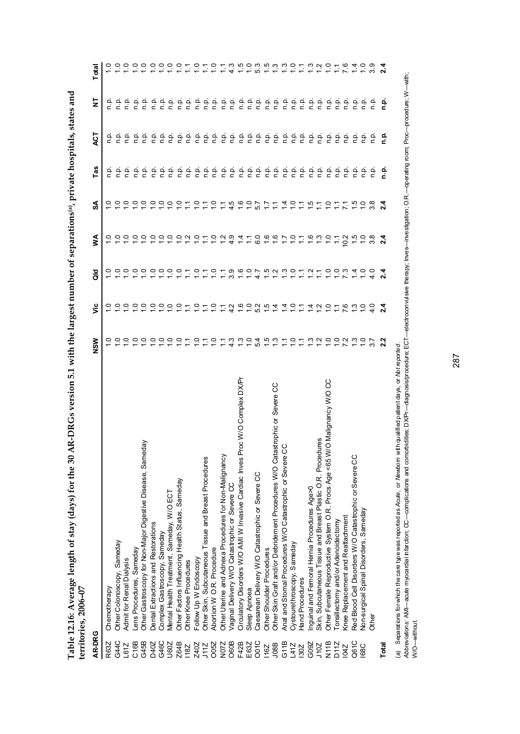| くりりょう                            |              |
|----------------------------------|--------------|
|                                  |              |
|                                  |              |
| J<br>5                           |              |
|                                  |              |
| udys) for                        |              |
| $\frac{1}{2}$                    |              |
|                                  |              |
|                                  |              |
|                                  |              |
| Herage length of stay (down<br>١ |              |
| Table 14.10. Avelag              | Lance C<br>ľ |
|                                  |              |
| Ī                                |              |
|                                  |              |
|                                  |              |

|                  | $100000 - 001$                                                                                                    |                             |                 |                         |                         |                               |         |           |                             |           |
|------------------|-------------------------------------------------------------------------------------------------------------------|-----------------------------|-----------------|-------------------------|-------------------------|-------------------------------|---------|-----------|-----------------------------|-----------|
| AR-DRG           |                                                                                                                   | NSW                         | ۊ               | $\frac{8}{3}$           | ⋚                       | SÁ                            | å       | 15<br>ACT | 5<br>N                      | otal<br>⊢ |
| R63Z             | Chemotherapy                                                                                                      |                             |                 |                         |                         |                               | a<br>n  | άu        | ء<br>ء                      |           |
| G44C             | Other Colonoscopy, Sameday                                                                                        | Q                           |                 |                         |                         |                               |         | n.p.      |                             |           |
| L61Z             | Admit for Renal Dialysis                                                                                          | $\subseteq$                 | $\subseteq$     |                         |                         | Q                             | 안       | غ         | ن<br>ء                      |           |
| C <sub>16B</sub> | Lens Procedures, Sameday                                                                                          | 2222                        | $\subseteq$     |                         | Q                       | $\frac{0}{10}$                | ېم      | ن<br>ء    |                             |           |
| G45B             | Other Gastroscopy for Non-Major Digestive Disease, Sameday                                                        |                             | $\tilde{c}$     |                         | $\circ$                 |                               | ېم      | 흔         | $\frac{a}{c}$ $\frac{a}{c}$ |           |
| D40Z             | Dental Extractions and Restorations                                                                               |                             | $\frac{0}{1}$   |                         | $\circ$ $\circ$ $\circ$ | $\frac{0}{10}$                | άu      | o.<br>C   | $\frac{a}{c}$               |           |
| G46C             | Complex Gastroscopy, Sameday                                                                                      |                             |                 |                         |                         |                               | çū      | o.<br>C   | n.p.                        |           |
| U60Z             | Mental Health Treatment, Sameday, W/O ECT                                                                         |                             |                 |                         |                         |                               | ن<br>م  | n.<br>E   | o.<br>C                     |           |
| Z64B             | Other Factors Influencing Health Status, Sameday                                                                  | $rac{1}{2}$                 | $\frac{1}{1}$   | ੁ                       |                         | ္                             | n p     | n.p.      | n.p.                        |           |
| <b>18Z</b>       | Other Knee Procedures                                                                                             |                             | Ξ               | Ξ                       | $\mathbf{N}$            | Σ                             | ن<br>P  | n.p.      | ن<br>ء                      | Σ.        |
| Z40Z             | Follow Up W Endoscopy                                                                                             | $\frac{1}{1}$               | ੁ               |                         |                         |                               | n.p.    | n p.      | ن<br>ء                      |           |
| <b>J11Z</b>      | Other Skin, Subcutaneous Tissue and Breast Procedures                                                             | Ξ                           | Ξ               | Ξ                       | Ξ                       | Ξ                             | n.p.    | ρ.<br>Γ   | ن<br>ء                      |           |
| O05Z             | Abortion W O.R. Procedure                                                                                         | $\frac{1}{2}$               | ë               | $\frac{1}{\tau}$        | S                       | 은                             | n.p.    | ءَ        | n.p.                        | ≘         |
| N07Z             | Other Uterine and Adnexa Procedures for Non-Malignancy                                                            | Ξ                           | Ξ               |                         |                         | Ξ                             | ن<br>P  | نو<br>ء   | n.p.                        |           |
| O60B             | Vaginal Delivery W/O Catastrophic or Severe CC                                                                    | 4.3                         | 42              | 3.9                     | $\frac{6}{4}$           | 4.5                           | ن<br>P  | ف<br>a    | ن<br>P                      |           |
| F42B             | Circulatory Disorders W/O AMI W Invasive Cardiac Inves Proc W/O Complex DX/Pr                                     | $\frac{30}{10}$             | $\frac{6}{1}$   | $\frac{6}{1}$           |                         | $\frac{6}{1}$                 | ا<br>P  | ن<br>ء    | n.p                         |           |
| E63Z             | Sleep Apnoea                                                                                                      |                             | $\frac{1}{2}$   | $\frac{1}{\sqrt{2}}$    |                         | $\frac{1}{2}$                 | غ       | نو<br>ء   | ن<br>ء                      | Q         |
| OOTC             | Caesarean Delivery W/O Catastrophic or Severe CC                                                                  | 54                          | 52              |                         | $\frac{0}{6}$           | 5.7                           | غ       | نو<br>ء   | ن<br>ء                      |           |
| 116Z             | Other Shoulder Procedures                                                                                         |                             | $\frac{15}{10}$ | نې<br>ب                 |                         | $\ddot{ }$                    | نه<br>ء | نه<br>ء   | نه<br>¤                     |           |
| J08B             | strophic or Severe CC<br>Other Skin Graft and/or Debridement Procedures W/O Cata                                  | たいこうこ                       | $\overline{4}$  | $\frac{2}{1}$           |                         | $\mathbb{Z}$                  | ېم      | ن<br>P    | o.<br>D                     |           |
| G11B             | ပ<br>Anal and Stomal Procedures W/O Catastrophic or Severe C                                                      |                             | 4               | $\frac{3}{2}$           |                         | $\bar{4}$                     | n.p     | نې<br>D   | n.p.                        |           |
| L41Z             | Cystourethroscopy, Sameday                                                                                        |                             | $\overline{a}$  | $\supseteq$             |                         | $\frac{1}{2}$ $\frac{1}{2}$   | ن<br>P  | غ         | ن<br>ء                      |           |
| 130Z             | Hand Procedures                                                                                                   |                             | Σ               | Ξ                       |                         |                               | ن<br>P  | غ         | n.p.                        |           |
| G09Z             | Inguinal and Femoral Hernia Procedures Age>0                                                                      | $\frac{3}{2}$ $\frac{7}{2}$ | $\bar{4}$       | $\tilde{c}$             |                         | $\overline{a}$ $\overline{a}$ | n.p.    | q.        | n.p.                        | بن        |
| J10Z             | Skin, Subcutaneous Tissue and Breast Plastic O.R. Procedures                                                      |                             | $\tilde{c}$     | $\overline{\mathbb{Z}}$ | ო                       |                               | n p.    | n.p.      | $\frac{\alpha}{\alpha}$     |           |
| N11B             | O Malignancy W/O CC<br>Other Female Reproductive System O.R. Procs Age <65 W                                      | $\frac{1}{2}$               | $\frac{1}{2}$   | $\frac{1}{2}$           | Q                       | $\frac{1}{2}$                 | n.p.    | ρ.<br>Γ   | $\frac{\alpha}{\alpha}$     |           |
| D11Z             | Tonsillectomy and/or Adenoidectomy                                                                                | $\frac{0}{7}$ $\frac{0}{7}$ | $\tilde{=}$     | $\frac{0}{1}$           | Ξ                       | $\sum$                        | n.p.    | في<br>أ   | ن<br>ء                      |           |
| <b>LPOI</b>      | Knee Replacement and Reattachment                                                                                 |                             | 7.6             | $\frac{3}{2}$           | 10.2                    | Σ                             | n p.    | نې<br>D   | $\frac{1}{2}$               | ە.<br>7   |
| Q61C             | Red Blood Cell Disorders W/O Catastrophic or Severe CC                                                            | $\frac{3}{2}$               | $\frac{3}{2}$   |                         | $\frac{5}{1}$           | $\ddot{5}$                    | ن<br>P  | نو        | ف<br>ء                      |           |
| 68C              | Non-surgical Spinal Disorders, Sameday                                                                            | $\ddot{c}$                  | $\tilde{c}$     |                         |                         |                               | άu      | ن<br>P    | n.p                         |           |
|                  | Other                                                                                                             |                             | $\frac{1}{4}$   |                         | $\frac{8}{3}$           |                               | άu      | ٩'n       | ن<br>غ                      |           |
| Total            |                                                                                                                   | 22                          | $^{24}$         | $\frac{4}{2}$           | $\mathbf{z}^4$          | $\frac{4}{3}$                 | ءِ<br>ء | ءِ<br>ح   | ؋                           |           |
| $\widehat{a}$    | Separations for which the care twe was reported as Acute, or Newborn with qualified patient days, or Not reported |                             |                 |                         |                         |                               |         |           |                             |           |

(a) Separations for which the care type was reported as *Acute,* or *Newborn* with qualified patient days, or *Not reported*.

(a) Separatons forwinch the care type was reported as Ac*ute ,* or Me*wborn wi*th qualified pailined pailined painer or Morreported.<br>A*bbreviations:* AMI—acute myocardial infarction; CC—complications and comorbidities; DX *Abbreviations:* AMI—acute myocardial infarction; CC—complications and comorbidities; DX/Pr—diagnosis/procedure; ECT—electroconvulsive therapy; Inves—investigation; O.R.—operating room; Proc—procedure; W—with; W/O—without.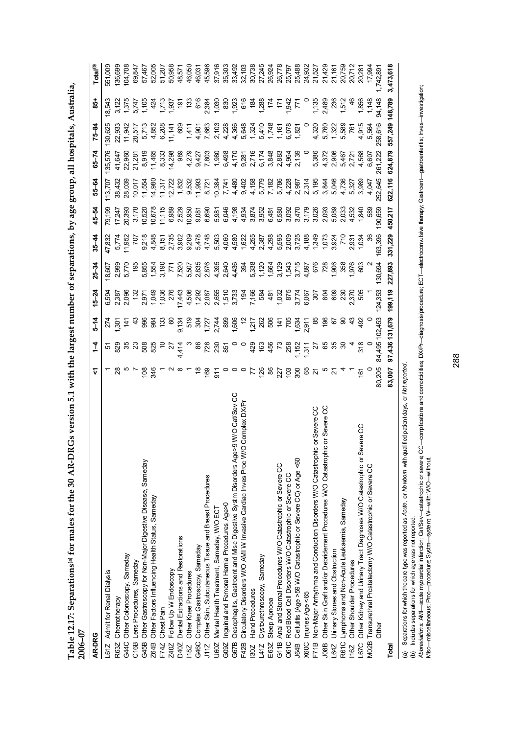| י<br>יוני י                        |                |
|------------------------------------|----------------|
| of hy age crining all h            |                |
|                                    |                |
| そうしょう                              |                |
|                                    |                |
|                                    |                |
|                                    |                |
|                                    |                |
|                                    |                |
| )<br>ו<br>                         |                |
| Í<br> <br> <br> <br>               |                |
|                                    |                |
| $\frac{1}{2}$ for males for the 30 |                |
|                                    |                |
|                                    |                |
| Table 12.17: Separ.<br>l           |                |
|                                    |                |
|                                    | ミくら<br>ذ<br>جا |

| RGs version 5.1 with the largest number of separations,<br>Table 12.17: Separations <sup>(a)</sup> for males for the 30 AR-D<br>2006-07 |                |                          |                      |                                            |                                         |                | by age                  |                                                      |                                        | group, all hospitals, Australia,                               |                                                |                      |
|-----------------------------------------------------------------------------------------------------------------------------------------|----------------|--------------------------|----------------------|--------------------------------------------|-----------------------------------------|----------------|-------------------------|------------------------------------------------------|----------------------------------------|----------------------------------------------------------------|------------------------------------------------|----------------------|
| AR-DRG                                                                                                                                  | ⊽              | $\frac{1}{4}$            | $5 - 14$             | $15 - 24$                                  | $25 - 34$                               | $35 - 44$      | 45-54                   | 55-64                                                | $65 - 74$                              | $75 - 84$                                                      | $\frac{1}{6}$                                  | Total <sup>(b)</sup> |
| Admit for Renal Dialysis<br>L61Z                                                                                                        |                | Ю                        | 274                  | 6,594                                      | 18,607                                  | 47,832         | 79,199                  | 113,707                                              | 135,576                                | 130,625                                                        | 18,543                                         | 551,009              |
| Chemotherapy<br>R63Z                                                                                                                    |                | ಜ್ಞ ಜ ಜ                  | 50                   |                                            | 2,999                                   | 5,774          | 17,247                  | 38,432                                               | 41,647                                 | 22,933                                                         |                                                | 136,699              |
| Other Colonoscopy, Sameday<br>G44C                                                                                                      |                |                          | $\frac{1}{4}$        | 2,387<br>2,096                             | 5,770                                   | 1,952          | 20,393                  | 28,039                                               | 22,960                                 | 11,942                                                         |                                                | 104,708              |
| Lens Procedures, Sameday<br>C16B                                                                                                        |                |                          | $\frac{a}{4}$        | $\ddot{3}$                                 | 195                                     |                | 3,178                   | 10,017                                               | 21,281                                 | 28,517                                                         | $1,375$<br>5,747                               | 69,847               |
| Other Gastroscopy for Non-Major Digestive Disease, Sameday<br>G45B                                                                      | 108            |                          |                      | 2,97                                       | 5,855                                   | 9,218          | 10,520                  | 11,554                                               | 8,919                                  | 5,713                                                          | 1,105                                          | 57,467               |
| Other Factors Influencing Health Status, Sameday<br>Z64B                                                                                | 346            | 508<br>825               |                      | 1,049                                      | 1,554                                   | 4,848          | 10,678                  | 14,980                                               | 11,465                                 | 4,852                                                          |                                                | 52,005               |
| Chest Pain<br>F74Z                                                                                                                      |                |                          |                      | 1,036                                      |                                         | 8,151          | 11,115                  | 11,317                                               | 8,333                                  | 6,208                                                          |                                                | 51,207               |
| Follow Up W Endoscopy<br>Z40Z                                                                                                           |                | $\frac{10}{27}$<br>4,414 |                      | 276                                        | 3,190<br>771<br>7,520<br>7,507<br>2,835 | 2,735          | 6,989                   | 12,722                                               | 14,298                                 | 11,141                                                         | $1, 35$<br>$1, 55$<br>$1, 55$                  | 50,958               |
| Dental Extractions and Restorations<br>D40Z                                                                                             |                |                          | 9,134                | 17,443                                     |                                         |                | 2,529                   | 1,832                                                | 989                                    | 809                                                            | $\frac{1}{9}$                                  | 48,571               |
| Other Knee Procedures<br><b>18Z</b>                                                                                                     |                |                          |                      | 4,506                                      |                                         | 3,902<br>9,209 | 10,950                  | 9,532                                                | 4,279                                  | 1,411                                                          | $\frac{33}{2}$                                 | 46,050               |
| Complex Gastroscopy, Sameday<br>G46C                                                                                                    | $\frac{8}{1}$  |                          |                      | 1,292                                      |                                         |                | 9,081                   | 11,993                                               | 9,427                                  | 4,901                                                          |                                                | 46,031               |
| Other Skin, Subcutaneous Tissue and Breast Procedures<br>J11Z                                                                           | <b>99</b>      |                          |                      | 2,087                                      | 2,876                                   | 5,478<br>4,748 | 6,690                   | 8,72                                                 | 7,803                                  | 7,663                                                          |                                                | 45,596               |
| Mental Health Treatment, Sameday, W/O ECT<br>U60Z                                                                                       | $\overline{5}$ | ន ក្តី ក្តី ក្ត          | 53778867<br>25778867 | 2,655<br>1,510<br>1,733<br>7,166<br>7,1684 | 4,395                                   | 5,503          | 5,981                   | 10,384                                               | 1,980                                  | 2,103                                                          | 616<br>2,384<br>2,030<br>1,030<br>1,023<br>616 | 37,916               |
| Inguinal and Femoral Hemia Procedures Age>0<br>G09Z                                                                                     |                |                          |                      |                                            | 2,640                                   | 4,060          |                         | 7,741                                                |                                        | 4,228                                                          |                                                | 35,303               |
| Oesophagitis, Gastroent and Misc Digestive Systm Disorders Age>9 W/O Cat/Sev CC<br>G67B                                                 |                |                          |                      |                                            | 4,436                                   |                | 6,046<br>4,198          | 4,480                                                | 6,498<br>4,170                         | 4,366                                                          |                                                | 33,492               |
| O Complex DXP<br>Circulatory Disorders W/O AMI W Invasive Cardiac Inves Proc W/<br>F42B                                                 |                |                          |                      |                                            | 394                                     |                | 4,952<br>4,852<br>4,852 | 9,402                                                | 9,281<br>2,716                         | 5,648                                                          |                                                | 32,103               |
| <b>Hand Procedures</b><br>30Z                                                                                                           | 77             |                          |                      |                                            | 5,338                                   |                |                         |                                                      |                                        |                                                                | $\frac{5}{2}$                                  | 30,738               |
| Cystourethroscopy, Sameday<br>L41Z                                                                                                      | 126            |                          |                      |                                            |                                         |                |                         |                                                      | 6,174<br>3,848                         |                                                                | 1,288                                          | 27,245               |
| Sleep Apnoea<br>E63Z                                                                                                                    | 86             |                          | 1718<br>2825<br>1718 | 481<br>1,032<br>5,774<br>6,067             | 1,120<br>1,664<br>3,129                 |                | 6,481                   | 4 58<br>4 57 78 88<br>4 5 7 88 88 7<br>4 5 7 5 8 8 7 |                                        | $1,324$<br>$5,410$<br>$1,748$<br>$1,610$<br>$1,821$<br>$1,821$ | $\frac{1}{24}$                                 | 26,924               |
| Anal and Stomal Procedures W/O Catastrophic or Severe CC<br>G11B                                                                        | 227            |                          |                      |                                            |                                         |                | 6,580                   |                                                      | 2,883                                  |                                                                |                                                | 26,778               |
| Red Blood Cell Disorders W/O Catastrophic or Severe CC<br>Q61C                                                                          | පු             |                          |                      |                                            | 1,543<br>3,715<br>4,897                 |                | 3,092                   |                                                      | 4,964<br>2,139                         |                                                                | 1,942<br>771                                   | 25,797               |
| Cellulitis (Age >59 W/O Catastrophic or Severe CC) or Age <60<br>J64B                                                                   | 300            | 1, 152<br>1, 31 1        | 1,634<br>2,911       |                                            |                                         |                | 3,470                   |                                                      |                                        |                                                                |                                                | 25,488               |
| Injuries Age <65<br>X60C                                                                                                                | 65<br>21       |                          |                      |                                            |                                         | 4,188          | 3,179                   | 2,314<br>5,195                                       |                                        |                                                                |                                                | 24,932               |
| ic or Severe CC<br>Non-Major Arrhythmia and Conduction Disorders W/O Catastrophi<br>F71B                                                |                | 21                       | 58                   | 307                                        | 676                                     | 1,349          | 3,026                   |                                                      | 5,386                                  | 4,320                                                          | 1,135                                          | 21,527               |
| 8<br>Other Skin Graft and/or Debridement Procedures W/O Catastrophic or Severe<br><b>J08B</b>                                           |                |                          | 196                  | 8Q                                         | 728                                     | 1,073          | 2,093                   | 3,844                                                |                                        | 5,760                                                          | 2,489                                          | 21,429               |
| Urinary Stones and Obstruction<br>L64Z                                                                                                  | 2              | & ಜ ಜ                    | 67                   | 809                                        | 906                                     | 3,924<br>710   | 5,089                   | 5,046                                                | <b>វ</b> ្តី មិន<br>អ្នក<br>ម្នាំ ស្នួ | 1,322                                                          | 236                                            | 21,161               |
| Lymphoma and Non-Acute Leukaemia, Sameday<br>R61C                                                                                       |                |                          | ္တ                   | $\approx$                                  | 358                                     |                | 2,033                   | 4,736                                                |                                        | 5,589                                                          | 1,512                                          | 20,759               |
| Other Shoulder Procedures<br>116Z                                                                                                       |                |                          | $\frac{3}{4}$        | <u>ns</u><br>20                            | 976                                     | 2,931          | 4,532                   | 5,327                                                |                                        | 76                                                             |                                                | 20,712               |
| Other Kidney and Urinary Tract Diagnoses W/O Catastrophic or Severe CC<br><b>D257</b>                                                   | $\frac{6}{16}$ | 318                      | 492                  |                                            | 603                                     | 1,034          | 1,840                   | 3,989                                                | 4,568                                  | 4,915                                                          | 1,856                                          | 20,281               |
| Transurethral Prostatectomy W/O Catastrophic or Severe CC<br><b>M02B</b>                                                                |                |                          |                      |                                            |                                         |                | 589                     | 4,047                                                | 6,607                                  | 5,564                                                          | 1,148                                          | 17,994               |
| <b>Other</b>                                                                                                                            | 80,205         | 84,495 102,453           |                      | 124,353                                    | 130,694                                 | 163,396        | 190,659                 | 252,645                                              | 261,222                                | 258,616                                                        | 94,148                                         | 742,89               |
| Total                                                                                                                                   | 83,007         | 97,436 131,679           |                      | 199,119                                    | 227,893                                 | 331,229        | 450,217                 | 622,116                                              | 624,879                                | 557,249 148,789                                                |                                                | 3,473,618            |
|                                                                                                                                         |                |                          |                      |                                            |                                         |                |                         |                                                      |                                        |                                                                |                                                |                      |

(a) Separations for which the care type was reported as *Acute,* or *Newborn* with qualified patient days, or *Not reported*.

(b) Includes separations for which age was not reported.

(a) Separatons for which the care type was reported as Ac*ute ,* or Melwo*m* with qualified patient days, or Mot*reported.*<br>(b) Includes separations for which age was not reported.<br>Ab*treviations: AMI—acu*te myoardial hfa Abbreviations: AMI—acute myoardial infarction: Cat/Sev—catestrophic or severe;CC—compitations and compitations and compitations DXPn—diagnosis/procedure; ECT—electroconvulsive therapy, Gastroant—gastroenties, Inves—investi Misc—miscellaneous; Proc—procedure; Systm—system; W—with; W/O—without.